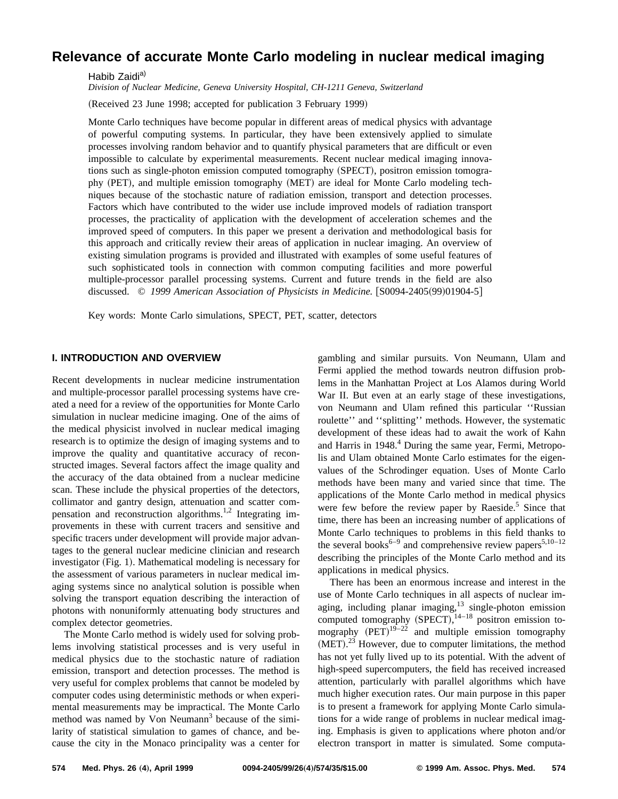# **Relevance of accurate Monte Carlo modeling in nuclear medical imaging**

Habib Zaidi<sup>a)</sup>

*Division of Nuclear Medicine, Geneva University Hospital, CH-1211 Geneva, Switzerland*

(Received 23 June 1998; accepted for publication 3 February 1999)

Monte Carlo techniques have become popular in different areas of medical physics with advantage of powerful computing systems. In particular, they have been extensively applied to simulate processes involving random behavior and to quantify physical parameters that are difficult or even impossible to calculate by experimental measurements. Recent nuclear medical imaging innovations such as single-photon emission computed tomography (SPECT), positron emission tomography (PET), and multiple emission tomography (MET) are ideal for Monte Carlo modeling techniques because of the stochastic nature of radiation emission, transport and detection processes. Factors which have contributed to the wider use include improved models of radiation transport processes, the practicality of application with the development of acceleration schemes and the improved speed of computers. In this paper we present a derivation and methodological basis for this approach and critically review their areas of application in nuclear imaging. An overview of existing simulation programs is provided and illustrated with examples of some useful features of such sophisticated tools in connection with common computing facilities and more powerful multiple-processor parallel processing systems. Current and future trends in the field are also discussed. © 1999 American Association of Physicists in Medicine. [S0094-2405(99)01904-5]

Key words: Monte Carlo simulations, SPECT, PET, scatter, detectors

# **I. INTRODUCTION AND OVERVIEW**

Recent developments in nuclear medicine instrumentation and multiple-processor parallel processing systems have created a need for a review of the opportunities for Monte Carlo simulation in nuclear medicine imaging. One of the aims of the medical physicist involved in nuclear medical imaging research is to optimize the design of imaging systems and to improve the quality and quantitative accuracy of reconstructed images. Several factors affect the image quality and the accuracy of the data obtained from a nuclear medicine scan. These include the physical properties of the detectors, collimator and gantry design, attenuation and scatter compensation and reconstruction algorithms.<sup>1,2</sup> Integrating improvements in these with current tracers and sensitive and specific tracers under development will provide major advantages to the general nuclear medicine clinician and research investigator (Fig. 1). Mathematical modeling is necessary for the assessment of various parameters in nuclear medical imaging systems since no analytical solution is possible when solving the transport equation describing the interaction of photons with nonuniformly attenuating body structures and complex detector geometries.

The Monte Carlo method is widely used for solving problems involving statistical processes and is very useful in medical physics due to the stochastic nature of radiation emission, transport and detection processes. The method is very useful for complex problems that cannot be modeled by computer codes using deterministic methods or when experimental measurements may be impractical. The Monte Carlo method was named by Von Neumann<sup>3</sup> because of the similarity of statistical simulation to games of chance, and because the city in the Monaco principality was a center for gambling and similar pursuits. Von Neumann, Ulam and Fermi applied the method towards neutron diffusion problems in the Manhattan Project at Los Alamos during World War II. But even at an early stage of these investigations, von Neumann and Ulam refined this particular ''Russian roulette'' and ''splitting'' methods. However, the systematic development of these ideas had to await the work of Kahn and Harris in 1948.<sup>4</sup> During the same year, Fermi, Metropolis and Ulam obtained Monte Carlo estimates for the eigenvalues of the Schrodinger equation. Uses of Monte Carlo methods have been many and varied since that time. The applications of the Monte Carlo method in medical physics were few before the review paper by Raeside. $5$  Since that time, there has been an increasing number of applications of Monte Carlo techniques to problems in this field thanks to the several books<sup>6–9</sup> and comprehensive review papers<sup>5,10–12</sup> describing the principles of the Monte Carlo method and its applications in medical physics.

There has been an enormous increase and interest in the use of Monte Carlo techniques in all aspects of nuclear imaging, including planar imaging,<sup>13</sup> single-photon emission computed tomography  $(SPECT),^{14-18}$  positron emission tomography  $(PET)^{19-22}$  and multiple emission tomography  $(MET).<sup>23</sup>$  However, due to computer limitations, the method has not yet fully lived up to its potential. With the advent of high-speed supercomputers, the field has received increased attention, particularly with parallel algorithms which have much higher execution rates. Our main purpose in this paper is to present a framework for applying Monte Carlo simulations for a wide range of problems in nuclear medical imaging. Emphasis is given to applications where photon and/or electron transport in matter is simulated. Some computa-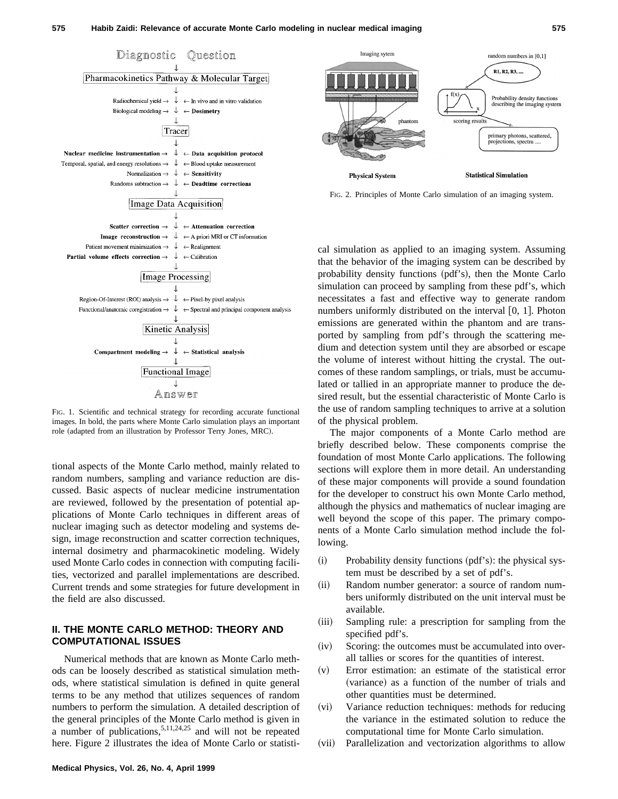

FIG. 1. Scientific and technical strategy for recording accurate functional images. In bold, the parts where Monte Carlo simulation plays an important role (adapted from an illustration by Professor Terry Jones, MRC).

tional aspects of the Monte Carlo method, mainly related to random numbers, sampling and variance reduction are discussed. Basic aspects of nuclear medicine instrumentation are reviewed, followed by the presentation of potential applications of Monte Carlo techniques in different areas of nuclear imaging such as detector modeling and systems design, image reconstruction and scatter correction techniques, internal dosimetry and pharmacokinetic modeling. Widely used Monte Carlo codes in connection with computing facilities, vectorized and parallel implementations are described. Current trends and some strategies for future development in the field are also discussed.

# **II. THE MONTE CARLO METHOD: THEORY AND COMPUTATIONAL ISSUES**

Numerical methods that are known as Monte Carlo methods can be loosely described as statistical simulation methods, where statistical simulation is defined in quite general terms to be any method that utilizes sequences of random numbers to perform the simulation. A detailed description of the general principles of the Monte Carlo method is given in a number of publications,  $5,11,24,25$  and will not be repeated here. Figure 2 illustrates the idea of Monte Carlo or statisti-



FIG. 2. Principles of Monte Carlo simulation of an imaging system.

cal simulation as applied to an imaging system. Assuming that the behavior of the imaging system can be described by probability density functions (pdf's), then the Monte Carlo simulation can proceed by sampling from these pdf's, which necessitates a fast and effective way to generate random numbers uniformly distributed on the interval  $[0, 1]$ . Photon emissions are generated within the phantom and are transported by sampling from pdf's through the scattering medium and detection system until they are absorbed or escape the volume of interest without hitting the crystal. The outcomes of these random samplings, or trials, must be accumulated or tallied in an appropriate manner to produce the desired result, but the essential characteristic of Monte Carlo is the use of random sampling techniques to arrive at a solution of the physical problem.

The major components of a Monte Carlo method are briefly described below. These components comprise the foundation of most Monte Carlo applications. The following sections will explore them in more detail. An understanding of these major components will provide a sound foundation for the developer to construct his own Monte Carlo method, although the physics and mathematics of nuclear imaging are well beyond the scope of this paper. The primary components of a Monte Carlo simulation method include the following.

- $(i)$  Probability density functions  $(pdf's)$ : the physical system must be described by a set of pdf's.
- (ii) Random number generator: a source of random numbers uniformly distributed on the unit interval must be available.
- (iii) Sampling rule: a prescription for sampling from the specified pdf's.
- (iv) Scoring: the outcomes must be accumulated into overall tallies or scores for the quantities of interest.
- $(v)$  Error estimation: an estimate of the statistical error (variance) as a function of the number of trials and other quantities must be determined.
- (vi) Variance reduction techniques: methods for reducing the variance in the estimated solution to reduce the computational time for Monte Carlo simulation.
- (vii) Parallelization and vectorization algorithms to allow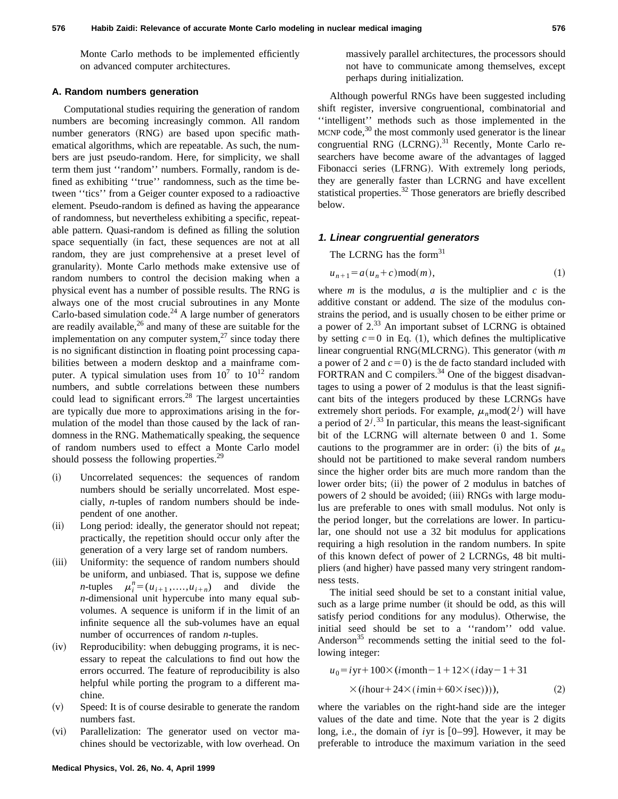Monte Carlo methods to be implemented efficiently on advanced computer architectures.

#### **A. Random numbers generation**

Computational studies requiring the generation of random numbers are becoming increasingly common. All random number generators (RNG) are based upon specific mathematical algorithms, which are repeatable. As such, the numbers are just pseudo-random. Here, for simplicity, we shall term them just ''random'' numbers. Formally, random is defined as exhibiting ''true'' randomness, such as the time between ''tics'' from a Geiger counter exposed to a radioactive element. Pseudo-random is defined as having the appearance of randomness, but nevertheless exhibiting a specific, repeatable pattern. Quasi-random is defined as filling the solution space sequentially (in fact, these sequences are not at all random, they are just comprehensive at a preset level of granularity). Monte Carlo methods make extensive use of random numbers to control the decision making when a physical event has a number of possible results. The RNG is always one of the most crucial subroutines in any Monte Carlo-based simulation code.<sup>24</sup> A large number of generators are readily available, $^{26}$  and many of these are suitable for the implementation on any computer system, $27$  since today there is no significant distinction in floating point processing capabilities between a modern desktop and a mainframe computer. A typical simulation uses from  $10^7$  to  $10^{12}$  random numbers, and subtle correlations between these numbers could lead to significant errors.<sup>28</sup> The largest uncertainties are typically due more to approximations arising in the formulation of the model than those caused by the lack of randomness in the RNG. Mathematically speaking, the sequence of random numbers used to effect a Monte Carlo model should possess the following properties.<sup>29</sup>

- (i) Uncorrelated sequences: the sequences of random numbers should be serially uncorrelated. Most especially, *n*-tuples of random numbers should be independent of one another.
- (ii) Long period: ideally, the generator should not repeat; practically, the repetition should occur only after the generation of a very large set of random numbers.
- (iii) Uniformity: the sequence of random numbers should be uniform, and unbiased. That is, suppose we define *n*-tuples  $\mu_i^n = (u_{i+1}, \dots, u_{i+n})$  and divide the *n*-dimensional unit hypercube into many equal subvolumes. A sequence is uniform if in the limit of an infinite sequence all the sub-volumes have an equal number of occurrences of random *n*-tuples.
- $(iv)$  Reproducibility: when debugging programs, it is necessary to repeat the calculations to find out how the errors occurred. The feature of reproducibility is also helpful while porting the program to a different machine.
- $(v)$  Speed: It is of course desirable to generate the random numbers fast.
- (vi) Parallelization: The generator used on vector machines should be vectorizable, with low overhead. On

massively parallel architectures, the processors should not have to communicate among themselves, except perhaps during initialization.

Although powerful RNGs have been suggested including shift register, inversive congruentional, combinatorial and ''intelligent'' methods such as those implemented in the MCNP code, $30$  the most commonly used generator is the linear congruential RNG (LCRNG).<sup>31</sup> Recently, Monte Carlo researchers have become aware of the advantages of lagged Fibonacci series (LFRNG). With extremely long periods, they are generally faster than LCRNG and have excellent statistical properties. $32$  Those generators are briefly described below.

### **1. Linear congruential generators**

The LCRNG has the form<sup>31</sup>

$$
u_{n+1} = a(u_n + c) \operatorname{mod}(m),\tag{1}
$$

where  $m$  is the modulus,  $a$  is the multiplier and  $c$  is the additive constant or addend. The size of the modulus constrains the period, and is usually chosen to be either prime or a power of 2.<sup>33</sup> An important subset of LCRNG is obtained by setting  $c=0$  in Eq. (1), which defines the multiplicative linear congruential RNG(MLCRNG). This generator (with *m* a power of 2 and  $c=0$ ) is the de facto standard included with FORTRAN and C compilers. $34$  One of the biggest disadvantages to using a power of 2 modulus is that the least significant bits of the integers produced by these LCRNGs have extremely short periods. For example,  $\mu_n \text{mod}(2^j)$  will have a period of  $2^j$ .<sup>33</sup> In particular, this means the least-significant bit of the LCRNG will alternate between 0 and 1. Some cautions to the programmer are in order: (i) the bits of  $\mu_n$ should not be partitioned to make several random numbers since the higher order bits are much more random than the lower order bits; (ii) the power of 2 modulus in batches of powers of 2 should be avoided; (iii) RNGs with large modulus are preferable to ones with small modulus. Not only is the period longer, but the correlations are lower. In particular, one should not use a 32 bit modulus for applications requiring a high resolution in the random numbers. In spite of this known defect of power of 2 LCRNGs, 48 bit multipliers (and higher) have passed many very stringent randomness tests.

The initial seed should be set to a constant initial value, such as a large prime number (it should be odd, as this will satisfy period conditions for any modulus). Otherwise, the initial seed should be set to a ''random'' odd value. Anderson<sup>35</sup> recommends setting the initial seed to the following integer:

$$
u_0 = i\text{yr} + 100 \times (i\text{month} - 1 + 12 \times (i\text{day} - 1 + 31
$$
  
× $(i\text{hour} + 24 \times (i\text{min} + 60 \times i\text{sec}))))$ , (2)

where the variables on the right-hand side are the integer values of the date and time. Note that the year is 2 digits long, i.e., the domain of *i*yr is  $[0-99]$ . However, it may be preferable to introduce the maximum variation in the seed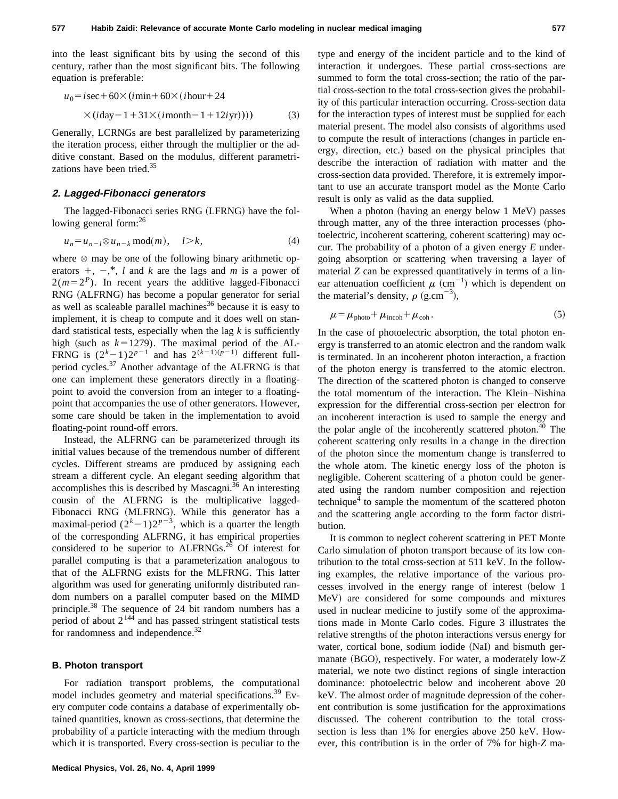into the least significant bits by using the second of this century, rather than the most significant bits. The following equation is preferable:

$$
u_0 = i\sec + 60 \times (i\min + 60 \times (i\hom + 24
$$
  
× $(i\mathrm{day} - 1 + 31 \times (i\mathrm{month} - 1 + 12i\mathrm{yr}))))$  (3)

Generally, LCRNGs are best parallelized by parameterizing the iteration process, either through the multiplier or the additive constant. Based on the modulus, different parametrizations have been tried.<sup>35</sup>

### **2. Lagged-Fibonacci generators**

The lagged-Fibonacci series RNG (LFRNG) have the following general form: $^{26}$ 

$$
u_n = u_{n-l} \otimes u_{n-k} \bmod(m), \quad l > k,
$$
\n<sup>(4)</sup>

where  $\otimes$  may be one of the following binary arithmetic operators  $+$ ,  $-$ ,<sup>\*</sup>, *l* and *k* are the lags and *m* is a power of  $2(m=2<sup>P</sup>)$ . In recent years the additive lagged-Fibonacci RNG (ALFRNG) has become a popular generator for serial as well as scaleable parallel machines<sup>36</sup> because it is easy to implement, it is cheap to compute and it does well on standard statistical tests, especially when the lag *k* is sufficiently high (such as  $k=1279$ ). The maximal period of the AL-FRNG is  $(2<sup>k</sup>-1)2<sup>p-1</sup>$  and has  $2<sup>(k-1)(p-1)</sup>$  different fullperiod cycles.37 Another advantage of the ALFRNG is that one can implement these generators directly in a floatingpoint to avoid the conversion from an integer to a floatingpoint that accompanies the use of other generators. However, some care should be taken in the implementation to avoid floating-point round-off errors.

Instead, the ALFRNG can be parameterized through its initial values because of the tremendous number of different cycles. Different streams are produced by assigning each stream a different cycle. An elegant seeding algorithm that accomplishes this is described by Mascagni.<sup>36</sup> An interesting cousin of the ALFRNG is the multiplicative lagged-Fibonacci RNG (MLFRNG). While this generator has a maximal-period  $(2<sup>k</sup>-1)2<sup>p-3</sup>$ , which is a quarter the length of the corresponding ALFRNG, it has empirical properties considered to be superior to  $ALFRNGs$ <sup>26</sup> Of interest for parallel computing is that a parameterization analogous to that of the ALFRNG exists for the MLFRNG. This latter algorithm was used for generating uniformly distributed random numbers on a parallel computer based on the MIMD principle.38 The sequence of 24 bit random numbers has a period of about  $2^{14\bar{4}}$  and has passed stringent statistical tests for randomness and independence.<sup>32</sup>

#### **B. Photon transport**

For radiation transport problems, the computational model includes geometry and material specifications.<sup>39</sup> Every computer code contains a database of experimentally obtained quantities, known as cross-sections, that determine the probability of a particle interacting with the medium through which it is transported. Every cross-section is peculiar to the type and energy of the incident particle and to the kind of interaction it undergoes. These partial cross-sections are summed to form the total cross-section; the ratio of the partial cross-section to the total cross-section gives the probability of this particular interaction occurring. Cross-section data for the interaction types of interest must be supplied for each material present. The model also consists of algorithms used to compute the result of interactions (changes in particle energy, direction, etc.) based on the physical principles that describe the interaction of radiation with matter and the cross-section data provided. Therefore, it is extremely important to use an accurate transport model as the Monte Carlo result is only as valid as the data supplied.

When a photon (having an energy below 1 MeV) passes through matter, any of the three interaction processes (photoelectric, incoherent scattering, coherent scattering) may occur. The probability of a photon of a given energy *E* undergoing absorption or scattering when traversing a layer of material *Z* can be expressed quantitatively in terms of a linear attenuation coefficient  $\mu$  (cm<sup>-1</sup>) which is dependent on the material's density,  $\rho$  (g.cm<sup>-3</sup>),

$$
\mu = \mu_{\text{photo}} + \mu_{\text{incoh}} + \mu_{\text{coh}}.
$$
\n(5)

In the case of photoelectric absorption, the total photon energy is transferred to an atomic electron and the random walk is terminated. In an incoherent photon interaction, a fraction of the photon energy is transferred to the atomic electron. The direction of the scattered photon is changed to conserve the total momentum of the interaction. The Klein–Nishina expression for the differential cross-section per electron for an incoherent interaction is used to sample the energy and the polar angle of the incoherently scattered photon.<sup>40</sup> The coherent scattering only results in a change in the direction of the photon since the momentum change is transferred to the whole atom. The kinetic energy loss of the photon is negligible. Coherent scattering of a photon could be generated using the random number composition and rejection technique<sup>4</sup> to sample the momentum of the scattered photon and the scattering angle according to the form factor distribution.

It is common to neglect coherent scattering in PET Monte Carlo simulation of photon transport because of its low contribution to the total cross-section at 511 keV. In the following examples, the relative importance of the various processes involved in the energy range of interest (below 1) MeV) are considered for some compounds and mixtures used in nuclear medicine to justify some of the approximations made in Monte Carlo codes. Figure 3 illustrates the relative strengths of the photon interactions versus energy for water, cortical bone, sodium iodide (NaI) and bismuth germanate (BGO), respectively. For water, a moderately low-Z material, we note two distinct regions of single interaction dominance: photoelectric below and incoherent above 20 keV. The almost order of magnitude depression of the coherent contribution is some justification for the approximations discussed. The coherent contribution to the total crosssection is less than 1% for energies above 250 keV. However, this contribution is in the order of 7% for high-*Z* ma-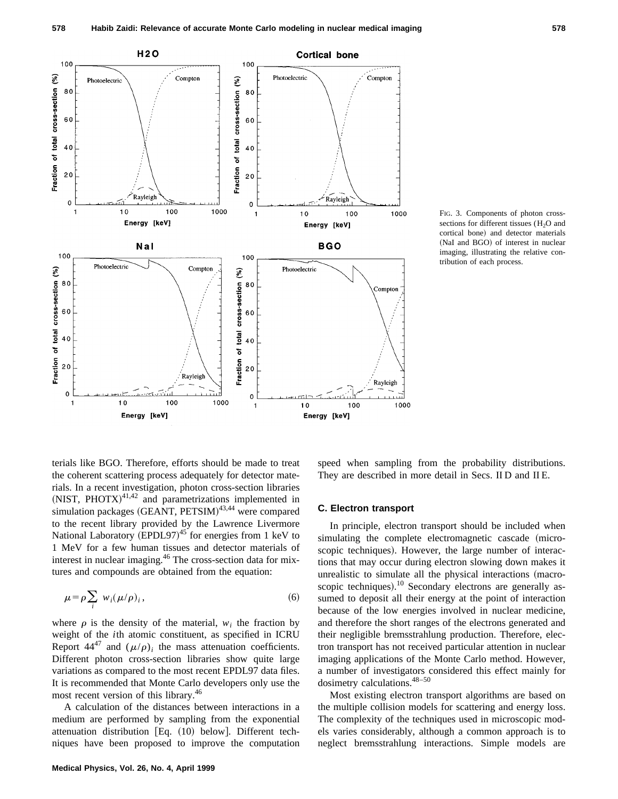

FIG. 3. Components of photon crosssections for different tissues  $(H<sub>2</sub>O)$  and cortical bone) and detector materials (NaI and BGO) of interest in nuclear imaging, illustrating the relative contribution of each process.

terials like BGO. Therefore, efforts should be made to treat the coherent scattering process adequately for detector materials. In a recent investigation, photon cross-section libraries (NIST, PHOTX) $41,42$  and parametrizations implemented in simulation packages (GEANT,  $PETSIM)^{43,44}$  were compared to the recent library provided by the Lawrence Livermore National Laboratory  $(EPDL97)^{45}$  for energies from 1 keV to 1 MeV for a few human tissues and detector materials of interest in nuclear imaging.<sup>46</sup> The cross-section data for mixtures and compounds are obtained from the equation:

$$
\mu = \rho \sum_{i} w_i (\mu/\rho)_i, \qquad (6)
$$

where  $\rho$  is the density of the material,  $w_i$ ; the fraction by weight of the *i*th atomic constituent, as specified in ICRU Report  $44^{47}$  and  $(\mu/\rho)$ *i* the mass attenuation coefficients. Different photon cross-section libraries show quite large variations as compared to the most recent EPDL97 data files. It is recommended that Monte Carlo developers only use the most recent version of this library.<sup>46</sup>

A calculation of the distances between interactions in a medium are performed by sampling from the exponential attenuation distribution [Eq.  $(10)$  below]. Different techniques have been proposed to improve the computation

**Medical Physics, Vol. 26, No. 4, April 1999**

speed when sampling from the probability distributions. They are described in more detail in Secs. II D and II E.

### **C. Electron transport**

In principle, electron transport should be included when simulating the complete electromagnetic cascade (microscopic techniques). However, the large number of interactions that may occur during electron slowing down makes it unrealistic to simulate all the physical interactions  $(macro$ scopic techniques).<sup>10</sup> Secondary electrons are generally assumed to deposit all their energy at the point of interaction because of the low energies involved in nuclear medicine, and therefore the short ranges of the electrons generated and their negligible bremsstrahlung production. Therefore, electron transport has not received particular attention in nuclear imaging applications of the Monte Carlo method. However, a number of investigators considered this effect mainly for dosimetry calculations.<sup>48-50</sup>

Most existing electron transport algorithms are based on the multiple collision models for scattering and energy loss. The complexity of the techniques used in microscopic models varies considerably, although a common approach is to neglect bremsstrahlung interactions. Simple models are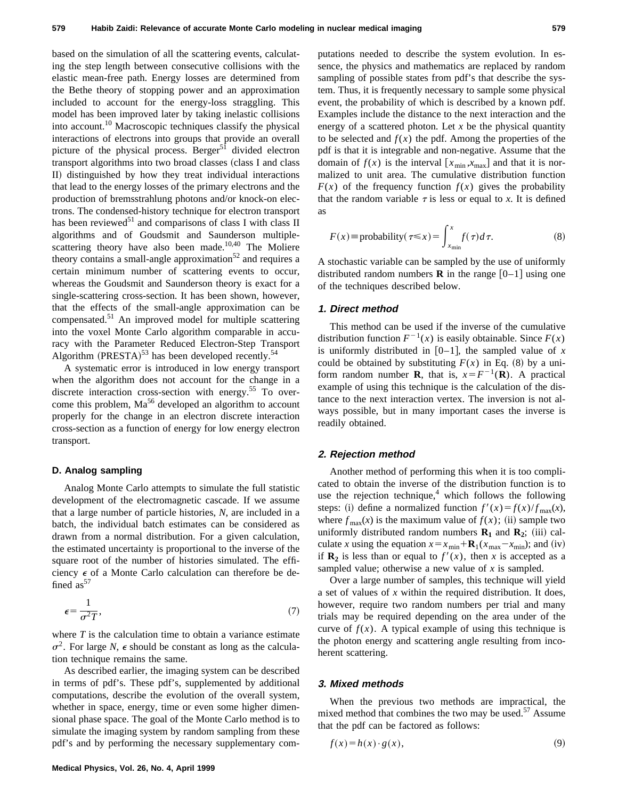based on the simulation of all the scattering events, calculating the step length between consecutive collisions with the elastic mean-free path. Energy losses are determined from the Bethe theory of stopping power and an approximation included to account for the energy-loss straggling. This model has been improved later by taking inelastic collisions into account.<sup>10</sup> Macroscopic techniques classify the physical interactions of electrons into groups that provide an overall picture of the physical process. Berger $51$  divided electron transport algorithms into two broad classes (class I and class II) distinguished by how they treat individual interactions that lead to the energy losses of the primary electrons and the production of bremsstrahlung photons and/or knock-on electrons. The condensed-history technique for electron transport has been reviewed<sup>51</sup> and comparisons of class I with class II algorithms and of Goudsmit and Saunderson multiplescattering theory have also been made. $10,40$  The Moliere theory contains a small-angle approximation<sup>52</sup> and requires a certain minimum number of scattering events to occur, whereas the Goudsmit and Saunderson theory is exact for a single-scattering cross-section. It has been shown, however, that the effects of the small-angle approximation can be compensated.<sup>51</sup> An improved model for multiple scattering into the voxel Monte Carlo algorithm comparable in accuracy with the Parameter Reduced Electron-Step Transport Algorithm  $(PRESTA)^{53}$  has been developed recently.<sup>54</sup>

A systematic error is introduced in low energy transport when the algorithm does not account for the change in a discrete interaction cross-section with energy.<sup>55</sup> To overcome this problem, Ma<sup>56</sup> developed an algorithm to account properly for the change in an electron discrete interaction cross-section as a function of energy for low energy electron transport.

### **D. Analog sampling**

Analog Monte Carlo attempts to simulate the full statistic development of the electromagnetic cascade. If we assume that a large number of particle histories, *N*, are included in a batch, the individual batch estimates can be considered as drawn from a normal distribution. For a given calculation, the estimated uncertainty is proportional to the inverse of the square root of the number of histories simulated. The efficiency  $\epsilon$  of a Monte Carlo calculation can therefore be defined  $as^{57}$ 

$$
\epsilon = \frac{1}{\sigma^2 T},\tag{7}
$$

where *T* is the calculation time to obtain a variance estimate  $\sigma^2$ . For large *N*,  $\epsilon$  should be constant as long as the calculation technique remains the same.

As described earlier, the imaging system can be described in terms of pdf's. These pdf's, supplemented by additional computations, describe the evolution of the overall system, whether in space, energy, time or even some higher dimensional phase space. The goal of the Monte Carlo method is to simulate the imaging system by random sampling from these pdf's and by performing the necessary supplementary computations needed to describe the system evolution. In essence, the physics and mathematics are replaced by random sampling of possible states from pdf's that describe the system. Thus, it is frequently necessary to sample some physical event, the probability of which is described by a known pdf. Examples include the distance to the next interaction and the energy of a scattered photon. Let *x* be the physical quantity to be selected and  $f(x)$  the pdf. Among the properties of the pdf is that it is integrable and non-negative. Assume that the domain of  $f(x)$  is the interval  $[x_{\min}, x_{\max}]$  and that it is normalized to unit area. The cumulative distribution function  $F(x)$  of the frequency function  $f(x)$  gives the probability that the random variable  $\tau$  is less or equal to *x*. It is defined as

$$
F(x) \equiv \text{probability}(\tau \le x) = \int_{x_{\text{min}}}^{x} f(\tau) d\tau.
$$
 (8)

A stochastic variable can be sampled by the use of uniformly distributed random numbers **R** in the range  $[0-1]$  using one of the techniques described below.

### **1. Direct method**

This method can be used if the inverse of the cumulative distribution function  $F^{-1}(x)$  is easily obtainable. Since  $F(x)$ is uniformly distributed in  $[0-1]$ , the sampled value of *x* could be obtained by substituting  $F(x)$  in Eq. (8) by a uniform random number **R**, that is,  $x = F^{-1}(\mathbf{R})$ . A practical example of using this technique is the calculation of the distance to the next interaction vertex. The inversion is not always possible, but in many important cases the inverse is readily obtained.

### **2. Rejection method**

Another method of performing this when it is too complicated to obtain the inverse of the distribution function is to use the rejection technique, $4$  which follows the following steps: (i) define a normalized function  $f'(x) = f(x)/f_{\text{max}}(x)$ , where  $f_{\text{max}}(x)$  is the maximum value of  $f(x)$ ; (ii) sample two uniformly distributed random numbers  $\mathbf{R}_1$  and  $\mathbf{R}_2$ ; (iii) calculate *x* using the equation  $x = x_{\min} + \mathbf{R}_1(x_{\max} - x_{\min})$ ; and (iv) if  $\mathbf{R}_2$  is less than or equal to  $f'(x)$ , then *x* is accepted as a sampled value; otherwise a new value of *x* is sampled.

Over a large number of samples, this technique will yield a set of values of *x* within the required distribution. It does, however, require two random numbers per trial and many trials may be required depending on the area under of the curve of  $f(x)$ . A typical example of using this technique is the photon energy and scattering angle resulting from incoherent scattering.

#### **3. Mixed methods**

When the previous two methods are impractical, the mixed method that combines the two may be used.<sup>57</sup> Assume that the pdf can be factored as follows:

$$
f(x) = h(x) \cdot g(x),\tag{9}
$$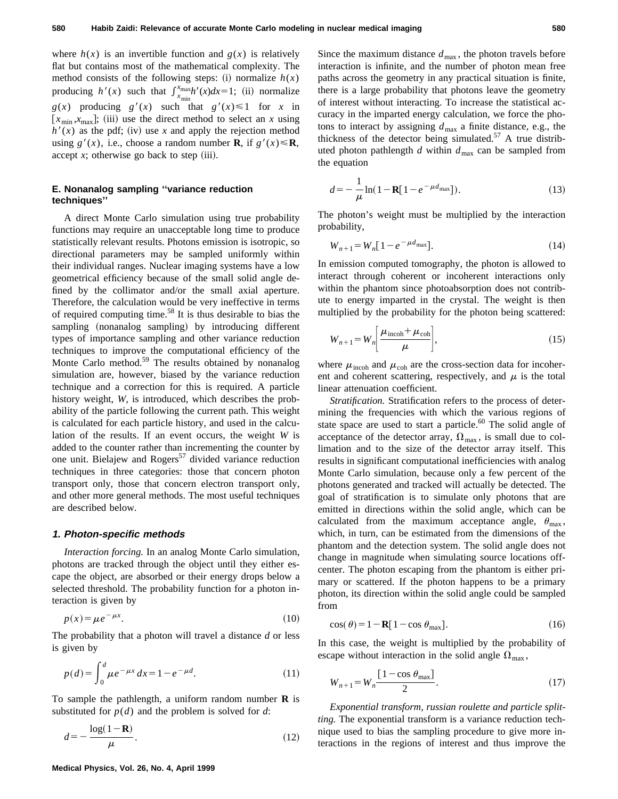where  $h(x)$  is an invertible function and  $g(x)$  is relatively flat but contains most of the mathematical complexity. The method consists of the following steps: (i) normalize  $h(x)$ producing  $h'(x)$  such that  $\int_{x_{\text{min}}}^{x_{\text{max}}} h'(x) dx = 1$ ; (ii) normalize  $g(x)$  producing  $g'(x)$  such that  $g'(x) \le 1$  for *x* in  $[x_{\text{min}}, x_{\text{max}}]$ ; (iii) use the direct method to select an *x* using  $h'(x)$  as the pdf; (iv) use *x* and apply the rejection method using  $g'(x)$ , i.e., choose a random number **R**, if  $g'(x) \le R$ , accept  $x$ ; otherwise go back to step (iii).

### **E. Nonanalog sampling ''variance reduction techniques''**

A direct Monte Carlo simulation using true probability functions may require an unacceptable long time to produce statistically relevant results. Photons emission is isotropic, so directional parameters may be sampled uniformly within their individual ranges. Nuclear imaging systems have a low geometrical efficiency because of the small solid angle defined by the collimator and/or the small axial aperture. Therefore, the calculation would be very ineffective in terms of required computing time.<sup>58</sup> It is thus desirable to bias the sampling (nonanalog sampling) by introducing different types of importance sampling and other variance reduction techniques to improve the computational efficiency of the Monte Carlo method.<sup>59</sup> The results obtained by nonanalog simulation are, however, biased by the variance reduction technique and a correction for this is required. A particle history weight, *W*, is introduced, which describes the probability of the particle following the current path. This weight is calculated for each particle history, and used in the calculation of the results. If an event occurs, the weight *W* is added to the counter rather than incrementing the counter by one unit. Bielajew and Rogers<sup>57</sup> divided variance reduction techniques in three categories: those that concern photon transport only, those that concern electron transport only, and other more general methods. The most useful techniques are described below.

#### **1. Photon-specific methods**

*Interaction forcing.* In an analog Monte Carlo simulation, photons are tracked through the object until they either escape the object, are absorbed or their energy drops below a selected threshold. The probability function for a photon interaction is given by

$$
p(x) = \mu e^{-\mu x}.\tag{10}
$$

The probability that a photon will travel a distance *d* or less is given by

$$
p(d) = \int_0^d \mu e^{-\mu x} dx = 1 - e^{-\mu d}.
$$
 (11)

To sample the pathlength, a uniform random number **R** is substituted for  $p(d)$  and the problem is solved for  $d$ :

$$
d = -\frac{\log(1 - \mathbf{R})}{\mu}.
$$
\n(12)

Since the maximum distance  $d_{\text{max}}$ , the photon travels before interaction is infinite, and the number of photon mean free paths across the geometry in any practical situation is finite, there is a large probability that photons leave the geometry of interest without interacting. To increase the statistical accuracy in the imparted energy calculation, we force the photons to interact by assigning  $d_{\text{max}}$  a finite distance, e.g., the thickness of the detector being simulated.<sup>57</sup> A true distributed photon pathlength *d* within  $d_{\text{max}}$  can be sampled from the equation

$$
d = -\frac{1}{\mu} \ln(1 - \mathbf{R} [1 - e^{-\mu d_{\text{max}}}]). \tag{13}
$$

The photon's weight must be multiplied by the interaction probability,

$$
W_{n+1} = W_n[1 - e^{-\mu d_{\text{max}}}].
$$
\n(14)

In emission computed tomography, the photon is allowed to interact through coherent or incoherent interactions only within the phantom since photoabsorption does not contribute to energy imparted in the crystal. The weight is then multiplied by the probability for the photon being scattered:

$$
W_{n+1} = W_n \left[ \frac{\mu_{\text{incoh}} + \mu_{\text{coh}}}{\mu} \right],\tag{15}
$$

where  $\mu_{\text{incoh}}$  and  $\mu_{\text{coh}}$  are the cross-section data for incoherent and coherent scattering, respectively, and  $\mu$  is the total linear attenuation coefficient.

*Stratification.* Stratification refers to the process of determining the frequencies with which the various regions of state space are used to start a particle.<sup>60</sup> The solid angle of acceptance of the detector array,  $\Omega_{\text{max}}$ , is small due to collimation and to the size of the detector array itself. This results in significant computational inefficiencies with analog Monte Carlo simulation, because only a few percent of the photons generated and tracked will actually be detected. The goal of stratification is to simulate only photons that are emitted in directions within the solid angle, which can be calculated from the maximum acceptance angle,  $\theta_{\text{max}}$ , which, in turn, can be estimated from the dimensions of the phantom and the detection system. The solid angle does not change in magnitude when simulating source locations offcenter. The photon escaping from the phantom is either primary or scattered. If the photon happens to be a primary photon, its direction within the solid angle could be sampled from

$$
\cos(\theta) = 1 - \mathbf{R} [1 - \cos \theta_{\text{max}}]. \tag{16}
$$

In this case, the weight is multiplied by the probability of escape without interaction in the solid angle  $\Omega_{\text{max}}$ ,

$$
W_{n+1} = W_n \frac{[1 - \cos \theta_{\text{max}}]}{2}.
$$
 (17)

*Exponential transform, russian roulette and particle splitting.* The exponential transform is a variance reduction technique used to bias the sampling procedure to give more interactions in the regions of interest and thus improve the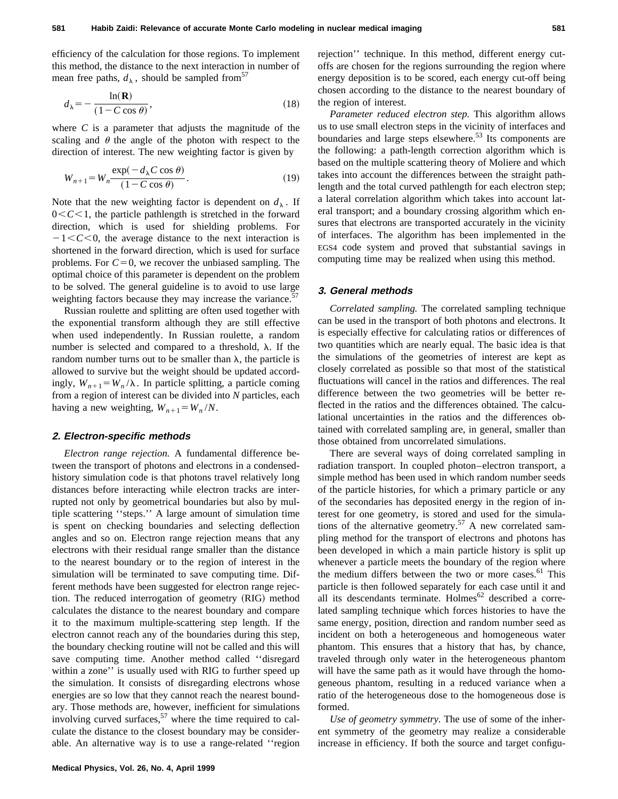efficiency of the calculation for those regions. To implement this method, the distance to the next interaction in number of mean free paths,  $d<sub>\lambda</sub>$ , should be sampled from<sup>57</sup>

$$
d_{\lambda} = -\frac{\ln(\mathbf{R})}{(1 - C \cos \theta)},
$$
\n(18)

where *C* is a parameter that adjusts the magnitude of the scaling and  $\theta$  the angle of the photon with respect to the direction of interest. The new weighting factor is given by

$$
W_{n+1} = W_n \frac{\exp(-d_\lambda C \cos \theta)}{(1 - C \cos \theta)}.
$$
 (19)

Note that the new weighting factor is dependent on  $d_{\lambda}$ . If  $0 < C < 1$ , the particle pathlength is stretched in the forward direction, which is used for shielding problems. For  $-1 < C < 0$ , the average distance to the next interaction is shortened in the forward direction, which is used for surface problems. For  $C=0$ , we recover the unbiased sampling. The optimal choice of this parameter is dependent on the problem to be solved. The general guideline is to avoid to use large weighting factors because they may increase the variance.<sup>57</sup>

Russian roulette and splitting are often used together with the exponential transform although they are still effective when used independently. In Russian roulette, a random number is selected and compared to a threshold,  $\lambda$ . If the random number turns out to be smaller than  $\lambda$ , the particle is allowed to survive but the weight should be updated accordingly,  $W_{n+1} = W_n / \lambda$ . In particle splitting, a particle coming from a region of interest can be divided into *N* particles, each having a new weighting,  $W_{n+1} = W_n / N$ .

#### **2. Electron-specific methods**

*Electron range rejection.* A fundamental difference between the transport of photons and electrons in a condensedhistory simulation code is that photons travel relatively long distances before interacting while electron tracks are interrupted not only by geometrical boundaries but also by multiple scattering ''steps.'' A large amount of simulation time is spent on checking boundaries and selecting deflection angles and so on. Electron range rejection means that any electrons with their residual range smaller than the distance to the nearest boundary or to the region of interest in the simulation will be terminated to save computing time. Different methods have been suggested for electron range rejection. The reduced interrogation of geometry (RIG) method calculates the distance to the nearest boundary and compare it to the maximum multiple-scattering step length. If the electron cannot reach any of the boundaries during this step, the boundary checking routine will not be called and this will save computing time. Another method called ''disregard within a zone'' is usually used with RIG to further speed up the simulation. It consists of disregarding electrons whose energies are so low that they cannot reach the nearest boundary. Those methods are, however, inefficient for simulations involving curved surfaces, $57$  where the time required to calculate the distance to the closest boundary may be considerable. An alternative way is to use a range-related ''region rejection'' technique. In this method, different energy cutoffs are chosen for the regions surrounding the region where energy deposition is to be scored, each energy cut-off being chosen according to the distance to the nearest boundary of the region of interest.

*Parameter reduced electron step.* This algorithm allows us to use small electron steps in the vicinity of interfaces and boundaries and large steps elsewhere.<sup>53</sup> Its components are the following: a path-length correction algorithm which is based on the multiple scattering theory of Moliere and which takes into account the differences between the straight pathlength and the total curved pathlength for each electron step; a lateral correlation algorithm which takes into account lateral transport; and a boundary crossing algorithm which ensures that electrons are transported accurately in the vicinity of interfaces. The algorithm has been implemented in the EGS4 code system and proved that substantial savings in computing time may be realized when using this method.

### **3. General methods**

*Correlated sampling.* The correlated sampling technique can be used in the transport of both photons and electrons. It is especially effective for calculating ratios or differences of two quantities which are nearly equal. The basic idea is that the simulations of the geometries of interest are kept as closely correlated as possible so that most of the statistical fluctuations will cancel in the ratios and differences. The real difference between the two geometries will be better reflected in the ratios and the differences obtained. The calculational uncertainties in the ratios and the differences obtained with correlated sampling are, in general, smaller than those obtained from uncorrelated simulations.

There are several ways of doing correlated sampling in radiation transport. In coupled photon–electron transport, a simple method has been used in which random number seeds of the particle histories, for which a primary particle or any of the secondaries has deposited energy in the region of interest for one geometry, is stored and used for the simulations of the alternative geometry.<sup>57</sup> A new correlated sampling method for the transport of electrons and photons has been developed in which a main particle history is split up whenever a particle meets the boundary of the region where the medium differs between the two or more cases.<sup>61</sup> This particle is then followed separately for each case until it and all its descendants terminate. Holmes $62$  described a correlated sampling technique which forces histories to have the same energy, position, direction and random number seed as incident on both a heterogeneous and homogeneous water phantom. This ensures that a history that has, by chance, traveled through only water in the heterogeneous phantom will have the same path as it would have through the homogeneous phantom, resulting in a reduced variance when a ratio of the heterogeneous dose to the homogeneous dose is formed.

*Use of geometry symmetry.* The use of some of the inherent symmetry of the geometry may realize a considerable increase in efficiency. If both the source and target configu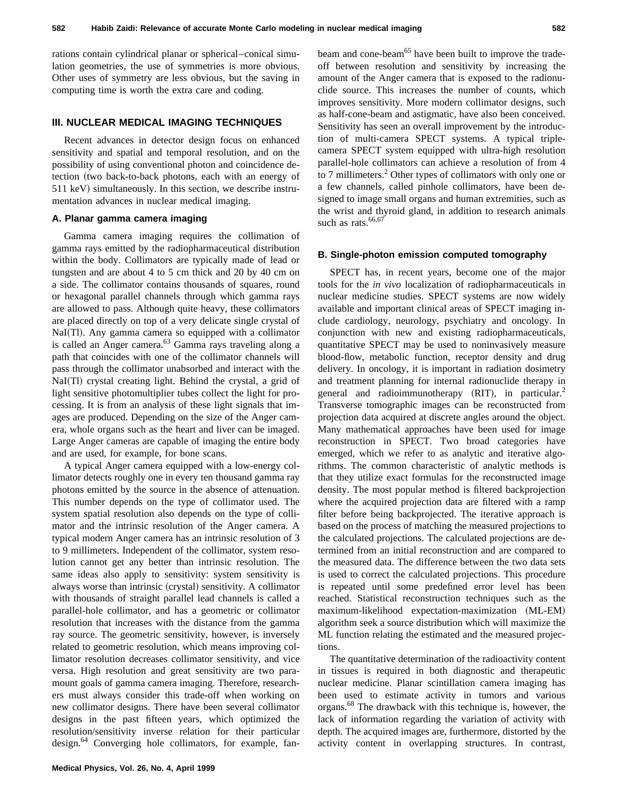rations contain cylindrical planar or spherical–conical simulation geometries, the use of symmetries is more obvious. Other uses of symmetry are less obvious, but the saving in computing time is worth the extra care and coding.

## **III. NUCLEAR MEDICAL IMAGING TECHNIQUES**

Recent advances in detector design focus on enhanced sensitivity and spatial and temporal resolution, and on the possibility of using conventional photon and coincidence detection (two back-to-back photons, each with an energy of  $511 \text{ keV}$ ) simultaneously. In this section, we describe instrumentation advances in nuclear medical imaging.

#### **A. Planar gamma camera imaging**

Gamma camera imaging requires the collimation of gamma rays emitted by the radiopharmaceutical distribution within the body. Collimators are typically made of lead or tungsten and are about 4 to 5 cm thick and 20 by 40 cm on a side. The collimator contains thousands of squares, round or hexagonal parallel channels through which gamma rays are allowed to pass. Although quite heavy, these collimators are placed directly on top of a very delicate single crystal of NaI(Tl). Any gamma camera so equipped with a collimator is called an Anger camera.<sup>63</sup> Gamma rays traveling along a path that coincides with one of the collimator channels will pass through the collimator unabsorbed and interact with the NaI(Tl) crystal creating light. Behind the crystal, a grid of light sensitive photomultiplier tubes collect the light for processing. It is from an analysis of these light signals that images are produced. Depending on the size of the Anger camera, whole organs such as the heart and liver can be imaged. Large Anger cameras are capable of imaging the entire body and are used, for example, for bone scans.

A typical Anger camera equipped with a low-energy collimator detects roughly one in every ten thousand gamma ray photons emitted by the source in the absence of attenuation. This number depends on the type of collimator used. The system spatial resolution also depends on the type of collimator and the intrinsic resolution of the Anger camera. A typical modern Anger camera has an intrinsic resolution of 3 to 9 millimeters. Independent of the collimator, system resolution cannot get any better than intrinsic resolution. The same ideas also apply to sensitivity: system sensitivity is always worse than intrinsic (crystal) sensitivity. A collimator with thousands of straight parallel lead channels is called a parallel-hole collimator, and has a geometric or collimator resolution that increases with the distance from the gamma ray source. The geometric sensitivity, however, is inversely related to geometric resolution, which means improving collimator resolution decreases collimator sensitivity, and vice versa. High resolution and great sensitivity are two paramount goals of gamma camera imaging. Therefore, researchers must always consider this trade-off when working on new collimator designs. There have been several collimator designs in the past fifteen years, which optimized the resolution/sensitivity inverse relation for their particular design.<sup>64</sup> Converging hole collimators, for example, fanbeam and cone-beam<sup>65</sup> have been built to improve the tradeoff between resolution and sensitivity by increasing the amount of the Anger camera that is exposed to the radionuclide source. This increases the number of counts, which improves sensitivity. More modern collimator designs, such as half-cone-beam and astigmatic, have also been conceived. Sensitivity has seen an overall improvement by the introduction of multi-camera SPECT systems. A typical triplecamera SPECT system equipped with ultra-high resolution parallel-hole collimators can achieve a resolution of from 4 to 7 millimeters.<sup>2</sup> Other types of collimators with only one or a few channels, called pinhole collimators, have been designed to image small organs and human extremities, such as the wrist and thyroid gland, in addition to research animals such as rats.<sup>66,67</sup>

#### **B. Single-photon emission computed tomography**

SPECT has, in recent years, become one of the major tools for the *in vivo* localization of radiopharmaceuticals in nuclear medicine studies. SPECT systems are now widely available and important clinical areas of SPECT imaging include cardiology, neurology, psychiatry and oncology. In conjunction with new and existing radiopharmaceuticals, quantitative SPECT may be used to noninvasively measure blood-flow, metabolic function, receptor density and drug delivery. In oncology, it is important in radiation dosimetry and treatment planning for internal radionuclide therapy in general and radioimmunotherapy  $(RIT)$ , in particular.<sup>2</sup> Transverse tomographic images can be reconstructed from projection data acquired at discrete angles around the object. Many mathematical approaches have been used for image reconstruction in SPECT. Two broad categories have emerged, which we refer to as analytic and iterative algorithms. The common characteristic of analytic methods is that they utilize exact formulas for the reconstructed image density. The most popular method is filtered backprojection where the acquired projection data are filtered with a ramp filter before being backprojected. The iterative approach is based on the process of matching the measured projections to the calculated projections. The calculated projections are determined from an initial reconstruction and are compared to the measured data. The difference between the two data sets is used to correct the calculated projections. This procedure is repeated until some predefined error level has been reached. Statistical reconstruction techniques such as the maximum-likelihood expectation-maximization (ML-EM) algorithm seek a source distribution which will maximize the ML function relating the estimated and the measured projections.

The quantitative determination of the radioactivity content in tissues is required in both diagnostic and therapeutic nuclear medicine. Planar scintillation camera imaging has been used to estimate activity in tumors and various organs.<sup>68</sup> The drawback with this technique is, however, the lack of information regarding the variation of activity with depth. The acquired images are, furthermore, distorted by the activity content in overlapping structures. In contrast,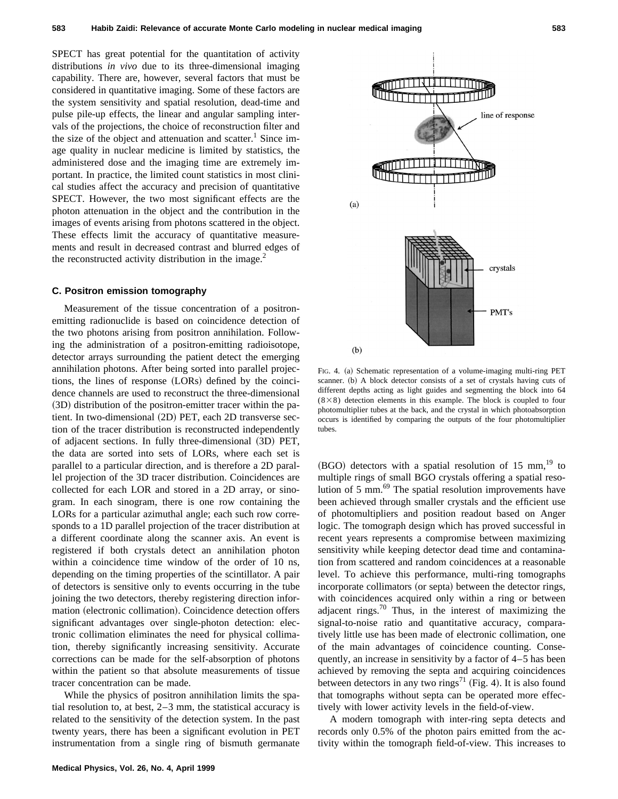SPECT has great potential for the quantitation of activity distributions *in vivo* due to its three-dimensional imaging capability. There are, however, several factors that must be considered in quantitative imaging. Some of these factors are the system sensitivity and spatial resolution, dead-time and pulse pile-up effects, the linear and angular sampling intervals of the projections, the choice of reconstruction filter and the size of the object and attenuation and scatter.<sup>1</sup> Since image quality in nuclear medicine is limited by statistics, the administered dose and the imaging time are extremely important. In practice, the limited count statistics in most clinical studies affect the accuracy and precision of quantitative SPECT. However, the two most significant effects are the photon attenuation in the object and the contribution in the images of events arising from photons scattered in the object. These effects limit the accuracy of quantitative measurements and result in decreased contrast and blurred edges of the reconstructed activity distribution in the image. $2$ 

# **C. Positron emission tomography**

Measurement of the tissue concentration of a positronemitting radionuclide is based on coincidence detection of the two photons arising from positron annihilation. Following the administration of a positron-emitting radioisotope, detector arrays surrounding the patient detect the emerging annihilation photons. After being sorted into parallel projections, the lines of response  $(LORs)$  defined by the coincidence channels are used to reconstruct the three-dimensional (3D) distribution of the positron-emitter tracer within the patient. In two-dimensional  $(2D)$  PET, each 2D transverse section of the tracer distribution is reconstructed independently of adjacent sections. In fully three-dimensional (3D) PET, the data are sorted into sets of LORs, where each set is parallel to a particular direction, and is therefore a 2D parallel projection of the 3D tracer distribution. Coincidences are collected for each LOR and stored in a 2D array, or sinogram. In each sinogram, there is one row containing the LORs for a particular azimuthal angle; each such row corresponds to a 1D parallel projection of the tracer distribution at a different coordinate along the scanner axis. An event is registered if both crystals detect an annihilation photon within a coincidence time window of the order of 10 ns, depending on the timing properties of the scintillator. A pair of detectors is sensitive only to events occurring in the tube joining the two detectors, thereby registering direction information (electronic collimation). Coincidence detection offers significant advantages over single-photon detection: electronic collimation eliminates the need for physical collimation, thereby significantly increasing sensitivity. Accurate corrections can be made for the self-absorption of photons within the patient so that absolute measurements of tissue tracer concentration can be made.

While the physics of positron annihilation limits the spatial resolution to, at best, 2–3 mm, the statistical accuracy is related to the sensitivity of the detection system. In the past twenty years, there has been a significant evolution in PET instrumentation from a single ring of bismuth germanate



FIG. 4. (a) Schematic representation of a volume-imaging multi-ring PET scanner. (b) A block detector consists of a set of crystals having cuts of different depths acting as light guides and segmenting the block into 64  $(8\times8)$  detection elements in this example. The block is coupled to four photomultiplier tubes at the back, and the crystal in which photoabsorption occurs is identified by comparing the outputs of the four photomultiplier tubes.

(BGO) detectors with a spatial resolution of 15 mm, $^{19}$  to multiple rings of small BGO crystals offering a spatial resolution of 5 mm.<sup>69</sup> The spatial resolution improvements have been achieved through smaller crystals and the efficient use of photomultipliers and position readout based on Anger logic. The tomograph design which has proved successful in recent years represents a compromise between maximizing sensitivity while keeping detector dead time and contamination from scattered and random coincidences at a reasonable level. To achieve this performance, multi-ring tomographs incorporate collimators (or septa) between the detector rings, with coincidences acquired only within a ring or between adjacent rings.<sup>70</sup> Thus, in the interest of maximizing the signal-to-noise ratio and quantitative accuracy, comparatively little use has been made of electronic collimation, one of the main advantages of coincidence counting. Consequently, an increase in sensitivity by a factor of 4–5 has been achieved by removing the septa and acquiring coincidences between detectors in any two rings<sup>71</sup> (Fig. 4). It is also found that tomographs without septa can be operated more effectively with lower activity levels in the field-of-view.

A modern tomograph with inter-ring septa detects and records only 0.5% of the photon pairs emitted from the activity within the tomograph field-of-view. This increases to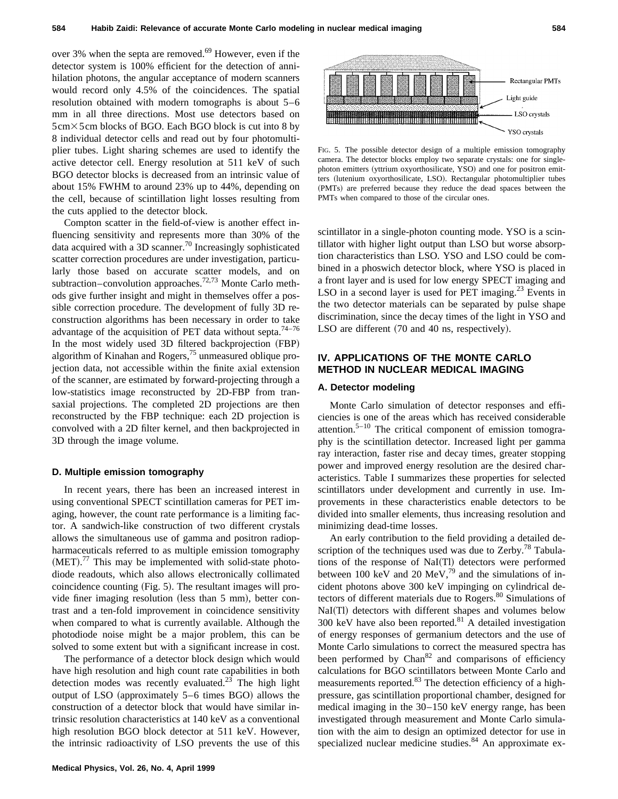over 3% when the septa are removed.<sup>69</sup> However, even if the detector system is 100% efficient for the detection of annihilation photons, the angular acceptance of modern scanners would record only 4.5% of the coincidences. The spatial resolution obtained with modern tomographs is about 5–6 mm in all three directions. Most use detectors based on 5cm×5cm blocks of BGO. Each BGO block is cut into 8 by 8 individual detector cells and read out by four photomultiplier tubes. Light sharing schemes are used to identify the active detector cell. Energy resolution at 511 keV of such BGO detector blocks is decreased from an intrinsic value of about 15% FWHM to around 23% up to 44%, depending on the cell, because of scintillation light losses resulting from the cuts applied to the detector block.

Compton scatter in the field-of-view is another effect influencing sensitivity and represents more than 30% of the data acquired with a 3D scanner.<sup>70</sup> Increasingly sophisticated scatter correction procedures are under investigation, particularly those based on accurate scatter models, and on subtraction–convolution approaches.<sup>72,73</sup> Monte Carlo methods give further insight and might in themselves offer a possible correction procedure. The development of fully 3D reconstruction algorithms has been necessary in order to take advantage of the acquisition of PET data without septa.<sup>74-76</sup> In the most widely used 3D filtered backprojection (FBP) algorithm of Kinahan and Rogers,<sup>75</sup> unmeasured oblique projection data, not accessible within the finite axial extension of the scanner, are estimated by forward-projecting through a low-statistics image reconstructed by 2D-FBP from transaxial projections. The completed 2D projections are then reconstructed by the FBP technique: each 2D projection is convolved with a 2D filter kernel, and then backprojected in 3D through the image volume.

#### **D. Multiple emission tomography**

In recent years, there has been an increased interest in using conventional SPECT scintillation cameras for PET imaging, however, the count rate performance is a limiting factor. A sandwich-like construction of two different crystals allows the simultaneous use of gamma and positron radiopharmaceuticals referred to as multiple emission tomography  $(MET).<sup>77</sup>$  This may be implemented with solid-state photodiode readouts, which also allows electronically collimated coincidence counting  $(Fig. 5)$ . The resultant images will provide finer imaging resolution (less than 5 mm), better contrast and a ten-fold improvement in coincidence sensitivity when compared to what is currently available. Although the photodiode noise might be a major problem, this can be solved to some extent but with a significant increase in cost.

The performance of a detector block design which would have high resolution and high count rate capabilities in both detection modes was recently evaluated.<sup>23</sup> The high light output of LSO (approximately  $5-6$  times BGO) allows the construction of a detector block that would have similar intrinsic resolution characteristics at 140 keV as a conventional high resolution BGO block detector at 511 keV. However, the intrinsic radioactivity of LSO prevents the use of this



FIG. 5. The possible detector design of a multiple emission tomography camera. The detector blocks employ two separate crystals: one for singlephoton emitters (yttrium oxyorthosilicate, YSO) and one for positron emitters (lutenium oxyorthosilicate, LSO). Rectangular photomultiplier tubes (PMTs) are preferred because they reduce the dead spaces between the PMTs when compared to those of the circular ones.

scintillator in a single-photon counting mode. YSO is a scintillator with higher light output than LSO but worse absorption characteristics than LSO. YSO and LSO could be combined in a phoswich detector block, where YSO is placed in a front layer and is used for low energy SPECT imaging and LSO in a second layer is used for PET imaging.<sup>23</sup> Events in the two detector materials can be separated by pulse shape discrimination, since the decay times of the light in YSO and LSO are different  $(70 \text{ and } 40 \text{ ns}, \text{ respectively}).$ 

# **IV. APPLICATIONS OF THE MONTE CARLO METHOD IN NUCLEAR MEDICAL IMAGING**

#### **A. Detector modeling**

Monte Carlo simulation of detector responses and efficiencies is one of the areas which has received considerable attention. $5-10$  The critical component of emission tomography is the scintillation detector. Increased light per gamma ray interaction, faster rise and decay times, greater stopping power and improved energy resolution are the desired characteristics. Table I summarizes these properties for selected scintillators under development and currently in use. Improvements in these characteristics enable detectors to be divided into smaller elements, thus increasing resolution and minimizing dead-time losses.

An early contribution to the field providing a detailed description of the techniques used was due to Zerby.<sup>78</sup> Tabulations of the response of  $NaI(Tl)$  detectors were performed between 100 keV and 20 MeV, $^{79}$  and the simulations of incident photons above 300 keV impinging on cylindrical detectors of different materials due to Rogers. $80$  Simulations of NaI(Tl) detectors with different shapes and volumes below 300 keV have also been reported. $81$  A detailed investigation of energy responses of germanium detectors and the use of Monte Carlo simulations to correct the measured spectra has been performed by  $Chan<sup>82</sup>$  and comparisons of efficiency calculations for BGO scintillators between Monte Carlo and measurements reported.<sup>83</sup> The detection efficiency of a highpressure, gas scintillation proportional chamber, designed for medical imaging in the 30–150 keV energy range, has been investigated through measurement and Monte Carlo simulation with the aim to design an optimized detector for use in specialized nuclear medicine studies.<sup>84</sup> An approximate ex-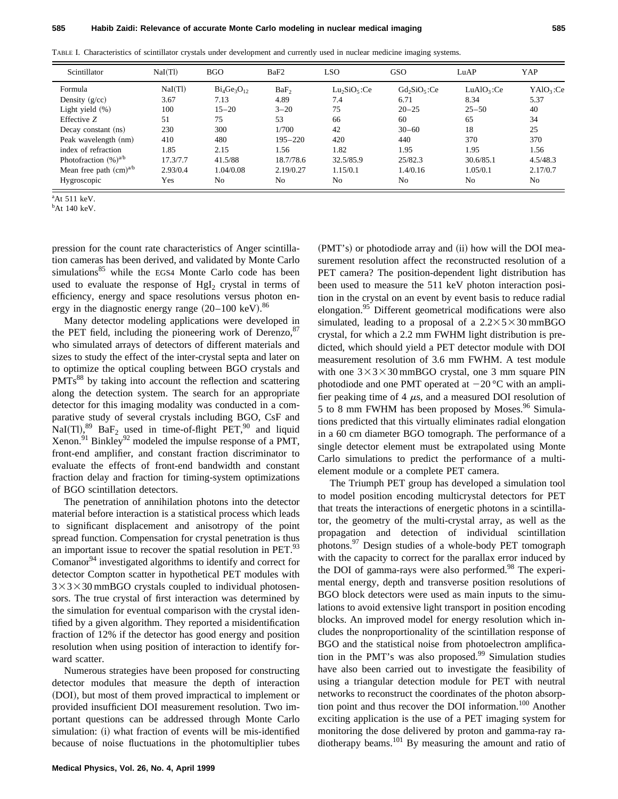TABLE I. Characteristics of scintillator crystals under development and currently used in nuclear medicine imaging systems.

| Scintillator                | NaI(Tl)  | <b>BGO</b>       | BaF2             | LSO                                  | GSO            | LuAP                   | YAP                   |
|-----------------------------|----------|------------------|------------------|--------------------------------------|----------------|------------------------|-----------------------|
| Formula                     | NaI(Tl)  | $Bi_4Ge_3O_{12}$ | BaF <sub>2</sub> | Lu <sub>2</sub> SiO <sub>5</sub> :Ce | $Gd_2SiO_5:Ce$ | LuAlO <sub>3</sub> :Ce | YAlO <sub>3</sub> :Ce |
| Density $(g/cc)$            | 3.67     | 7.13             | 4.89             | 7.4                                  | 6.71           | 8.34                   | 5.37                  |
| Light yield $(\%)$          | 100      | $15 - 20$        | $3 - 20$         | 75                                   | $20 - 25$      | $25 - 50$              | 40                    |
| Effective Z                 | 51       | 75               | 53               | 66                                   | 60             | 65                     | 34                    |
| Decay constant (ns)         | 230      | 300              | 1/700            | 42                                   | $30 - 60$      | 18                     | 25                    |
| Peak wavelength (nm)        | 410      | 480              | $195 - 220$      | 420                                  | 440            | 370                    | 370                   |
| index of refraction         | 1.85     | 2.15             | 1.56             | 1.82                                 | 1.95           | 1.95                   | 1.56                  |
| Photofraction $(\%)^{a/b}$  | 17.3/7.7 | 41.5/88          | 18.7/78.6        | 32.5/85.9                            | 25/82.3        | 30.6/85.1              | 4.5/48.3              |
| Mean free path $(cm)^{a/b}$ | 2.93/0.4 | 1.04/0.08        | 2.19/0.27        | 1.15/0.1                             | 1.4/0.16       | 1.05/0.1               | 2.17/0.7              |
| <b>Hygroscopic</b>          | Yes      | No               | N <sub>0</sub>   | No                                   | N <sub>0</sub> | N <sub>0</sub>         | No                    |

 $^{\circ}$ At 511 keV.

 $b$ At 140 keV.

pression for the count rate characteristics of Anger scintillation cameras has been derived, and validated by Monte Carlo simulations $85$  while the EGS4 Monte Carlo code has been used to evaluate the response of  $HgI_2$  crystal in terms of efficiency, energy and space resolutions versus photon energy in the diagnostic energy range  $(20-100 \text{ keV})$ .<sup>86</sup>

Many detector modeling applications were developed in the PET field, including the pioneering work of Derenzo, $87$ who simulated arrays of detectors of different materials and sizes to study the effect of the inter-crystal septa and later on to optimize the optical coupling between BGO crystals and PMTs<sup>88</sup> by taking into account the reflection and scattering along the detection system. The search for an appropriate detector for this imaging modality was conducted in a comparative study of several crystals including BGO, CsF and NaI(Tl),<sup>89</sup> BaF<sub>2</sub> used in time-of-flight PET,<sup>90</sup> and liquid Xenon.<sup>91</sup> Binkley<sup>92</sup> modeled the impulse response of a PMT, front-end amplifier, and constant fraction discriminator to evaluate the effects of front-end bandwidth and constant fraction delay and fraction for timing-system optimizations of BGO scintillation detectors.

The penetration of annihilation photons into the detector material before interaction is a statistical process which leads to significant displacement and anisotropy of the point spread function. Compensation for crystal penetration is thus an important issue to recover the spatial resolution in PET.<sup>93</sup> Comanor $94$  investigated algorithms to identify and correct for detector Compton scatter in hypothetical PET modules with  $3 \times 3 \times 30$  mmBGO crystals coupled to individual photosensors. The true crystal of first interaction was determined by the simulation for eventual comparison with the crystal identified by a given algorithm. They reported a misidentification fraction of 12% if the detector has good energy and position resolution when using position of interaction to identify forward scatter.

Numerous strategies have been proposed for constructing detector modules that measure the depth of interaction (DOI), but most of them proved impractical to implement or provided insufficient DOI measurement resolution. Two important questions can be addressed through Monte Carlo simulation: (i) what fraction of events will be mis-identified because of noise fluctuations in the photomultiplier tubes  $(PMT's)$  or photodiode array and  $(ii)$  how will the DOI measurement resolution affect the reconstructed resolution of a PET camera? The position-dependent light distribution has been used to measure the 511 keV photon interaction position in the crystal on an event by event basis to reduce radial elongation.<sup>95</sup> Different geometrical modifications were also simulated, leading to a proposal of a  $2.2 \times 5 \times 30$  mmBGO crystal, for which a 2.2 mm FWHM light distribution is predicted, which should yield a PET detector module with DOI measurement resolution of 3.6 mm FWHM. A test module with one  $3 \times 3 \times 30$  mmBGO crystal, one 3 mm square PIN photodiode and one PMT operated at  $-20$  °C with an amplifier peaking time of 4  $\mu$ s, and a measured DOI resolution of 5 to 8 mm FWHM has been proposed by Moses.<sup>96</sup> Simulations predicted that this virtually eliminates radial elongation in a 60 cm diameter BGO tomograph. The performance of a single detector element must be extrapolated using Monte Carlo simulations to predict the performance of a multielement module or a complete PET camera.

The Triumph PET group has developed a simulation tool to model position encoding multicrystal detectors for PET that treats the interactions of energetic photons in a scintillator, the geometry of the multi-crystal array, as well as the propagation and detection of individual scintillation photons.<sup>97</sup> Design studies of a whole-body PET tomograph with the capacity to correct for the parallax error induced by the DOI of gamma-rays were also performed.<sup>98</sup> The experimental energy, depth and transverse position resolutions of BGO block detectors were used as main inputs to the simulations to avoid extensive light transport in position encoding blocks. An improved model for energy resolution which includes the nonproportionality of the scintillation response of BGO and the statistical noise from photoelectron amplification in the PMT's was also proposed.<sup>99</sup> Simulation studies have also been carried out to investigate the feasibility of using a triangular detection module for PET with neutral networks to reconstruct the coordinates of the photon absorption point and thus recover the DOI information.<sup>100</sup> Another exciting application is the use of a PET imaging system for monitoring the dose delivered by proton and gamma-ray radiotherapy beams.101 By measuring the amount and ratio of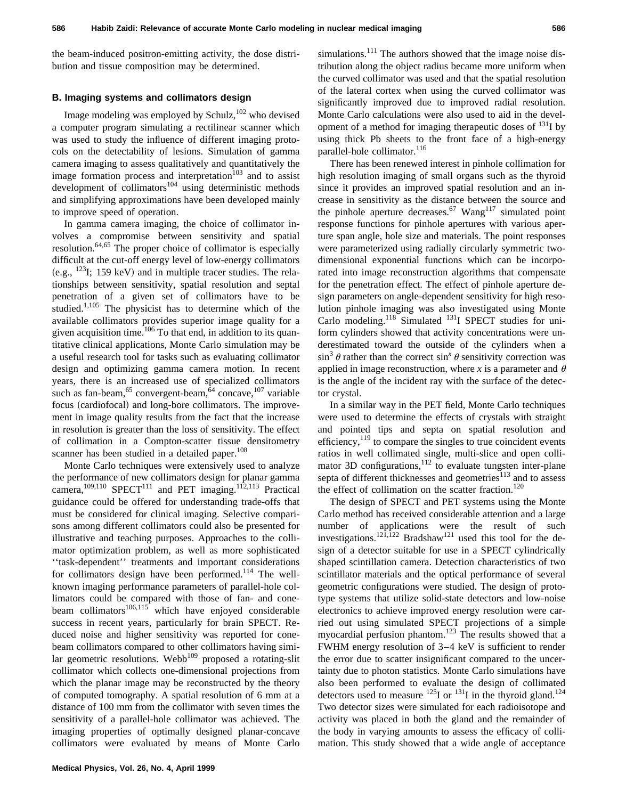the beam-induced positron-emitting activity, the dose distribution and tissue composition may be determined.

#### **B. Imaging systems and collimators design**

Image modeling was employed by Schulz,  $102$  who devised a computer program simulating a rectilinear scanner which was used to study the influence of different imaging protocols on the detectability of lesions. Simulation of gamma camera imaging to assess qualitatively and quantitatively the image formation process and interpretation<sup>103</sup> and to assist development of collimators<sup>104</sup> using deterministic methods and simplifying approximations have been developed mainly to improve speed of operation.

In gamma camera imaging, the choice of collimator involves a compromise between sensitivity and spatial resolution.<sup>64,65</sup> The proper choice of collimator is especially difficult at the cut-off energy level of low-energy collimators (e.g.,  $^{123}$ I; 159 keV) and in multiple tracer studies. The relationships between sensitivity, spatial resolution and septal penetration of a given set of collimators have to be studied.<sup>1,105</sup> The physicist has to determine which of the available collimators provides superior image quality for a given acquisition time.<sup> $106$ </sup> To that end, in addition to its quantitative clinical applications, Monte Carlo simulation may be a useful research tool for tasks such as evaluating collimator design and optimizing gamma camera motion. In recent years, there is an increased use of specialized collimators such as fan-beam,  $65$  convergent-beam,  $64$  concave,  $107$  variable focus (cardiofocal) and long-bore collimators. The improvement in image quality results from the fact that the increase in resolution is greater than the loss of sensitivity. The effect of collimation in a Compton-scatter tissue densitometry scanner has been studied in a detailed paper.<sup>108</sup>

Monte Carlo techniques were extensively used to analyze the performance of new collimators design for planar gamma camera,<sup>109,110</sup> SPECT<sup>111</sup> and PET imaging.<sup>112,113</sup> Practical guidance could be offered for understanding trade-offs that must be considered for clinical imaging. Selective comparisons among different collimators could also be presented for illustrative and teaching purposes. Approaches to the collimator optimization problem, as well as more sophisticated ''task-dependent'' treatments and important considerations for collimators design have been performed.<sup>114</sup> The wellknown imaging performance parameters of parallel-hole collimators could be compared with those of fan- and conebeam collimators<sup>106,115</sup> which have enjoyed considerable success in recent years, particularly for brain SPECT. Reduced noise and higher sensitivity was reported for conebeam collimators compared to other collimators having similar geometric resolutions. Webb<sup>109</sup> proposed a rotating-slit collimator which collects one-dimensional projections from which the planar image may be reconstructed by the theory of computed tomography. A spatial resolution of 6 mm at a distance of 100 mm from the collimator with seven times the sensitivity of a parallel-hole collimator was achieved. The imaging properties of optimally designed planar-concave collimators were evaluated by means of Monte Carlo simulations.<sup>111</sup> The authors showed that the image noise distribution along the object radius became more uniform when the curved collimator was used and that the spatial resolution of the lateral cortex when using the curved collimator was significantly improved due to improved radial resolution. Monte Carlo calculations were also used to aid in the development of a method for imaging therapeutic doses of <sup>131</sup>I by using thick Pb sheets to the front face of a high-energy parallel-hole collimator.<sup>116</sup>

There has been renewed interest in pinhole collimation for high resolution imaging of small organs such as the thyroid since it provides an improved spatial resolution and an increase in sensitivity as the distance between the source and the pinhole aperture decreases.<sup>67</sup> Wang<sup>117</sup> simulated point response functions for pinhole apertures with various aperture span angle, hole size and materials. The point responses were parameterized using radially circularly symmetric twodimensional exponential functions which can be incorporated into image reconstruction algorithms that compensate for the penetration effect. The effect of pinhole aperture design parameters on angle-dependent sensitivity for high resolution pinhole imaging was also investigated using Monte Carlo modeling.<sup>118</sup> Simulated <sup>131</sup>I SPECT studies for uniform cylinders showed that activity concentrations were underestimated toward the outside of the cylinders when a  $\sin^3 \theta$  rather than the correct  $\sin^x \theta$  sensitivity correction was applied in image reconstruction, where *x* is a parameter and  $\theta$ is the angle of the incident ray with the surface of the detector crystal.

In a similar way in the PET field, Monte Carlo techniques were used to determine the effects of crystals with straight and pointed tips and septa on spatial resolution and efficiency, $119$  to compare the singles to true coincident events ratios in well collimated single, multi-slice and open collimator 3D configurations, $112$  to evaluate tungsten inter-plane septa of different thicknesses and geometries $113$  and to assess the effect of collimation on the scatter fraction.<sup>120</sup>

The design of SPECT and PET systems using the Monte Carlo method has received considerable attention and a large number of applications were the result of such investigations.<sup>121,122</sup> Bradshaw<sup>121</sup> used this tool for the design of a detector suitable for use in a SPECT cylindrically shaped scintillation camera. Detection characteristics of two scintillator materials and the optical performance of several geometric configurations were studied. The design of prototype systems that utilize solid-state detectors and low-noise electronics to achieve improved energy resolution were carried out using simulated SPECT projections of a simple myocardial perfusion phantom.<sup>123</sup> The results showed that a FWHM energy resolution of 3–4 keV is sufficient to render the error due to scatter insignificant compared to the uncertainty due to photon statistics. Monte Carlo simulations have also been performed to evaluate the design of collimated detectors used to measure  $^{125}I$  or  $^{131}I$  in the thyroid gland.<sup>124</sup> Two detector sizes were simulated for each radioisotope and activity was placed in both the gland and the remainder of the body in varying amounts to assess the efficacy of collimation. This study showed that a wide angle of acceptance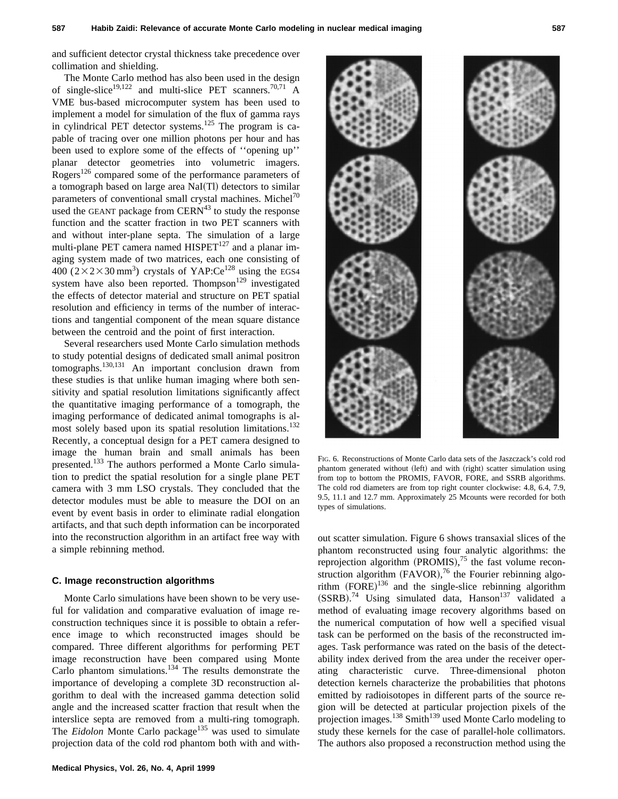and sufficient detector crystal thickness take precedence over collimation and shielding.

The Monte Carlo method has also been used in the design of single-slice<sup>19,122</sup> and multi-slice PET scanners.<sup>70,71</sup> A VME bus-based microcomputer system has been used to implement a model for simulation of the flux of gamma rays in cylindrical PET detector systems.<sup>125</sup> The program is capable of tracing over one million photons per hour and has been used to explore some of the effects of ''opening up'' planar detector geometries into volumetric imagers. Rogers<sup>126</sup> compared some of the performance parameters of a tomograph based on large area NaI(Tl) detectors to similar parameters of conventional small crystal machines. Michel<sup>70</sup> used the GEANT package from  $CERN<sup>43</sup>$  to study the response function and the scatter fraction in two PET scanners with and without inter-plane septa. The simulation of a large multi-plane PET camera named  $HISPET^{127}$  and a planar imaging system made of two matrices, each one consisting of 400 ( $2 \times 2 \times 30$  mm<sup>3</sup>) crystals of YAP:Ce<sup>128</sup> using the EGS4 system have also been reported. Thompson $129$  investigated the effects of detector material and structure on PET spatial resolution and efficiency in terms of the number of interactions and tangential component of the mean square distance between the centroid and the point of first interaction.

Several researchers used Monte Carlo simulation methods to study potential designs of dedicated small animal positron tomographs.130,131 An important conclusion drawn from these studies is that unlike human imaging where both sensitivity and spatial resolution limitations significantly affect the quantitative imaging performance of a tomograph, the imaging performance of dedicated animal tomographs is almost solely based upon its spatial resolution limitations.<sup>132</sup> Recently, a conceptual design for a PET camera designed to image the human brain and small animals has been presented.133 The authors performed a Monte Carlo simulation to predict the spatial resolution for a single plane PET camera with 3 mm LSO crystals. They concluded that the detector modules must be able to measure the DOI on an event by event basis in order to eliminate radial elongation artifacts, and that such depth information can be incorporated into the reconstruction algorithm in an artifact free way with a simple rebinning method.

### **C. Image reconstruction algorithms**

Monte Carlo simulations have been shown to be very useful for validation and comparative evaluation of image reconstruction techniques since it is possible to obtain a reference image to which reconstructed images should be compared. Three different algorithms for performing PET image reconstruction have been compared using Monte Carlo phantom simulations.<sup>134</sup> The results demonstrate the importance of developing a complete 3D reconstruction algorithm to deal with the increased gamma detection solid angle and the increased scatter fraction that result when the interslice septa are removed from a multi-ring tomograph. The *Eidolon* Monte Carlo package<sup>135</sup> was used to simulate projection data of the cold rod phantom both with and with-



FIG. 6. Reconstructions of Monte Carlo data sets of the Jaszczack's cold rod phantom generated without (left) and with (right) scatter simulation using from top to bottom the PROMIS, FAVOR, FORE, and SSRB algorithms. The cold rod diameters are from top right counter clockwise: 4.8, 6.4, 7.9, 9.5, 11.1 and 12.7 mm. Approximately 25 Mcounts were recorded for both types of simulations.

out scatter simulation. Figure 6 shows transaxial slices of the phantom reconstructed using four analytic algorithms: the reprojection algorithm  $(PROMIS)$ ,<sup>75</sup> the fast volume reconstruction algorithm (FAVOR),<sup>76</sup> the Fourier rebinning algorithm  $(FORE)^{136}$  and the single-slice rebinning algorithm  $(SSRB).<sup>74</sup>$  Using simulated data, Hanson<sup>137</sup> validated a method of evaluating image recovery algorithms based on the numerical computation of how well a specified visual task can be performed on the basis of the reconstructed images. Task performance was rated on the basis of the detectability index derived from the area under the receiver operating characteristic curve. Three-dimensional photon detection kernels characterize the probabilities that photons emitted by radioisotopes in different parts of the source region will be detected at particular projection pixels of the projection images.<sup>138</sup> Smith<sup>139</sup> used Monte Carlo modeling to study these kernels for the case of parallel-hole collimators. The authors also proposed a reconstruction method using the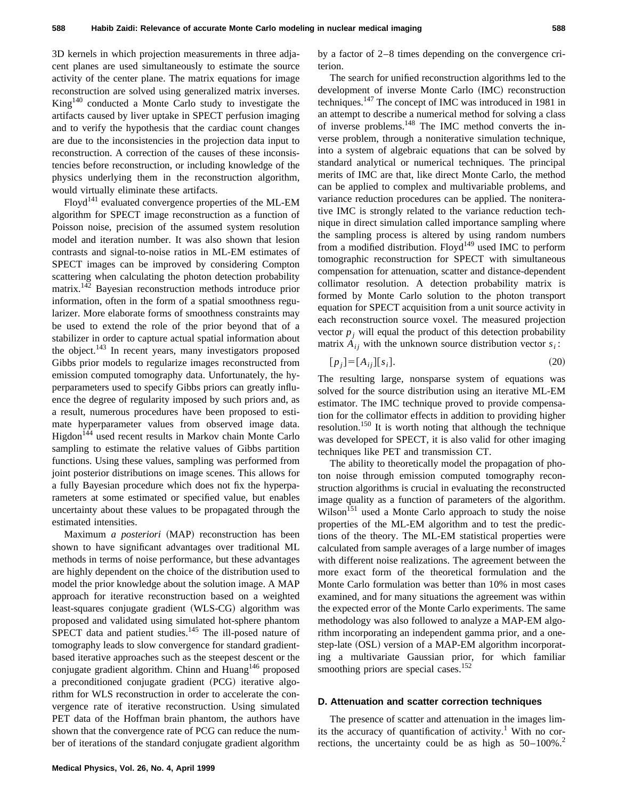3D kernels in which projection measurements in three adjacent planes are used simultaneously to estimate the source activity of the center plane. The matrix equations for image reconstruction are solved using generalized matrix inverses.  $King<sup>140</sup>$  conducted a Monte Carlo study to investigate the artifacts caused by liver uptake in SPECT perfusion imaging and to verify the hypothesis that the cardiac count changes are due to the inconsistencies in the projection data input to reconstruction. A correction of the causes of these inconsistencies before reconstruction, or including knowledge of the physics underlying them in the reconstruction algorithm, would virtually eliminate these artifacts.

Floyd<sup>141</sup> evaluated convergence properties of the ML-EM algorithm for SPECT image reconstruction as a function of Poisson noise, precision of the assumed system resolution model and iteration number. It was also shown that lesion contrasts and signal-to-noise ratios in ML-EM estimates of SPECT images can be improved by considering Compton scattering when calculating the photon detection probability matrix.<sup>142</sup> Bayesian reconstruction methods introduce prior information, often in the form of a spatial smoothness regularizer. More elaborate forms of smoothness constraints may be used to extend the role of the prior beyond that of a stabilizer in order to capture actual spatial information about the object.<sup>143</sup> In recent years, many investigators proposed Gibbs prior models to regularize images reconstructed from emission computed tomography data. Unfortunately, the hyperparameters used to specify Gibbs priors can greatly influence the degree of regularity imposed by such priors and, as a result, numerous procedures have been proposed to estimate hyperparameter values from observed image data. Higdon<sup>144</sup> used recent results in Markov chain Monte Carlo sampling to estimate the relative values of Gibbs partition functions. Using these values, sampling was performed from joint posterior distributions on image scenes. This allows for a fully Bayesian procedure which does not fix the hyperparameters at some estimated or specified value, but enables uncertainty about these values to be propagated through the estimated intensities.

Maximum *a posteriori* (MAP) reconstruction has been shown to have significant advantages over traditional ML methods in terms of noise performance, but these advantages are highly dependent on the choice of the distribution used to model the prior knowledge about the solution image. A MAP approach for iterative reconstruction based on a weighted least-squares conjugate gradient (WLS-CG) algorithm was proposed and validated using simulated hot-sphere phantom SPECT data and patient studies.<sup>145</sup> The ill-posed nature of tomography leads to slow convergence for standard gradientbased iterative approaches such as the steepest descent or the conjugate gradient algorithm. Chinn and  $Huang<sup>146</sup>$  proposed a preconditioned conjugate gradient (PCG) iterative algorithm for WLS reconstruction in order to accelerate the convergence rate of iterative reconstruction. Using simulated PET data of the Hoffman brain phantom, the authors have shown that the convergence rate of PCG can reduce the number of iterations of the standard conjugate gradient algorithm by a factor of 2–8 times depending on the convergence criterion.

The search for unified reconstruction algorithms led to the development of inverse Monte Carlo (IMC) reconstruction techniques.<sup>147</sup> The concept of IMC was introduced in 1981 in an attempt to describe a numerical method for solving a class of inverse problems.148 The IMC method converts the inverse problem, through a noniterative simulation technique, into a system of algebraic equations that can be solved by standard analytical or numerical techniques. The principal merits of IMC are that, like direct Monte Carlo, the method can be applied to complex and multivariable problems, and variance reduction procedures can be applied. The noniterative IMC is strongly related to the variance reduction technique in direct simulation called importance sampling where the sampling process is altered by using random numbers from a modified distribution. Floyd<sup>149</sup> used IMC to perform tomographic reconstruction for SPECT with simultaneous compensation for attenuation, scatter and distance-dependent collimator resolution. A detection probability matrix is formed by Monte Carlo solution to the photon transport equation for SPECT acquisition from a unit source activity in each reconstruction source voxel. The measured projection vector  $p_i$  will equal the product of this detection probability matrix  $A_{ij}$  with the unknown source distribution vector  $s_i$ :

$$
[p_j] = [A_{ij}][s_i]. \tag{20}
$$

The resulting large, nonsparse system of equations was solved for the source distribution using an iterative ML-EM estimator. The IMC technique proved to provide compensation for the collimator effects in addition to providing higher resolution.<sup>150</sup> It is worth noting that although the technique was developed for SPECT, it is also valid for other imaging techniques like PET and transmission CT.

The ability to theoretically model the propagation of photon noise through emission computed tomography reconstruction algorithms is crucial in evaluating the reconstructed image quality as a function of parameters of the algorithm. Wilson<sup>151</sup> used a Monte Carlo approach to study the noise properties of the ML-EM algorithm and to test the predictions of the theory. The ML-EM statistical properties were calculated from sample averages of a large number of images with different noise realizations. The agreement between the more exact form of the theoretical formulation and the Monte Carlo formulation was better than 10% in most cases examined, and for many situations the agreement was within the expected error of the Monte Carlo experiments. The same methodology was also followed to analyze a MAP-EM algorithm incorporating an independent gamma prior, and a onestep-late (OSL) version of a MAP-EM algorithm incorporating a multivariate Gaussian prior, for which familiar smoothing priors are special cases.<sup>152</sup>

#### **D. Attenuation and scatter correction techniques**

The presence of scatter and attenuation in the images limits the accuracy of quantification of activity.<sup>1</sup> With no corrections, the uncertainty could be as high as  $50-100\%$ <sup>2</sup>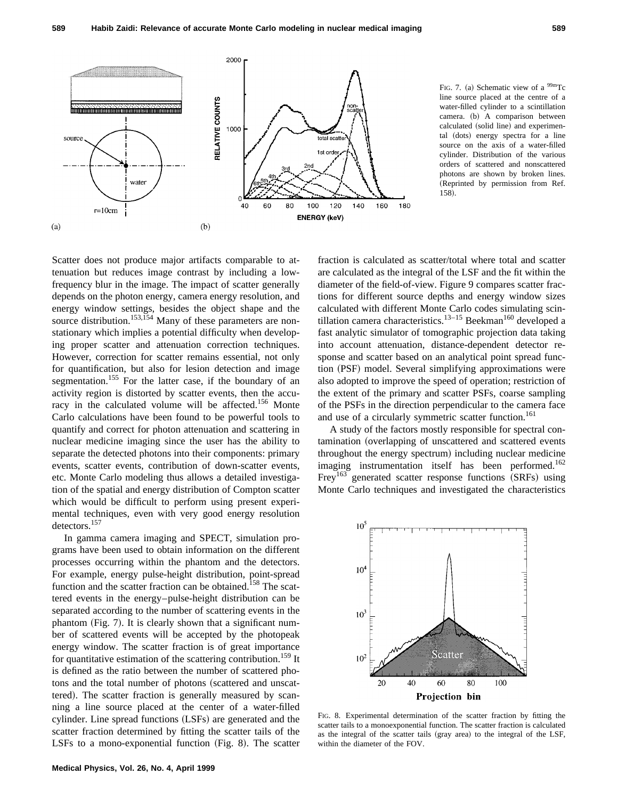

FIG. 7. (a) Schematic view of a  $99mTc$ line source placed at the centre of a water-filled cylinder to a scintillation camera. (b) A comparison between calculated (solid line) and experimental (dots) energy spectra for a line source on the axis of a water-filled cylinder. Distribution of the various orders of scattered and nonscattered photons are shown by broken lines. (Reprinted by permission from Ref. 158).

Scatter does not produce major artifacts comparable to attenuation but reduces image contrast by including a lowfrequency blur in the image. The impact of scatter generally depends on the photon energy, camera energy resolution, and energy window settings, besides the object shape and the source distribution.<sup>153,154</sup> Many of these parameters are nonstationary which implies a potential difficulty when developing proper scatter and attenuation correction techniques. However, correction for scatter remains essential, not only for quantification, but also for lesion detection and image segmentation.<sup>155</sup> For the latter case, if the boundary of an activity region is distorted by scatter events, then the accuracy in the calculated volume will be affected.<sup>156</sup> Monte Carlo calculations have been found to be powerful tools to quantify and correct for photon attenuation and scattering in nuclear medicine imaging since the user has the ability to separate the detected photons into their components: primary events, scatter events, contribution of down-scatter events, etc. Monte Carlo modeling thus allows a detailed investigation of the spatial and energy distribution of Compton scatter which would be difficult to perform using present experimental techniques, even with very good energy resolution detectors.<sup>157</sup>

In gamma camera imaging and SPECT, simulation programs have been used to obtain information on the different processes occurring within the phantom and the detectors. For example, energy pulse-height distribution, point-spread function and the scatter fraction can be obtained.<sup>158</sup> The scattered events in the energy–pulse-height distribution can be separated according to the number of scattering events in the phantom  $(Fig. 7)$ . It is clearly shown that a significant number of scattered events will be accepted by the photopeak energy window. The scatter fraction is of great importance for quantitative estimation of the scattering contribution.<sup>159</sup> It is defined as the ratio between the number of scattered photons and the total number of photons (scattered and unscattered). The scatter fraction is generally measured by scanning a line source placed at the center of a water-filled cylinder. Line spread functions (LSFs) are generated and the scatter fraction determined by fitting the scatter tails of the LSFs to a mono-exponential function  $(Fig. 8)$ . The scatter fraction is calculated as scatter/total where total and scatter are calculated as the integral of the LSF and the fit within the diameter of the field-of-view. Figure 9 compares scatter fractions for different source depths and energy window sizes calculated with different Monte Carlo codes simulating scintillation camera characteristics.<sup>13-15</sup> Beekman<sup>160</sup> developed a fast analytic simulator of tomographic projection data taking into account attenuation, distance-dependent detector response and scatter based on an analytical point spread function (PSF) model. Several simplifying approximations were also adopted to improve the speed of operation; restriction of the extent of the primary and scatter PSFs, coarse sampling of the PSFs in the direction perpendicular to the camera face and use of a circularly symmetric scatter function.<sup>161</sup>

A study of the factors mostly responsible for spectral contamination (overlapping of unscattered and scattered events throughout the energy spectrum) including nuclear medicine imaging instrumentation itself has been performed.<sup>162</sup> Frey<sup>163</sup> generated scatter response functions  $(SRFs)$  using Monte Carlo techniques and investigated the characteristics



FIG. 8. Experimental determination of the scatter fraction by fitting the scatter tails to a monoexponential function. The scatter fraction is calculated as the integral of the scatter tails (gray area) to the integral of the LSF, within the diameter of the FOV.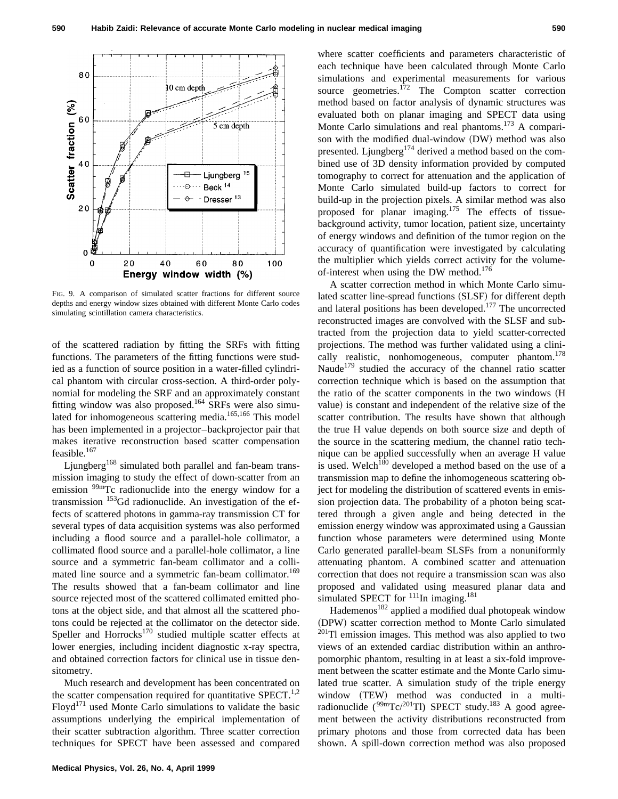

FIG. 9. A comparison of simulated scatter fractions for different source depths and energy window sizes obtained with different Monte Carlo codes simulating scintillation camera characteristics.

of the scattered radiation by fitting the SRFs with fitting functions. The parameters of the fitting functions were studied as a function of source position in a water-filled cylindrical phantom with circular cross-section. A third-order polynomial for modeling the SRF and an approximately constant fitting window was also proposed.<sup>164</sup> SRFs were also simulated for inhomogeneous scattering media.<sup>165,166</sup> This model has been implemented in a projector–backprojector pair that makes iterative reconstruction based scatter compensation feasible.<sup>167</sup>

Ljungberg<sup>168</sup> simulated both parallel and fan-beam transmission imaging to study the effect of down-scatter from an emission <sup>99m</sup>Tc radionuclide into the energy window for a transmission 153Gd radionuclide. An investigation of the effects of scattered photons in gamma-ray transmission CT for several types of data acquisition systems was also performed including a flood source and a parallel-hole collimator, a collimated flood source and a parallel-hole collimator, a line source and a symmetric fan-beam collimator and a collimated line source and a symmetric fan-beam collimator.<sup>169</sup> The results showed that a fan-beam collimator and line source rejected most of the scattered collimated emitted photons at the object side, and that almost all the scattered photons could be rejected at the collimator on the detector side. Speller and Horrocks<sup>170</sup> studied multiple scatter effects at lower energies, including incident diagnostic x-ray spectra, and obtained correction factors for clinical use in tissue densitometry.

Much research and development has been concentrated on the scatter compensation required for quantitative SPECT.<sup>1,2</sup>  $Floyd<sup>171</sup>$  used Monte Carlo simulations to validate the basic assumptions underlying the empirical implementation of their scatter subtraction algorithm. Three scatter correction techniques for SPECT have been assessed and compared where scatter coefficients and parameters characteristic of each technique have been calculated through Monte Carlo simulations and experimental measurements for various source geometries. $1^{72}$  The Compton scatter correction method based on factor analysis of dynamic structures was evaluated both on planar imaging and SPECT data using Monte Carlo simulations and real phantoms.<sup>173</sup> A comparison with the modified dual-window (DW) method was also presented. Ljungberg<sup>174</sup> derived a method based on the combined use of 3D density information provided by computed tomography to correct for attenuation and the application of Monte Carlo simulated build-up factors to correct for build-up in the projection pixels. A similar method was also proposed for planar imaging.<sup>175</sup> The effects of tissuebackground activity, tumor location, patient size, uncertainty of energy windows and definition of the tumor region on the accuracy of quantification were investigated by calculating the multiplier which yields correct activity for the volumeof-interest when using the DW method.<sup>176</sup>

A scatter correction method in which Monte Carlo simulated scatter line-spread functions (SLSF) for different depth and lateral positions has been developed.177 The uncorrected reconstructed images are convolved with the SLSF and subtracted from the projection data to yield scatter-corrected projections. The method was further validated using a clinically realistic, nonhomogeneous, computer phantom.<sup>178</sup> Naude $179$  studied the accuracy of the channel ratio scatter correction technique which is based on the assumption that the ratio of the scatter components in the two windows (H value) is constant and independent of the relative size of the scatter contribution. The results have shown that although the true H value depends on both source size and depth of the source in the scattering medium, the channel ratio technique can be applied successfully when an average H value is used. Welch<sup>180</sup> developed a method based on the use of a transmission map to define the inhomogeneous scattering object for modeling the distribution of scattered events in emission projection data. The probability of a photon being scattered through a given angle and being detected in the emission energy window was approximated using a Gaussian function whose parameters were determined using Monte Carlo generated parallel-beam SLSFs from a nonuniformly attenuating phantom. A combined scatter and attenuation correction that does not require a transmission scan was also proposed and validated using measured planar data and simulated SPECT for  $\frac{111}{n}$  imaging.<sup>181</sup>

Hademenos<sup>182</sup> applied a modified dual photopeak window (DPW) scatter correction method to Monte Carlo simulated <sup>201</sup>Tl emission images. This method was also applied to two views of an extended cardiac distribution within an anthropomorphic phantom, resulting in at least a six-fold improvement between the scatter estimate and the Monte Carlo simulated true scatter. A simulation study of the triple energy window (TEW) method was conducted in a multiradionuclide ( $99mTc/201Tl$ ) SPECT study.<sup>183</sup> A good agreement between the activity distributions reconstructed from primary photons and those from corrected data has been shown. A spill-down correction method was also proposed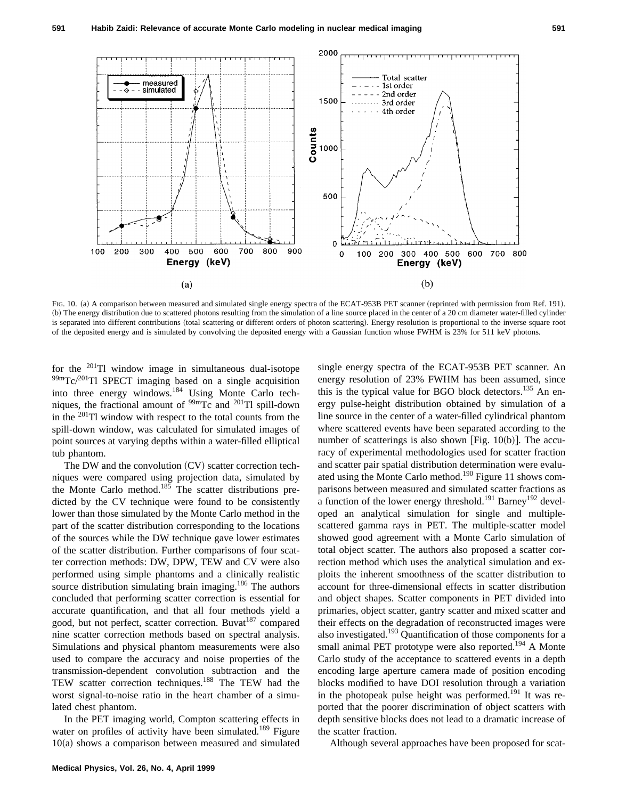

FIG. 10. (a) A comparison between measured and simulated single energy spectra of the ECAT-953B PET scanner (reprinted with permission from Ref. 191). ~b! The energy distribution due to scattered photons resulting from the simulation of a line source placed in the center of a 20 cm diameter water-filled cylinder is separated into different contributions (total scattering or different orders of photon scattering). Energy resolution is proportional to the inverse square root of the deposited energy and is simulated by convolving the deposited energy with a Gaussian function whose FWHM is 23% for 511 keV photons.

for the  $^{201}$ Tl window image in simultaneous dual-isotope  $^{99m}$ Tc/<sup>201</sup>Tl SPECT imaging based on a single acquisition into three energy windows.<sup>184</sup> Using Monte Carlo techniques, the fractional amount of  $99m$ Tc and  $201$ Tl spill-down in the  $^{201}$ Tl window with respect to the total counts from the spill-down window, was calculated for simulated images of point sources at varying depths within a water-filled elliptical tub phantom.

The DW and the convolution  $(CV)$  scatter correction techniques were compared using projection data, simulated by the Monte Carlo method.<sup>185</sup> The scatter distributions predicted by the CV technique were found to be consistently lower than those simulated by the Monte Carlo method in the part of the scatter distribution corresponding to the locations of the sources while the DW technique gave lower estimates of the scatter distribution. Further comparisons of four scatter correction methods: DW, DPW, TEW and CV were also performed using simple phantoms and a clinically realistic source distribution simulating brain imaging.<sup>186</sup> The authors concluded that performing scatter correction is essential for accurate quantification, and that all four methods yield a good, but not perfect, scatter correction. Buvat<sup>187</sup> compared nine scatter correction methods based on spectral analysis. Simulations and physical phantom measurements were also used to compare the accuracy and noise properties of the transmission-dependent convolution subtraction and the TEW scatter correction techniques.188 The TEW had the worst signal-to-noise ratio in the heart chamber of a simulated chest phantom.

In the PET imaging world, Compton scattering effects in water on profiles of activity have been simulated.<sup>189</sup> Figure  $10(a)$  shows a comparison between measured and simulated single energy spectra of the ECAT-953B PET scanner. An energy resolution of 23% FWHM has been assumed, since this is the typical value for BGO block detectors.<sup>135</sup> An energy pulse-height distribution obtained by simulation of a line source in the center of a water-filled cylindrical phantom where scattered events have been separated according to the number of scatterings is also shown [Fig.  $10(b)$ ]. The accuracy of experimental methodologies used for scatter fraction and scatter pair spatial distribution determination were evaluated using the Monte Carlo method.<sup>190</sup> Figure 11 shows comparisons between measured and simulated scatter fractions as a function of the lower energy threshold.<sup>191</sup> Barney<sup>192</sup> developed an analytical simulation for single and multiplescattered gamma rays in PET. The multiple-scatter model showed good agreement with a Monte Carlo simulation of total object scatter. The authors also proposed a scatter correction method which uses the analytical simulation and exploits the inherent smoothness of the scatter distribution to account for three-dimensional effects in scatter distribution and object shapes. Scatter components in PET divided into primaries, object scatter, gantry scatter and mixed scatter and their effects on the degradation of reconstructed images were also investigated.<sup>193</sup> Quantification of those components for a small animal PET prototype were also reported.<sup>194</sup> A Monte Carlo study of the acceptance to scattered events in a depth encoding large aperture camera made of position encoding blocks modified to have DOI resolution through a variation in the photopeak pulse height was performed.<sup>191</sup> It was reported that the poorer discrimination of object scatters with depth sensitive blocks does not lead to a dramatic increase of the scatter fraction.

Although several approaches have been proposed for scat-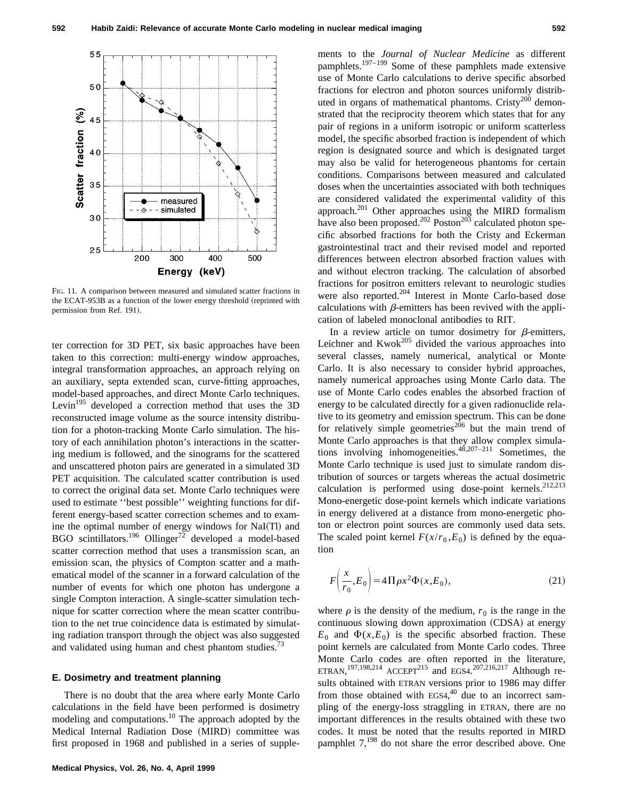

FIG. 11. A comparison between measured and simulated scatter fractions in the ECAT-953B as a function of the lower energy threshold (reprinted with permission from Ref. 191).

ter correction for 3D PET, six basic approaches have been taken to this correction: multi-energy window approaches, integral transformation approaches, an approach relying on an auxiliary, septa extended scan, curve-fitting approaches, model-based approaches, and direct Monte Carlo techniques. Levin<sup>195</sup> developed a correction method that uses the  $3D$ reconstructed image volume as the source intensity distribution for a photon-tracking Monte Carlo simulation. The history of each annihilation photon's interactions in the scattering medium is followed, and the sinograms for the scattered and unscattered photon pairs are generated in a simulated 3D PET acquisition. The calculated scatter contribution is used to correct the original data set. Monte Carlo techniques were used to estimate ''best possible'' weighting functions for different energy-based scatter correction schemes and to examine the optimal number of energy windows for  $NaI(Tl)$  and BGO scintillators.<sup>196</sup> Ollinger<sup>72</sup> developed a model-based scatter correction method that uses a transmission scan, an emission scan, the physics of Compton scatter and a mathematical model of the scanner in a forward calculation of the number of events for which one photon has undergone a single Compton interaction. A single-scatter simulation technique for scatter correction where the mean scatter contribution to the net true coincidence data is estimated by simulating radiation transport through the object was also suggested and validated using human and chest phantom studies.<sup>73</sup>

### **E. Dosimetry and treatment planning**

There is no doubt that the area where early Monte Carlo calculations in the field have been performed is dosimetry modeling and computations.<sup>10</sup> The approach adopted by the Medical Internal Radiation Dose (MIRD) committee was first proposed in 1968 and published in a series of supplements to the *Journal of Nuclear Medicine* as different pamphlets.<sup>197–199</sup> Some of these pamphlets made extensive use of Monte Carlo calculations to derive specific absorbed fractions for electron and photon sources uniformly distributed in organs of mathematical phantoms. Cristy<sup>200</sup> demonstrated that the reciprocity theorem which states that for any pair of regions in a uniform isotropic or uniform scatterless model, the specific absorbed fraction is independent of which region is designated source and which is designated target may also be valid for heterogeneous phantoms for certain conditions. Comparisons between measured and calculated doses when the uncertainties associated with both techniques are considered validated the experimental validity of this approach.<sup>201</sup> Other approaches using the MIRD formalism have also been proposed.<sup>202</sup> Poston<sup>203</sup> calculated photon specific absorbed fractions for both the Cristy and Eckerman gastrointestinal tract and their revised model and reported differences between electron absorbed fraction values with and without electron tracking. The calculation of absorbed fractions for positron emitters relevant to neurologic studies were also reported.<sup>204</sup> Interest in Monte Carlo-based dose calculations with  $\beta$ -emitters has been revived with the application of labeled monoclonal antibodies to RIT.

In a review article on tumor dosimetry for  $\beta$ -emitters, Leichner and Kwok<sup>205</sup> divided the various approaches into several classes, namely numerical, analytical or Monte Carlo. It is also necessary to consider hybrid approaches, namely numerical approaches using Monte Carlo data. The use of Monte Carlo codes enables the absorbed fraction of energy to be calculated directly for a given radionuclide relative to its geometry and emission spectrum. This can be done for relatively simple geometries<sup>206</sup> but the main trend of Monte Carlo approaches is that they allow complex simulations involving inhomogeneities. $48,207-211$  Sometimes, the Monte Carlo technique is used just to simulate random distribution of sources or targets whereas the actual dosimetric calculation is performed using dose-point kernels.<sup>212,213</sup> Mono-energetic dose-point kernels which indicate variations in energy delivered at a distance from mono-energetic photon or electron point sources are commonly used data sets. The scaled point kernel  $F(x/r_0, E_0)$  is defined by the equation

$$
F\left(\frac{x}{r_0}, E_0\right) = 4\Pi \rho x^2 \Phi(x, E_0),\tag{21}
$$

where  $\rho$  is the density of the medium,  $r_0$  is the range in the continuous slowing down approximation (CDSA) at energy  $E_0$  and  $\Phi(x, E_0)$  is the specific absorbed fraction. These point kernels are calculated from Monte Carlo codes. Three Monte Carlo codes are often reported in the literature, ETRAN,<sup>197,198,214</sup> ACCEPT<sup>215</sup> and EGS4.<sup>207,216,217</sup> Although results obtained with ETRAN versions prior to 1986 may differ from those obtained with EGS4,<sup>40</sup> due to an incorrect sampling of the energy-loss straggling in ETRAN, there are no important differences in the results obtained with these two codes. It must be noted that the results reported in MIRD pamphlet 7,<sup>198</sup> do not share the error described above. One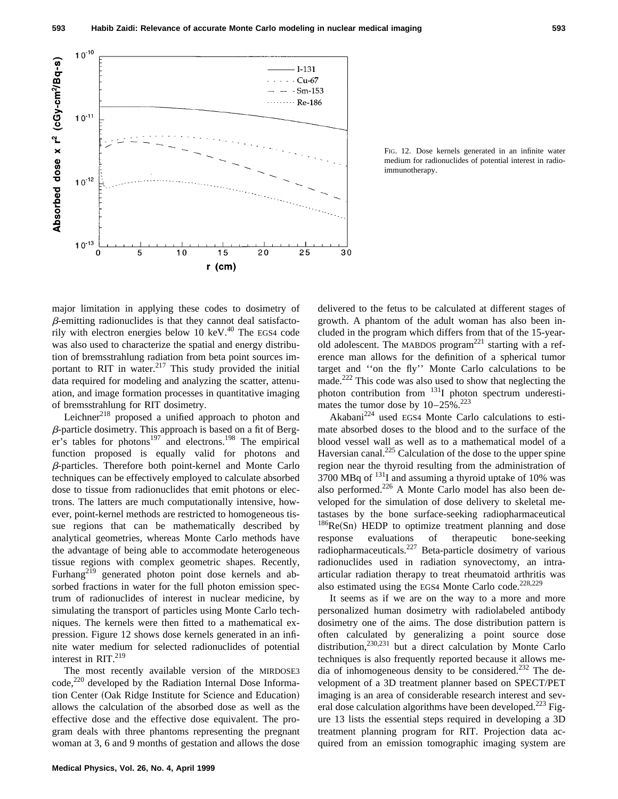

FIG. 12. Dose kernels generated in an infinite water medium for radionuclides of potential interest in radioimmunotherapy.

major limitation in applying these codes to dosimetry of  $\beta$ -emitting radionuclides is that they cannot deal satisfactorily with electron energies below 10 keV. $40$  The EGS4 code was also used to characterize the spatial and energy distribution of bremsstrahlung radiation from beta point sources important to RIT in water.<sup>217</sup> This study provided the initial data required for modeling and analyzing the scatter, attenuation, and image formation processes in quantitative imaging of bremsstrahlung for RIT dosimetry.

Leichner<sup>218</sup> proposed a unified approach to photon and  $\beta$ -particle dosimetry. This approach is based on a fit of Berger's tables for photons<sup>197</sup> and electrons.<sup>198</sup> The empirical function proposed is equally valid for photons and  $\beta$ -particles. Therefore both point-kernel and Monte Carlo techniques can be effectively employed to calculate absorbed dose to tissue from radionuclides that emit photons or electrons. The latters are much computationally intensive, however, point-kernel methods are restricted to homogeneous tissue regions that can be mathematically described by analytical geometries, whereas Monte Carlo methods have the advantage of being able to accommodate heterogeneous tissue regions with complex geometric shapes. Recently, Furhang<sup>219</sup> generated photon point dose kernels and absorbed fractions in water for the full photon emission spectrum of radionuclides of interest in nuclear medicine, by simulating the transport of particles using Monte Carlo techniques. The kernels were then fitted to a mathematical expression. Figure 12 shows dose kernels generated in an infinite water medium for selected radionuclides of potential interest in RIT. $^{219}$ 

The most recently available version of the MIRDOSE3 code,<sup>220</sup> developed by the Radiation Internal Dose Information Center (Oak Ridge Institute for Science and Education) allows the calculation of the absorbed dose as well as the effective dose and the effective dose equivalent. The program deals with three phantoms representing the pregnant woman at 3, 6 and 9 months of gestation and allows the dose delivered to the fetus to be calculated at different stages of growth. A phantom of the adult woman has also been included in the program which differs from that of the 15-yearold adolescent. The MABDOS program<sup>221</sup> starting with a reference man allows for the definition of a spherical tumor target and ''on the fly'' Monte Carlo calculations to be made.<sup>222</sup> This code was also used to show that neglecting the photon contribution from  $^{131}I$  photon spectrum underestimates the tumor dose by  $10-25\%$ .<sup>223</sup>

Akabani224 used EGS4 Monte Carlo calculations to estimate absorbed doses to the blood and to the surface of the blood vessel wall as well as to a mathematical model of a Haversian canal.<sup>225</sup> Calculation of the dose to the upper spine region near the thyroid resulting from the administration of  $3700$  MBq of  $^{131}$ I and assuming a thyroid uptake of 10% was also performed.<sup>226</sup> A Monte Carlo model has also been developed for the simulation of dose delivery to skeletal metastases by the bone surface-seeking radiopharmaceutical  $186$ Re(Sn) HEDP to optimize treatment planning and dose response evaluations of therapeutic bone-seeking radiopharmaceuticals.227 Beta-particle dosimetry of various radionuclides used in radiation synovectomy, an intraarticular radiation therapy to treat rheumatoid arthritis was also estimated using the EGS4 Monte Carlo code.<sup>228,229</sup>

It seems as if we are on the way to a more and more personalized human dosimetry with radiolabeled antibody dosimetry one of the aims. The dose distribution pattern is often calculated by generalizing a point source dose distribution.<sup>230,231</sup> but a direct calculation by Monte Carlo techniques is also frequently reported because it allows media of inhomogeneous density to be considered.<sup>232</sup> The development of a 3D treatment planner based on SPECT/PET imaging is an area of considerable research interest and several dose calculation algorithms have been developed.<sup>223</sup> Figure 13 lists the essential steps required in developing a 3D treatment planning program for RIT. Projection data acquired from an emission tomographic imaging system are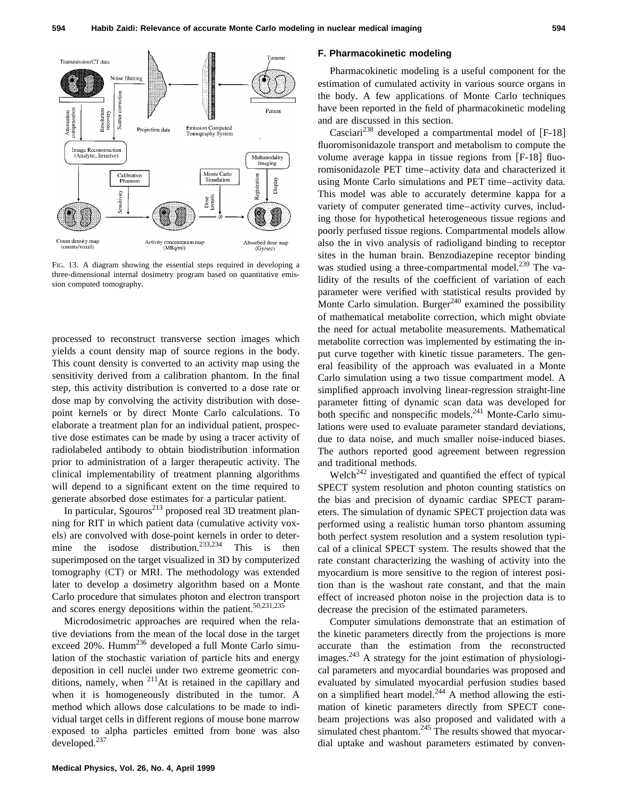

FIG. 13. A diagram showing the essential steps required in developing a three-dimensional internal dosimetry program based on quantitative emission computed tomography.

processed to reconstruct transverse section images which yields a count density map of source regions in the body. This count density is converted to an activity map using the sensitivity derived from a calibration phantom. In the final step, this activity distribution is converted to a dose rate or dose map by convolving the activity distribution with dosepoint kernels or by direct Monte Carlo calculations. To elaborate a treatment plan for an individual patient, prospective dose estimates can be made by using a tracer activity of radiolabeled antibody to obtain biodistribution information prior to administration of a larger therapeutic activity. The clinical implementability of treatment planning algorithms will depend to a significant extent on the time required to generate absorbed dose estimates for a particular patient.

In particular, Sgouros<sup>213</sup> proposed real 3D treatment planning for RIT in which patient data (cumulative activity voxels) are convolved with dose-point kernels in order to determine the isodose distribution.<sup>233,234</sup> This is then superimposed on the target visualized in 3D by computerized tomography  $(CT)$  or MRI. The methodology was extended later to develop a dosimetry algorithm based on a Monte Carlo procedure that simulates photon and electron transport and scores energy depositions within the patient. $50,231,235$ 

Microdosimetric approaches are required when the relative deviations from the mean of the local dose in the target exceed 20%. Humm<sup>236</sup> developed a full Monte Carlo simulation of the stochastic variation of particle hits and energy deposition in cell nuclei under two extreme geometric conditions, namely, when <sup>211</sup>At is retained in the capillary and when it is homogeneously distributed in the tumor. A method which allows dose calculations to be made to individual target cells in different regions of mouse bone marrow exposed to alpha particles emitted from bone was also developed.<sup>237</sup>

### **F. Pharmacokinetic modeling**

Pharmacokinetic modeling is a useful component for the estimation of cumulated activity in various source organs in the body. A few applications of Monte Carlo techniques have been reported in the field of pharmacokinetic modeling and are discussed in this section.

Casciari<sup>238</sup> developed a compartmental model of  $[F-18]$ fluoromisonidazole transport and metabolism to compute the volume average kappa in tissue regions from  $[F-18]$  fluoromisonidazole PET time–activity data and characterized it using Monte Carlo simulations and PET time–activity data. This model was able to accurately determine kappa for a variety of computer generated time–activity curves, including those for hypothetical heterogeneous tissue regions and poorly perfused tissue regions. Compartmental models allow also the in vivo analysis of radioligand binding to receptor sites in the human brain. Benzodiazepine receptor binding was studied using a three-compartmental model. $^{239}$  The validity of the results of the coefficient of variation of each parameter were verified with statistical results provided by Monte Carlo simulation. Burger<sup>240</sup> examined the possibility of mathematical metabolite correction, which might obviate the need for actual metabolite measurements. Mathematical metabolite correction was implemented by estimating the input curve together with kinetic tissue parameters. The general feasibility of the approach was evaluated in a Monte Carlo simulation using a two tissue compartment model. A simplified approach involving linear-regression straight-line parameter fitting of dynamic scan data was developed for both specific and nonspecific models.<sup>241</sup> Monte-Carlo simulations were used to evaluate parameter standard deviations, due to data noise, and much smaller noise-induced biases. The authors reported good agreement between regression and traditional methods.

Welch<sup>242</sup> investigated and quantified the effect of typical SPECT system resolution and photon counting statistics on the bias and precision of dynamic cardiac SPECT parameters. The simulation of dynamic SPECT projection data was performed using a realistic human torso phantom assuming both perfect system resolution and a system resolution typical of a clinical SPECT system. The results showed that the rate constant characterizing the washing of activity into the myocardium is more sensitive to the region of interest position than is the washout rate constant, and that the main effect of increased photon noise in the projection data is to decrease the precision of the estimated parameters.

Computer simulations demonstrate that an estimation of the kinetic parameters directly from the projections is more accurate than the estimation from the reconstructed images.<sup>243</sup> A strategy for the joint estimation of physiological parameters and myocardial boundaries was proposed and evaluated by simulated myocardial perfusion studies based on a simplified heart model. $244$  A method allowing the estimation of kinetic parameters directly from SPECT conebeam projections was also proposed and validated with a simulated chest phantom. $245$  The results showed that myocardial uptake and washout parameters estimated by conven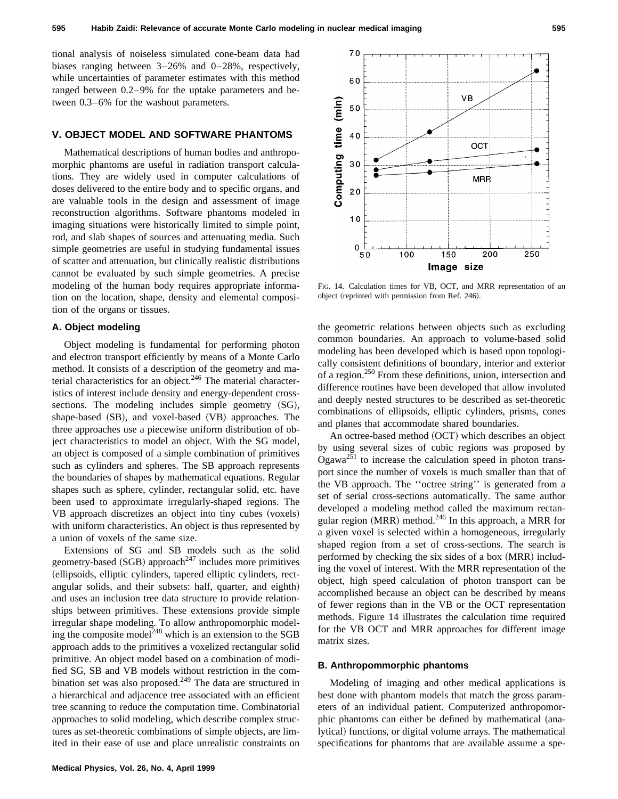tional analysis of noiseless simulated cone-beam data had biases ranging between 3–26% and 0–28%, respectively, while uncertainties of parameter estimates with this method ranged between 0.2–9% for the uptake parameters and between 0.3–6% for the washout parameters.

### **V. OBJECT MODEL AND SOFTWARE PHANTOMS**

Mathematical descriptions of human bodies and anthropomorphic phantoms are useful in radiation transport calculations. They are widely used in computer calculations of doses delivered to the entire body and to specific organs, and are valuable tools in the design and assessment of image reconstruction algorithms. Software phantoms modeled in imaging situations were historically limited to simple point, rod, and slab shapes of sources and attenuating media. Such simple geometries are useful in studying fundamental issues of scatter and attenuation, but clinically realistic distributions cannot be evaluated by such simple geometries. A precise modeling of the human body requires appropriate information on the location, shape, density and elemental composition of the organs or tissues.

### **A. Object modeling**

Object modeling is fundamental for performing photon and electron transport efficiently by means of a Monte Carlo method. It consists of a description of the geometry and material characteristics for an object.<sup>246</sup> The material characteristics of interest include density and energy-dependent crosssections. The modeling includes simple geometry  $(SG)$ , shape-based  $(SB)$ , and voxel-based  $(VB)$  approaches. The three approaches use a piecewise uniform distribution of object characteristics to model an object. With the SG model, an object is composed of a simple combination of primitives such as cylinders and spheres. The SB approach represents the boundaries of shapes by mathematical equations. Regular shapes such as sphere, cylinder, rectangular solid, etc. have been used to approximate irregularly-shaped regions. The VB approach discretizes an object into tiny cubes (voxels) with uniform characteristics. An object is thus represented by a union of voxels of the same size.

Extensions of SG and SB models such as the solid geometry-based  $(SGB)$  approach<sup>247</sup> includes more primitives ~ellipsoids, elliptic cylinders, tapered elliptic cylinders, rectangular solids, and their subsets: half, quarter, and eighth) and uses an inclusion tree data structure to provide relationships between primitives. These extensions provide simple irregular shape modeling. To allow anthropomorphic modeling the composite model<sup>248</sup> which is an extension to the SGB approach adds to the primitives a voxelized rectangular solid primitive. An object model based on a combination of modified SG, SB and VB models without restriction in the combination set was also proposed. $^{249}$  The data are structured in a hierarchical and adjacence tree associated with an efficient tree scanning to reduce the computation time. Combinatorial approaches to solid modeling, which describe complex structures as set-theoretic combinations of simple objects, are limited in their ease of use and place unrealistic constraints on



FIG. 14. Calculation times for VB, OCT, and MRR representation of an object (reprinted with permission from Ref. 246).

the geometric relations between objects such as excluding common boundaries. An approach to volume-based solid modeling has been developed which is based upon topologically consistent definitions of boundary, interior and exterior of a region.250 From these definitions, union, intersection and difference routines have been developed that allow involuted and deeply nested structures to be described as set-theoretic combinations of ellipsoids, elliptic cylinders, prisms, cones and planes that accommodate shared boundaries.

An octree-based method (OCT) which describes an object by using several sizes of cubic regions was proposed by  $Ogawa<sup>251</sup>$  to increase the calculation speed in photon transport since the number of voxels is much smaller than that of the VB approach. The ''octree string'' is generated from a set of serial cross-sections automatically. The same author developed a modeling method called the maximum rectangular region (MRR) method.<sup>246</sup> In this approach, a MRR for a given voxel is selected within a homogeneous, irregularly shaped region from a set of cross-sections. The search is performed by checking the six sides of a box  $(MRR)$  including the voxel of interest. With the MRR representation of the object, high speed calculation of photon transport can be accomplished because an object can be described by means of fewer regions than in the VB or the OCT representation methods. Figure 14 illustrates the calculation time required for the VB OCT and MRR approaches for different image matrix sizes.

### **B. Anthropommorphic phantoms**

Modeling of imaging and other medical applications is best done with phantom models that match the gross parameters of an individual patient. Computerized anthropomorphic phantoms can either be defined by mathematical (analytical) functions, or digital volume arrays. The mathematical specifications for phantoms that are available assume a spe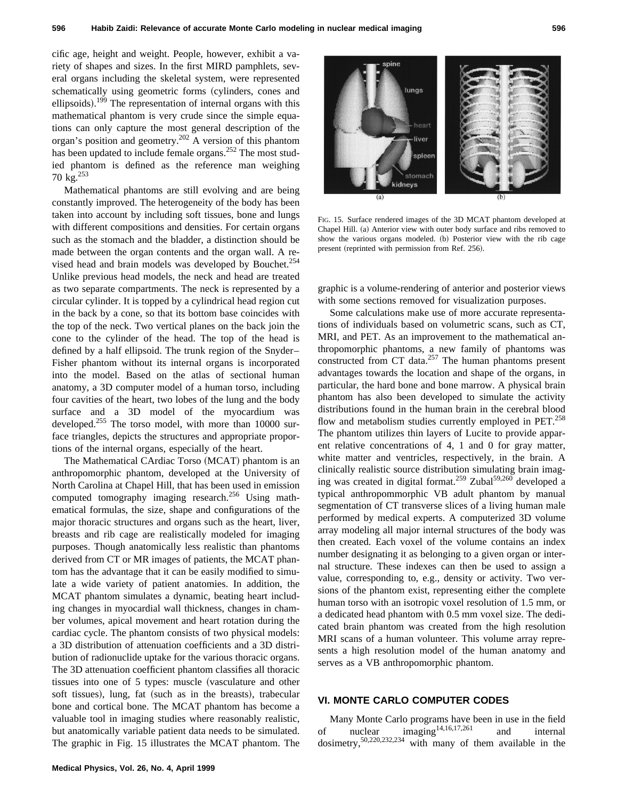cific age, height and weight. People, however, exhibit a variety of shapes and sizes. In the first MIRD pamphlets, several organs including the skeletal system, were represented schematically using geometric forms (cylinders, cones and ellipsoids).<sup>199</sup> The representation of internal organs with this mathematical phantom is very crude since the simple equations can only capture the most general description of the organ's position and geometry.<sup>202</sup> A version of this phantom has been updated to include female organs.<sup>252</sup> The most studied phantom is defined as the reference man weighing 70 kg.<sup>253</sup>

Mathematical phantoms are still evolving and are being constantly improved. The heterogeneity of the body has been taken into account by including soft tissues, bone and lungs with different compositions and densities. For certain organs such as the stomach and the bladder, a distinction should be made between the organ contents and the organ wall. A revised head and brain models was developed by Bouchet.<sup>254</sup> Unlike previous head models, the neck and head are treated as two separate compartments. The neck is represented by a circular cylinder. It is topped by a cylindrical head region cut in the back by a cone, so that its bottom base coincides with the top of the neck. Two vertical planes on the back join the cone to the cylinder of the head. The top of the head is defined by a half ellipsoid. The trunk region of the Snyder– Fisher phantom without its internal organs is incorporated into the model. Based on the atlas of sectional human anatomy, a 3D computer model of a human torso, including four cavities of the heart, two lobes of the lung and the body surface and a 3D model of the myocardium was developed.<sup>255</sup> The torso model, with more than 10000 surface triangles, depicts the structures and appropriate proportions of the internal organs, especially of the heart.

The Mathematical CArdiac Torso (MCAT) phantom is an anthropomorphic phantom, developed at the University of North Carolina at Chapel Hill, that has been used in emission computed tomography imaging research.<sup>256</sup> Using mathematical formulas, the size, shape and configurations of the major thoracic structures and organs such as the heart, liver, breasts and rib cage are realistically modeled for imaging purposes. Though anatomically less realistic than phantoms derived from CT or MR images of patients, the MCAT phantom has the advantage that it can be easily modified to simulate a wide variety of patient anatomies. In addition, the MCAT phantom simulates a dynamic, beating heart including changes in myocardial wall thickness, changes in chamber volumes, apical movement and heart rotation during the cardiac cycle. The phantom consists of two physical models: a 3D distribution of attenuation coefficients and a 3D distribution of radionuclide uptake for the various thoracic organs. The 3D attenuation coefficient phantom classifies all thoracic tissues into one of 5 types: muscle (vasculature and other soft tissues), lung, fat (such as in the breasts), trabecular bone and cortical bone. The MCAT phantom has become a valuable tool in imaging studies where reasonably realistic, but anatomically variable patient data needs to be simulated. The graphic in Fig. 15 illustrates the MCAT phantom. The



FIG. 15. Surface rendered images of the 3D MCAT phantom developed at Chapel Hill. (a) Anterior view with outer body surface and ribs removed to show the various organs modeled. (b) Posterior view with the rib cage present (reprinted with permission from Ref. 256).

graphic is a volume-rendering of anterior and posterior views with some sections removed for visualization purposes.

Some calculations make use of more accurate representations of individuals based on volumetric scans, such as CT, MRI, and PET. As an improvement to the mathematical anthropomorphic phantoms, a new family of phantoms was constructed from CT data. $257$  The human phantoms present advantages towards the location and shape of the organs, in particular, the hard bone and bone marrow. A physical brain phantom has also been developed to simulate the activity distributions found in the human brain in the cerebral blood flow and metabolism studies currently employed in PET.<sup>258</sup> The phantom utilizes thin layers of Lucite to provide apparent relative concentrations of 4, 1 and 0 for gray matter, white matter and ventricles, respectively, in the brain. A clinically realistic source distribution simulating brain imaging was created in digital format.<sup>259</sup> Zubal<sup>59,260</sup> developed a typical anthropommorphic VB adult phantom by manual segmentation of CT transverse slices of a living human male performed by medical experts. A computerized 3D volume array modeling all major internal structures of the body was then created. Each voxel of the volume contains an index number designating it as belonging to a given organ or internal structure. These indexes can then be used to assign a value, corresponding to, e.g., density or activity. Two versions of the phantom exist, representing either the complete human torso with an isotropic voxel resolution of 1.5 mm, or a dedicated head phantom with 0.5 mm voxel size. The dedicated brain phantom was created from the high resolution MRI scans of a human volunteer. This volume array represents a high resolution model of the human anatomy and serves as a VB anthropomorphic phantom.

# **VI. MONTE CARLO COMPUTER CODES**

Many Monte Carlo programs have been in use in the field of nuclear imaging<sup>14,16,17,261</sup> and internal  $\frac{50,220,232,234}{100}$  with many of them available in the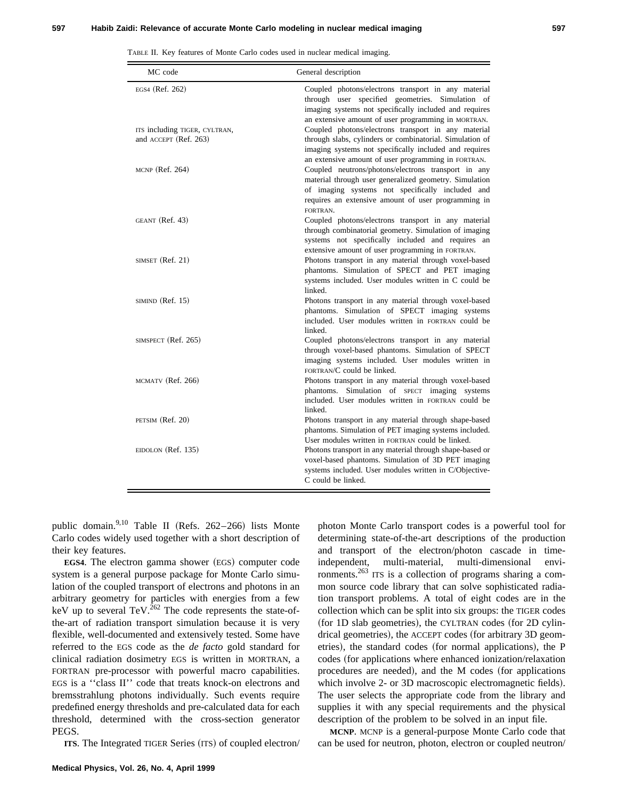TABLE II. Key features of Monte Carlo codes used in nuclear medical imaging.

| MC code                                                | General description                                                                                                                                                                                                                  |
|--------------------------------------------------------|--------------------------------------------------------------------------------------------------------------------------------------------------------------------------------------------------------------------------------------|
| EGS4 (Ref. 262)                                        | Coupled photons/electrons transport in any material<br>through user specified geometries. Simulation of<br>imaging systems not specifically included and requires<br>an extensive amount of user programming in MORTRAN.             |
| ITS including TIGER, CYLTRAN,<br>and ACCEPT (Ref. 263) | Coupled photons/electrons transport in any material<br>through slabs, cylinders or combinatorial. Simulation of<br>imaging systems not specifically included and requires<br>an extensive amount of user programming in FORTRAN.     |
| MCNP (Ref. 264)                                        | Coupled neutrons/photons/electrons transport in any<br>material through user generalized geometry. Simulation<br>of imaging systems not specifically included and<br>requires an extensive amount of user programming in<br>FORTRAN. |
| GEANT (Ref. 43)                                        | Coupled photons/electrons transport in any material<br>through combinatorial geometry. Simulation of imaging<br>systems not specifically included and requires an<br>extensive amount of user programming in FORTRAN.                |
| SIMSET $(Ref. 21)$                                     | Photons transport in any material through voxel-based<br>phantoms. Simulation of SPECT and PET imaging<br>systems included. User modules written in C could be<br>linked.                                                            |
| SIMIND (Ref. 15)                                       | Photons transport in any material through voxel-based<br>phantoms. Simulation of SPECT imaging systems<br>included. User modules written in FORTRAN could be<br>linked.                                                              |
| SIMSPECT $(Ref. 265)$                                  | Coupled photons/electrons transport in any material<br>through voxel-based phantoms. Simulation of SPECT<br>imaging systems included. User modules written in<br>FORTRAN/C could be linked.                                          |
| MCMATV (Ref. 266)                                      | Photons transport in any material through voxel-based<br>phantoms. Simulation of SPECT imaging systems<br>included. User modules written in FORTRAN could be<br>linked.                                                              |
| PETSIM (Ref. 20)                                       | Photons transport in any material through shape-based<br>phantoms. Simulation of PET imaging systems included.<br>User modules written in FORTRAN could be linked.                                                                   |
| EIDOLON (Ref. 135)                                     | Photons transport in any material through shape-based or<br>voxel-based phantoms. Simulation of 3D PET imaging<br>systems included. User modules written in C/Objective-<br>C could be linked.                                       |

public domain.<sup>9,10</sup> Table II (Refs. 262–266) lists Monte Carlo codes widely used together with a short description of their key features.

**EGS4.** The electron gamma shower (EGS) computer code system is a general purpose package for Monte Carlo simulation of the coupled transport of electrons and photons in an arbitrary geometry for particles with energies from a few keV up to several TeV.<sup>262</sup> The code represents the state-ofthe-art of radiation transport simulation because it is very flexible, well-documented and extensively tested. Some have referred to the EGS code as the *de facto* gold standard for clinical radiation dosimetry EGS is written in MORTRAN, a FORTRAN pre-processor with powerful macro capabilities. EGS is a ''class II'' code that treats knock-on electrons and bremsstrahlung photons individually. Such events require predefined energy thresholds and pre-calculated data for each threshold, determined with the cross-section generator PEGS.

**ITS**. The Integrated TIGER Series (ITS) of coupled electron/

photon Monte Carlo transport codes is a powerful tool for determining state-of-the-art descriptions of the production and transport of the electron/photon cascade in timeindependent, multi-material, multi-dimensional environments.<sup>263</sup> ITS is a collection of programs sharing a common source code library that can solve sophisticated radiation transport problems. A total of eight codes are in the collection which can be split into six groups: the TIGER codes  $~$  (for 1D slab geometries), the CYLTRAN codes (for 2D cylindrical geometries), the ACCEPT codes (for arbitrary 3D geometries), the standard codes (for normal applications), the P codes (for applications where enhanced ionization/relaxation procedures are needed), and the M codes (for applications which involve 2- or 3D macroscopic electromagnetic fields). The user selects the appropriate code from the library and supplies it with any special requirements and the physical description of the problem to be solved in an input file.

**MCNP**. MCNP is a general-purpose Monte Carlo code that can be used for neutron, photon, electron or coupled neutron/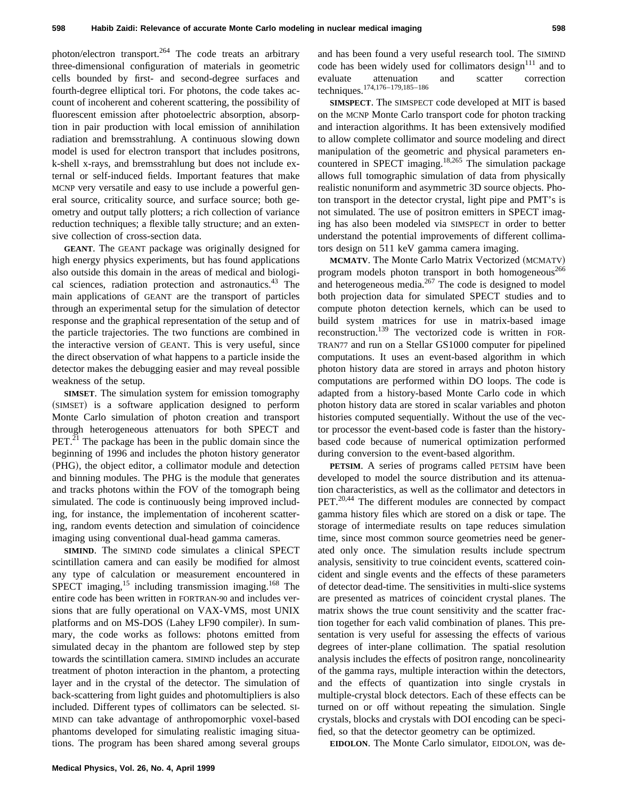photon/electron transport.<sup>264</sup> The code treats an arbitrary three-dimensional configuration of materials in geometric cells bounded by first- and second-degree surfaces and fourth-degree elliptical tori. For photons, the code takes account of incoherent and coherent scattering, the possibility of fluorescent emission after photoelectric absorption, absorption in pair production with local emission of annihilation radiation and bremsstrahlung. A continuous slowing down model is used for electron transport that includes positrons, k-shell x-rays, and bremsstrahlung but does not include external or self-induced fields. Important features that make MCNP very versatile and easy to use include a powerful general source, criticality source, and surface source; both geometry and output tally plotters; a rich collection of variance reduction techniques; a flexible tally structure; and an extensive collection of cross-section data.

**GEANT**. The GEANT package was originally designed for high energy physics experiments, but has found applications also outside this domain in the areas of medical and biological sciences, radiation protection and astronautics.<sup>43</sup> The main applications of GEANT are the transport of particles through an experimental setup for the simulation of detector response and the graphical representation of the setup and of the particle trajectories. The two functions are combined in the interactive version of GEANT. This is very useful, since the direct observation of what happens to a particle inside the detector makes the debugging easier and may reveal possible weakness of the setup.

**SIMSET**. The simulation system for emission tomography (SIMSET) is a software application designed to perform Monte Carlo simulation of photon creation and transport through heterogeneous attenuators for both SPECT and PET.<sup>21</sup> The package has been in the public domain since the beginning of 1996 and includes the photon history generator (PHG), the object editor, a collimator module and detection and binning modules. The PHG is the module that generates and tracks photons within the FOV of the tomograph being simulated. The code is continuously being improved including, for instance, the implementation of incoherent scattering, random events detection and simulation of coincidence imaging using conventional dual-head gamma cameras.

**SIMIND**. The SIMIND code simulates a clinical SPECT scintillation camera and can easily be modified for almost any type of calculation or measurement encountered in SPECT imaging, $15$  including transmission imaging. $168$  The entire code has been written in FORTRAN-90 and includes versions that are fully operational on VAX-VMS, most UNIX platforms and on MS-DOS (Lahey LF90 compiler). In summary, the code works as follows: photons emitted from simulated decay in the phantom are followed step by step towards the scintillation camera. SIMIND includes an accurate treatment of photon interaction in the phantom, a protecting layer and in the crystal of the detector. The simulation of back-scattering from light guides and photomultipliers is also included. Different types of collimators can be selected. SI-MIND can take advantage of anthropomorphic voxel-based phantoms developed for simulating realistic imaging situations. The program has been shared among several groups and has been found a very useful research tool. The SIMIND code has been widely used for collimators design $111$  and to evaluate attenuation and scatter correction techniques.174,176–179,185–186

**SIMSPECT**. The SIMSPECT code developed at MIT is based on the MCNP Monte Carlo transport code for photon tracking and interaction algorithms. It has been extensively modified to allow complete collimator and source modeling and direct manipulation of the geometric and physical parameters encountered in SPECT imaging.<sup>18,265</sup> The simulation package allows full tomographic simulation of data from physically realistic nonuniform and asymmetric 3D source objects. Photon transport in the detector crystal, light pipe and PMT's is not simulated. The use of positron emitters in SPECT imaging has also been modeled via SIMSPECT in order to better understand the potential improvements of different collimators design on 511 keV gamma camera imaging.

**MCMATV.** The Monte Carlo Matrix Vectorized (MCMATV) program models photon transport in both homogeneous<sup>266</sup> and heterogeneous media. $267$  The code is designed to model both projection data for simulated SPECT studies and to compute photon detection kernels, which can be used to build system matrices for use in matrix-based image reconstruction.<sup>139</sup> The vectorized code is written in FOR-TRAN77 and run on a Stellar GS1000 computer for pipelined computations. It uses an event-based algorithm in which photon history data are stored in arrays and photon history computations are performed within DO loops. The code is adapted from a history-based Monte Carlo code in which photon history data are stored in scalar variables and photon histories computed sequentially. Without the use of the vector processor the event-based code is faster than the historybased code because of numerical optimization performed during conversion to the event-based algorithm.

**PETSIM**. A series of programs called PETSIM have been developed to model the source distribution and its attenuation characteristics, as well as the collimator and detectors in PET.<sup>20,44</sup> The different modules are connected by compact gamma history files which are stored on a disk or tape. The storage of intermediate results on tape reduces simulation time, since most common source geometries need be generated only once. The simulation results include spectrum analysis, sensitivity to true coincident events, scattered coincident and single events and the effects of these parameters of detector dead-time. The sensitivities in multi-slice systems are presented as matrices of coincident crystal planes. The matrix shows the true count sensitivity and the scatter fraction together for each valid combination of planes. This presentation is very useful for assessing the effects of various degrees of inter-plane collimation. The spatial resolution analysis includes the effects of positron range, noncolinearity of the gamma rays, multiple interaction within the detectors, and the effects of quantization into single crystals in multiple-crystal block detectors. Each of these effects can be turned on or off without repeating the simulation. Single crystals, blocks and crystals with DOI encoding can be specified, so that the detector geometry can be optimized.

**EIDOLON**. The Monte Carlo simulator, EIDOLON, was de-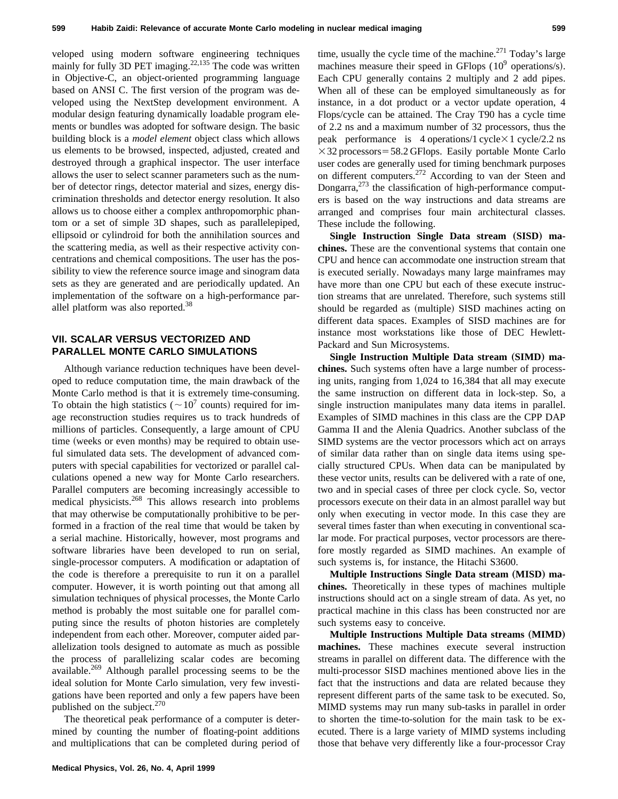veloped using modern software engineering techniques mainly for fully 3D PET imaging.<sup>22,135</sup> The code was written in Objective-C, an object-oriented programming language based on ANSI C. The first version of the program was developed using the NextStep development environment. A modular design featuring dynamically loadable program elements or bundles was adopted for software design. The basic building block is a *model element* object class which allows us elements to be browsed, inspected, adjusted, created and destroyed through a graphical inspector. The user interface allows the user to select scanner parameters such as the number of detector rings, detector material and sizes, energy discrimination thresholds and detector energy resolution. It also allows us to choose either a complex anthropomorphic phantom or a set of simple 3D shapes, such as parallelepiped, ellipsoid or cylindroid for both the annihilation sources and the scattering media, as well as their respective activity concentrations and chemical compositions. The user has the possibility to view the reference source image and sinogram data sets as they are generated and are periodically updated. An implementation of the software on a high-performance parallel platform was also reported.<sup>38</sup>

# **VII. SCALAR VERSUS VECTORIZED AND PARALLEL MONTE CARLO SIMULATIONS**

Although variance reduction techniques have been developed to reduce computation time, the main drawback of the Monte Carlo method is that it is extremely time-consuming. To obtain the high statistics ( $\sim 10^7$  counts) required for image reconstruction studies requires us to track hundreds of millions of particles. Consequently, a large amount of CPU time (weeks or even months) may be required to obtain useful simulated data sets. The development of advanced computers with special capabilities for vectorized or parallel calculations opened a new way for Monte Carlo researchers. Parallel computers are becoming increasingly accessible to medical physicists.<sup>268</sup> This allows research into problems that may otherwise be computationally prohibitive to be performed in a fraction of the real time that would be taken by a serial machine. Historically, however, most programs and software libraries have been developed to run on serial, single-processor computers. A modification or adaptation of the code is therefore a prerequisite to run it on a parallel computer. However, it is worth pointing out that among all simulation techniques of physical processes, the Monte Carlo method is probably the most suitable one for parallel computing since the results of photon histories are completely independent from each other. Moreover, computer aided parallelization tools designed to automate as much as possible the process of parallelizing scalar codes are becoming available.<sup>269</sup> Although parallel processing seems to be the ideal solution for Monte Carlo simulation, very few investigations have been reported and only a few papers have been published on the subject.<sup>270</sup>

The theoretical peak performance of a computer is determined by counting the number of floating-point additions and multiplications that can be completed during period of

time, usually the cycle time of the machine. $271$  Today's large machines measure their speed in GFlops  $(10^9 \text{ operations/s}).$ Each CPU generally contains 2 multiply and 2 add pipes. When all of these can be employed simultaneously as for instance, in a dot product or a vector update operation, 4 Flops/cycle can be attained. The Cray T90 has a cycle time of 2.2 ns and a maximum number of 32 processors, thus the peak performance is 4 operations/1 cycle $\times$ 1 cycle/2.2 ns  $\times$ 32 processors=58.2 GFlops. Easily portable Monte Carlo user codes are generally used for timing benchmark purposes on different computers.<sup>272</sup> According to van der Steen and Dongarra,273 the classification of high-performance computers is based on the way instructions and data streams are arranged and comprises four main architectural classes. These include the following.

**Single Instruction Single Data stream (SISD) machines.** These are the conventional systems that contain one CPU and hence can accommodate one instruction stream that is executed serially. Nowadays many large mainframes may have more than one CPU but each of these execute instruction streams that are unrelated. Therefore, such systems still should be regarded as (multiple) SISD machines acting on different data spaces. Examples of SISD machines are for instance most workstations like those of DEC Hewlett-Packard and Sun Microsystems.

**Single Instruction Multiple Data stream (SIMD) machines.** Such systems often have a large number of processing units, ranging from 1,024 to 16,384 that all may execute the same instruction on different data in lock-step. So, a single instruction manipulates many data items in parallel. Examples of SIMD machines in this class are the CPP DAP Gamma II and the Alenia Quadrics. Another subclass of the SIMD systems are the vector processors which act on arrays of similar data rather than on single data items using specially structured CPUs. When data can be manipulated by these vector units, results can be delivered with a rate of one, two and in special cases of three per clock cycle. So, vector processors execute on their data in an almost parallel way but only when executing in vector mode. In this case they are several times faster than when executing in conventional scalar mode. For practical purposes, vector processors are therefore mostly regarded as SIMD machines. An example of such systems is, for instance, the Hitachi S3600.

**Multiple Instructions Single Data stream (MISD) machines.** Theoretically in these types of machines multiple instructions should act on a single stream of data. As yet, no practical machine in this class has been constructed nor are such systems easy to conceive.

**Multiple Instructions Multiple Data streams (MIMD) machines.** These machines execute several instruction streams in parallel on different data. The difference with the multi-processor SISD machines mentioned above lies in the fact that the instructions and data are related because they represent different parts of the same task to be executed. So, MIMD systems may run many sub-tasks in parallel in order to shorten the time-to-solution for the main task to be executed. There is a large variety of MIMD systems including those that behave very differently like a four-processor Cray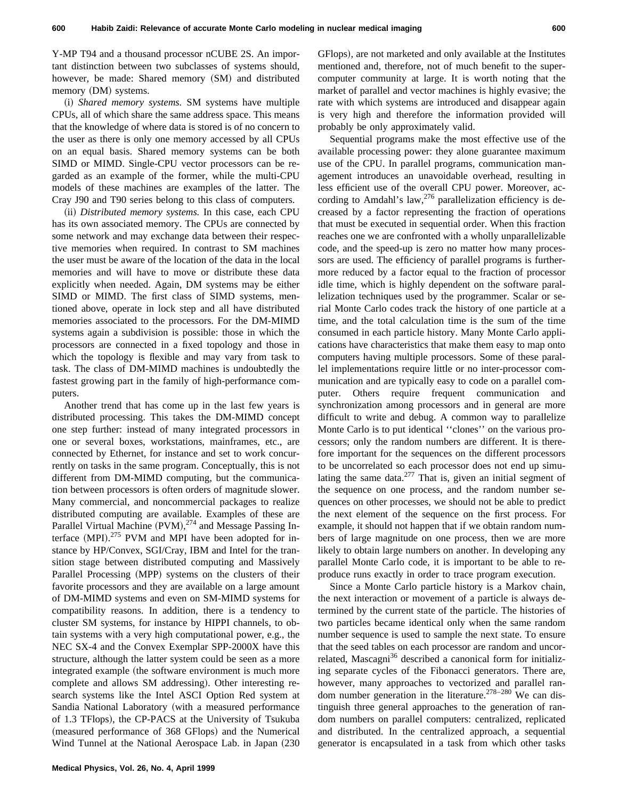Y-MP T94 and a thousand processor nCUBE 2S. An important distinction between two subclasses of systems should, however, be made: Shared memory (SM) and distributed memory (DM) systems.

(i) *Shared memory systems*. SM systems have multiple CPUs, all of which share the same address space. This means that the knowledge of where data is stored is of no concern to the user as there is only one memory accessed by all CPUs on an equal basis. Shared memory systems can be both SIMD or MIMD. Single-CPU vector processors can be regarded as an example of the former, while the multi-CPU models of these machines are examples of the latter. The Cray J90 and T90 series belong to this class of computers.

(ii) *Distributed memory systems*. In this case, each CPU has its own associated memory. The CPUs are connected by some network and may exchange data between their respective memories when required. In contrast to SM machines the user must be aware of the location of the data in the local memories and will have to move or distribute these data explicitly when needed. Again, DM systems may be either SIMD or MIMD. The first class of SIMD systems, mentioned above, operate in lock step and all have distributed memories associated to the processors. For the DM-MIMD systems again a subdivision is possible: those in which the processors are connected in a fixed topology and those in which the topology is flexible and may vary from task to task. The class of DM-MIMD machines is undoubtedly the fastest growing part in the family of high-performance computers.

Another trend that has come up in the last few years is distributed processing. This takes the DM-MIMD concept one step further: instead of many integrated processors in one or several boxes, workstations, mainframes, etc., are connected by Ethernet, for instance and set to work concurrently on tasks in the same program. Conceptually, this is not different from DM-MIMD computing, but the communication between processors is often orders of magnitude slower. Many commercial, and noncommercial packages to realize distributed computing are available. Examples of these are Parallel Virtual Machine (PVM),<sup>274</sup> and Message Passing Interface  $(MPI).<sup>275</sup>$  PVM and MPI have been adopted for instance by HP/Convex, SGI/Cray, IBM and Intel for the transition stage between distributed computing and Massively Parallel Processing (MPP) systems on the clusters of their favorite processors and they are available on a large amount of DM-MIMD systems and even on SM-MIMD systems for compatibility reasons. In addition, there is a tendency to cluster SM systems, for instance by HIPPI channels, to obtain systems with a very high computational power, e.g., the NEC SX-4 and the Convex Exemplar SPP-2000X have this structure, although the latter system could be seen as a more integrated example (the software environment is much more complete and allows SM addressing). Other interesting research systems like the Intel ASCI Option Red system at Sandia National Laboratory (with a measured performance of 1.3 TFlops), the CP-PACS at the University of Tsukuba (measured performance of 368 GFlops) and the Numerical Wind Tunnel at the National Aerospace Lab. in Japan (230) GFlops), are not marketed and only available at the Institutes mentioned and, therefore, not of much benefit to the supercomputer community at large. It is worth noting that the market of parallel and vector machines is highly evasive; the rate with which systems are introduced and disappear again is very high and therefore the information provided will probably be only approximately valid.

Sequential programs make the most effective use of the available processing power: they alone guarantee maximum use of the CPU. In parallel programs, communication management introduces an unavoidable overhead, resulting in less efficient use of the overall CPU power. Moreover, according to Amdahl's law, $276$  parallelization efficiency is decreased by a factor representing the fraction of operations that must be executed in sequential order. When this fraction reaches one we are confronted with a wholly unparallelizable code, and the speed-up is zero no matter how many processors are used. The efficiency of parallel programs is furthermore reduced by a factor equal to the fraction of processor idle time, which is highly dependent on the software parallelization techniques used by the programmer. Scalar or serial Monte Carlo codes track the history of one particle at a time, and the total calculation time is the sum of the time consumed in each particle history. Many Monte Carlo applications have characteristics that make them easy to map onto computers having multiple processors. Some of these parallel implementations require little or no inter-processor communication and are typically easy to code on a parallel computer. Others require frequent communication and synchronization among processors and in general are more difficult to write and debug. A common way to parallelize Monte Carlo is to put identical ''clones'' on the various processors; only the random numbers are different. It is therefore important for the sequences on the different processors to be uncorrelated so each processor does not end up simulating the same data. $277$  That is, given an initial segment of the sequence on one process, and the random number sequences on other processes, we should not be able to predict the next element of the sequence on the first process. For example, it should not happen that if we obtain random numbers of large magnitude on one process, then we are more likely to obtain large numbers on another. In developing any parallel Monte Carlo code, it is important to be able to reproduce runs exactly in order to trace program execution.

Since a Monte Carlo particle history is a Markov chain, the next interaction or movement of a particle is always determined by the current state of the particle. The histories of two particles became identical only when the same random number sequence is used to sample the next state. To ensure that the seed tables on each processor are random and uncorrelated, Mascagni<sup>36</sup> described a canonical form for initializing separate cycles of the Fibonacci generators. There are, however, many approaches to vectorized and parallel random number generation in the literature.<sup>278–280</sup> We can distinguish three general approaches to the generation of random numbers on parallel computers: centralized, replicated and distributed. In the centralized approach, a sequential generator is encapsulated in a task from which other tasks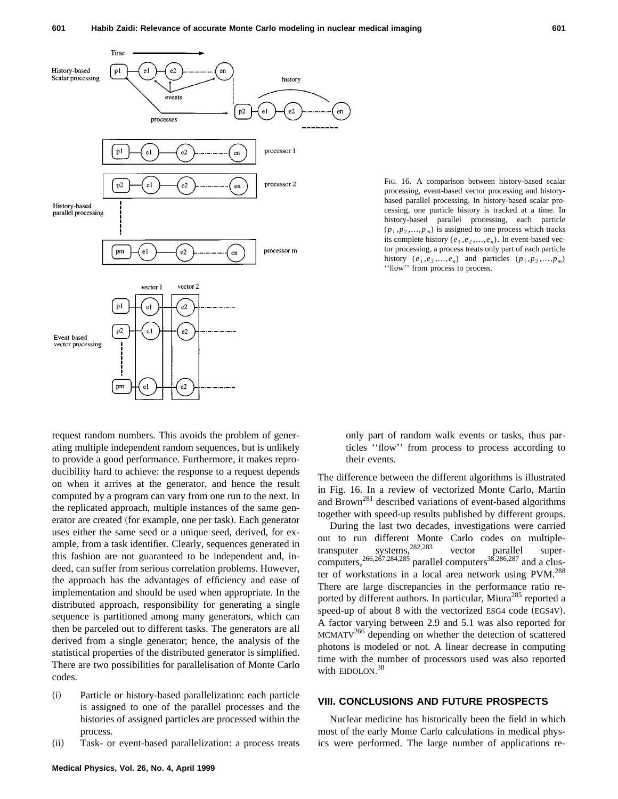

FIG. 16. A comparison between history-based scalar processing, event-based vector processing and historybased parallel processing. In history-based scalar processing, one particle history is tracked at a time. In history-based parallel processing, each particle  $(p_1, p_2, \ldots, p_m)$  is assigned to one process which tracks its complete history  $(e_1, e_2, \ldots, e_n)$ . In event-based vector processing, a process treats only part of each particle history  $(e_1, e_2, \ldots, e_n)$  and particles  $(p_1, p_2, \ldots, p_m)$ ''flow'' from process to process.

request random numbers. This avoids the problem of generating multiple independent random sequences, but is unlikely to provide a good performance. Furthermore, it makes reproducibility hard to achieve: the response to a request depends on when it arrives at the generator, and hence the result computed by a program can vary from one run to the next. In the replicated approach, multiple instances of the same generator are created (for example, one per task). Each generator uses either the same seed or a unique seed, derived, for example, from a task identifier. Clearly, sequences generated in this fashion are not guaranteed to be independent and, indeed, can suffer from serious correlation problems. However, the approach has the advantages of efficiency and ease of implementation and should be used when appropriate. In the distributed approach, responsibility for generating a single sequence is partitioned among many generators, which can then be parceled out to different tasks. The generators are all derived from a single generator; hence, the analysis of the statistical properties of the distributed generator is simplified. There are two possibilities for parallelisation of Monte Carlo codes.

- (i) Particle or history-based parallelization: each particle is assigned to one of the parallel processes and the histories of assigned particles are processed within the process.
- (ii) Task- or event-based parallelization: a process treats

only part of random walk events or tasks, thus particles ''flow'' from process to process according to their events.

The difference between the different algorithms is illustrated in Fig. 16. In a review of vectorized Monte Carlo, Martin and Brown<sup>281</sup> described variations of event-based algorithms together with speed-up results published by different groups.

During the last two decades, investigations were carried out to run different Monte Carlo codes on multipletransputer systems,282,283 vector parallel supercomputers,  $^{266,267,284,285}$  parallel computers<sup>38,286,287</sup> and a cluster of workstations in a local area network using PVM.<sup>288</sup> There are large discrepancies in the performance ratio reported by different authors. In particular, Miura<sup>285</sup> reported a speed-up of about 8 with the vectorized ESG4 code  $(EGS4V)$ . A factor varying between 2.9 and 5.1 was also reported for MCMATV<sup>266</sup> depending on whether the detection of scattered photons is modeled or not. A linear decrease in computing time with the number of processors used was also reported with EIDOLON.<sup>38</sup>

### **VIII. CONCLUSIONS AND FUTURE PROSPECTS**

Nuclear medicine has historically been the field in which most of the early Monte Carlo calculations in medical physics were performed. The large number of applications re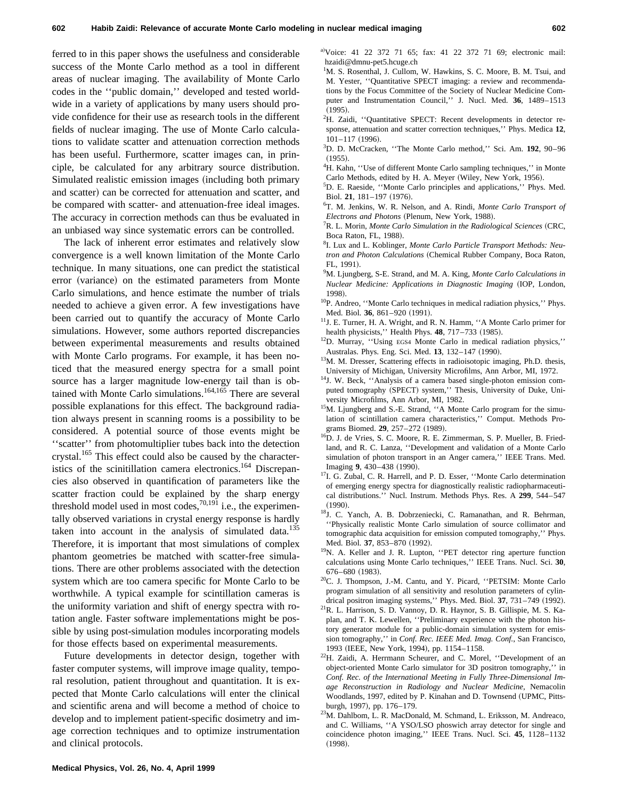ferred to in this paper shows the usefulness and considerable success of the Monte Carlo method as a tool in different areas of nuclear imaging. The availability of Monte Carlo codes in the ''public domain,'' developed and tested worldwide in a variety of applications by many users should provide confidence for their use as research tools in the different fields of nuclear imaging. The use of Monte Carlo calculations to validate scatter and attenuation correction methods has been useful. Furthermore, scatter images can, in principle, be calculated for any arbitrary source distribution. Simulated realistic emission images (including both primary and scatter) can be corrected for attenuation and scatter, and be compared with scatter- and attenuation-free ideal images. The accuracy in correction methods can thus be evaluated in an unbiased way since systematic errors can be controlled.

The lack of inherent error estimates and relatively slow convergence is a well known limitation of the Monte Carlo technique. In many situations, one can predict the statistical error (variance) on the estimated parameters from Monte Carlo simulations, and hence estimate the number of trials needed to achieve a given error. A few investigations have been carried out to quantify the accuracy of Monte Carlo simulations. However, some authors reported discrepancies between experimental measurements and results obtained with Monte Carlo programs. For example, it has been noticed that the measured energy spectra for a small point source has a larger magnitude low-energy tail than is obtained with Monte Carlo simulations.<sup>164,165</sup> There are several possible explanations for this effect. The background radiation always present in scanning rooms is a possibility to be considered. A potential source of those events might be ''scatter'' from photomultiplier tubes back into the detection crystal.<sup>165</sup> This effect could also be caused by the characteristics of the scinitillation camera electronics.<sup>164</sup> Discrepancies also observed in quantification of parameters like the scatter fraction could be explained by the sharp energy threshold model used in most codes,  $70,191$  i.e., the experimentally observed variations in crystal energy response is hardly taken into account in the analysis of simulated data. $135$ Therefore, it is important that most simulations of complex phantom geometries be matched with scatter-free simulations. There are other problems associated with the detection system which are too camera specific for Monte Carlo to be worthwhile. A typical example for scintillation cameras is the uniformity variation and shift of energy spectra with rotation angle. Faster software implementations might be possible by using post-simulation modules incorporating models for those effects based on experimental measurements.

Future developments in detector design, together with faster computer systems, will improve image quality, temporal resolution, patient throughout and quantitation. It is expected that Monte Carlo calculations will enter the clinical and scientific arena and will become a method of choice to develop and to implement patient-specific dosimetry and image correction techniques and to optimize instrumentation and clinical protocols.

- <sup>1</sup>M. S. Rosenthal, J. Cullom, W. Hawkins, S. C. Moore, B. M. Tsui, and M. Yester, ''Quantitative SPECT imaging: a review and recommendations by the Focus Committee of the Society of Nuclear Medicine Computer and Instrumentation Council,'' J. Nucl. Med. **36**, 1489–1513  $(1995)$ .
- <sup>2</sup>H. Zaidi, "Quantitative SPECT: Recent developments in detector response, attenuation and scatter correction techniques,'' Phys. Medica **12**,  $101-117$   $(1996)$ .
- 3 D. D. McCracken, ''The Monte Carlo method,'' Sci. Am. **192**, 90–96  $(1955)$ .
- <sup>4</sup>H. Kahn, "Use of different Monte Carlo sampling techniques," in Monte Carlo Methods, edited by H. A. Meyer (Wiley, New York, 1956).
- 5 D. E. Raeside, ''Monte Carlo principles and applications,'' Phys. Med. Biol. 21, 181-197 (1976).
- 6 T. M. Jenkins, W. R. Nelson, and A. Rindi, *Monte Carlo Transport of Electrons and Photons* (Plenum, New York, 1988).
- <sup>7</sup>R. L. Morin, Monte Carlo Simulation in the Radiological Sciences (CRC, Boca Raton, FL, 1988).
- 8 I. Lux and L. Koblinger, *Monte Carlo Particle Transport Methods: Neutron and Photon Calculations* (Chemical Rubber Company, Boca Raton,  $FI. 1991.$
- 9 M. Ljungberg, S-E. Strand, and M. A. King, *Monte Carlo Calculations in Nuclear Medicine: Applications in Diagnostic Imaging* (IOP, London, 1998).
- <sup>10</sup>P. Andreo, "Monte Carlo techniques in medical radiation physics," Phys. Med. Biol. 36, 861–920 (1991).
- 11J. E. Turner, H. A. Wright, and R. N. Hamm, ''A Monte Carlo primer for health physicists," Health Phys. 48, 717-733 (1985).
- <sup>12</sup>D. Murray, "Using EGS4 Monte Carlo in medical radiation physics," Australas. Phys. Eng. Sci. Med. 13, 132-147 (1990).
- <sup>13</sup>M. M. Dresser, Scattering effects in radioisotopic imaging, Ph.D. thesis, University of Michigan, University Microfilms, Ann Arbor, MI, 1972.
- 14J. W. Beck, ''Analysis of a camera based single-photon emission computed tomography (SPECT) system," Thesis, University of Duke, University Microfilms, Ann Arbor, MI, 1982.
- 15M. Ljungberg and S.-E. Strand, ''A Monte Carlo program for the simulation of scintillation camera characteristics,'' Comput. Methods Programs Biomed. 29, 257-272 (1989).
- <sup>16</sup>D. J. de Vries, S. C. Moore, R. E. Zimmerman, S. P. Mueller, B. Friedland, and R. C. Lanza, ''Development and validation of a Monte Carlo simulation of photon transport in an Anger camera,'' IEEE Trans. Med. Imaging 9, 430-438 (1990).
- <sup>17</sup>I. G. Zubal, C. R. Harrell, and P. D. Esser, "Monte Carlo determination of emerging energy spectra for diagnostically realistic radiopharmaceutical distributions.'' Nucl. Instrum. Methods Phys. Res. A **299**, 544–547  $(1990).$
- 18J. C. Yanch, A. B. Dobrzeniecki, C. Ramanathan, and R. Behrman, ''Physically realistic Monte Carlo simulation of source collimator and tomographic data acquisition for emission computed tomography,'' Phys. Med. Biol. 37, 853-870 (1992).
- <sup>19</sup>N. A. Keller and J. R. Lupton, "PET detector ring aperture function calculations using Monte Carlo techniques,'' IEEE Trans. Nucl. Sci. **30**, 676–680 (1983).
- <sup>20</sup>C. J. Thompson, J.-M. Cantu, and Y. Picard, "PETSIM: Monte Carlo program simulation of all sensitivity and resolution parameters of cylindrical positron imaging systems," Phys. Med. Biol. 37, 731-749 (1992).
- 21R. L. Harrison, S. D. Vannoy, D. R. Haynor, S. B. Gillispie, M. S. Kaplan, and T. K. Lewellen, ''Preliminary experience with the photon history generator module for a public-domain simulation system for emission tomography,'' in *Conf. Rec. IEEE Med. Imag. Conf.*, San Francisco, 1993 (IEEE, New York, 1994), pp. 1154-1158.
- <sup>22</sup>H. Zaidi, A. Herrmann Scheurer, and C. Morel, "Development of an object-oriented Monte Carlo simulator for 3D positron tomography,'' in *Conf. Rec. of the International Meeting in Fully Three-Dimensional Image Reconstruction in Radiology and Nuclear Medicine*, Nemacolin Woodlands, 1997, edited by P. Kinahan and D. Townsend (UPMC, Pittsburgh, 1997), pp. 176-179.
- 23M. Dahlbom, L. R. MacDonald, M. Schmand, L. Eriksson, M. Andreaco, and C. Williams, ''A YSO/LSO phoswich array detector for single and coincidence photon imaging,'' IEEE Trans. Nucl. Sci. **45**, 1128–1132  $(1998).$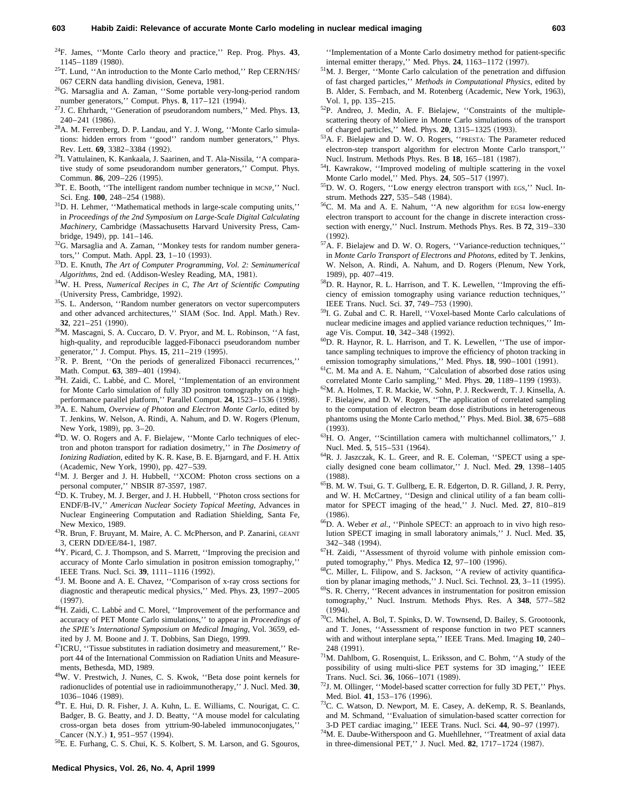- 24F. James, ''Monte Carlo theory and practice,'' Rep. Prog. Phys. **43**,  $1145 - 1189$  (1980).
- 25T. Lund, ''An introduction to the Monte Carlo method,'' Rep CERN/HS/ 067 CERN data handling division, Geneva, 1981.
- 26G. Marsaglia and A. Zaman, ''Some portable very-long-period random number generators," Comput. Phys. 8, 117-121 (1994).
- 27J. C. Ehrhardt, ''Generation of pseudorandom numbers,'' Med. Phys. **13**, 240–241 (1986).
- 28A. M. Ferrenberg, D. P. Landau, and Y. J. Wong, ''Monte Carlo simulations: hidden errors from ''good'' random number generators,'' Phys. Rev. Lett. **69**, 3382-3384 (1992).
- <sup>29</sup>I. Vattulainen, K. Kankaala, J. Saarinen, and T. Ala-Nissila, "A comparative study of some pseudorandom number generators,'' Comput. Phys. Commun. 86, 209-226 (1995).
- $30$ T. E. Booth, "The intelligent random number technique in MCNP," Nucl. Sci. Eng. 100, 248-254 (1988).
- 31D. H. Lehmer, ''Mathematical methods in large-scale computing units,'' in *Proceedings of the 2nd Symposium on Large-Scale Digital Calculating Machinery*, Cambridge (Massachusetts Harvard University Press, Cambridge, 1949), pp. 141-146.
- $32$ G. Marsaglia and A. Zaman, "Monkey tests for random number generators," Comput. Math. Appl. 23, 1-10 (1993).
- 33D. E. Knuth, *The Art of Computer Programming, Vol. 2: Seminumerical*  $Algorithms$ , 2nd ed. (Addison-Wesley Reading, MA, 1981).
- 34W. H. Press, *Numerical Recipes in C, The Art of Scientific Computing* (University Press, Cambridge, 1992).
- $35$ S. L. Anderson, "Random number generators on vector supercomputers and other advanced architectures," SIAM (Soc. Ind. Appl. Math.) Rev. **32**, 221–251 (1990).
- <sup>36</sup>M. Mascagni, S. A. Cuccaro, D. V. Pryor, and M. L. Robinson, "A fast, high-quality, and reproducible lagged-Fibonacci pseudorandom number generator," J. Comput. Phys. **15**, 211–219 (1995).
- ${}^{37}R$ . P. Brent, "On the periods of generalized Fibonacci recurrences," Math. Comput. **63**, 389-401 (1994).
- <sup>38</sup>H. Zaidi, C. Labbé, and C. Morel, "Implementation of an environment for Monte Carlo simulation of fully 3D positron tomography on a highperformance parallel platform," Parallel Comput. 24, 1523-1536 (1998).
- <sup>39</sup>A. E. Nahum, *Overview of Photon and Electron Monte Carlo*, edited by T. Jenkins, W. Nelson, A. Rindi, A. Nahum, and D. W. Rogers (Plenum, New York, 1989), pp. 3-20.
- 40D. W. O. Rogers and A. F. Bielajew, ''Monte Carlo techniques of electron and photon transport for radiation dosimetry,'' in *The Dosimetry of Ionizing Radiation*, edited by K. R. Kase, B. E. Bjarngard, and F. H. Attix (Academic, New York, 1990), pp. 427-539.
- 41M. J. Berger and J. H. Hubbell, ''XCOM: Photon cross sections on a personal computer,'' NBSIR 87-3597, 1987.
- $42D$ . K. Trubey, M. J. Berger, and J. H. Hubbell, "Photon cross sections for ENDF/B-IV,'' *American Nuclear Society Topical Meeting*, Advances in Nuclear Engineering Computation and Radiation Shielding, Santa Fe, New Mexico, 1989.
- 43R. Brun, F. Bruyant, M. Maire, A. C. McPherson, and P. Zanarini, GEANT 3, CERN DD/EE/84-1, 1987.
- 44Y. Picard, C. J. Thompson, and S. Marrett, ''Improving the precision and accuracy of Monte Carlo simulation in positron emission tomography,'' IEEE Trans. Nucl. Sci. 39, 1111-1116 (1992).
- 45J. M. Boone and A. E. Chavez, ''Comparison of x-ray cross sections for diagnostic and therapeutic medical physics,'' Med. Phys. **23**, 1997–2005  $(1997).$
- <sup>46</sup>H. Zaidi, C. Labbé and C. Morel, "Improvement of the performance and accuracy of PET Monte Carlo simulations,'' to appear in *Proceedings of the SPIE's International Symposium on Medical Imaging*, Vol. 3659, edited by J. M. Boone and J. T. Dobbins, San Diego, 1999.
- 47ICRU, ''Tissue substitutes in radiation dosimetry and measurement,'' Report 44 of the International Commission on Radiation Units and Measurements, Bethesda, MD, 1989.
- <sup>48</sup>W. V. Prestwich, J. Nunes, C. S. Kwok, "Beta dose point kernels for radionuclides of potential use in radioimmunotherapy,'' J. Nucl. Med. **30**, 1036–1046 (1989).
- 49T. E. Hui, D. R. Fisher, J. A. Kuhn, L. E. Williams, C. Nourigat, C. C. Badger, B. G. Beatty, and J. D. Beatty, ''A mouse model for calculating cross-organ beta doses from yttrium-90-labeled immunoconjugates,'' Cancer (N.Y.) 1, 951-957 (1994).
- 50E. E. Furhang, C. S. Chui, K. S. Kolbert, S. M. Larson, and G. Sgouros,

''Implementation of a Monte Carlo dosimetry method for patient-specific internal emitter therapy," Med. Phys. 24, 1163-1172 (1997).

- 51M. J. Berger, ''Monte Carlo calculation of the penetration and diffusion of fast charged particles,'' *Methods in Computational Physics*, edited by B. Alder, S. Fernbach, and M. Rotenberg (Academic, New York, 1963), Vol. 1, pp. 135–215.
- 52P. Andreo, J. Medin, A. F. Bielajew, ''Constraints of the multiplescattering theory of Moliere in Monte Carlo simulations of the transport of charged particles," Med. Phys. **20**, 1315–1325 (1993).
- 53A. F. Bielajew and D. W. O. Rogers, ''PRESTA: The Parameter reduced electron-step transport algorithm for electron Monte Carlo transport,'' Nucl. Instrum. Methods Phys. Res. B 18, 165-181 (1987).
- 54I. Kawrakow, ''Improved modeling of multiple scattering in the voxel Monte Carlo model," Med. Phys. 24, 505-517 (1997).
- 55D. W. O. Rogers, ''Low energy electron transport with EGS,'' Nucl. Instrum. Methods 227, 535-548 (1984).
- 56C. M. Ma and A. E. Nahum, ''A new algorithm for EGS4 low-energy electron transport to account for the change in discrete interaction crosssection with energy,'' Nucl. Instrum. Methods Phys. Res. B **72**, 319–330  $(1992).$
- 57A. F. Bielajew and D. W. O. Rogers, ''Variance-reduction techniques,'' in *Monte Carlo Transport of Electrons and Photons*, edited by T. Jenkins, W. Nelson, A. Rindi, A. Nahum, and D. Rogers (Plenum, New York, 1989), pp. 407–419.
- 58D. R. Haynor, R. L. Harrison, and T. K. Lewellen, ''Improving the efficiency of emission tomography using variance reduction techniques,'' IEEE Trans. Nucl. Sci. 37, 749-753 (1990).
- 59I. G. Zubal and C. R. Harell, ''Voxel-based Monte Carlo calculations of nuclear medicine images and applied variance reduction techniques,'' Image Vis. Comput. **10**, 342-348 (1992).
- 60D. R. Haynor, R. L. Harrison, and T. K. Lewellen, ''The use of importance sampling techniques to improve the efficiency of photon tracking in emission tomography simulations," Med. Phys. 18, 990-1001 (1991).
- 61C. M. Ma and A. E. Nahum, ''Calculation of absorbed dose ratios using correlated Monte Carlo sampling," Med. Phys. **20**, 1189-1199 (1993).
- 62M. A. Holmes, T. R. Mackie, W. Sohn, P. J. Reckwerdt, T. J. Kinsella, A. F. Bielajew, and D. W. Rogers, ''The application of correlated sampling to the computation of electron beam dose distributions in heterogeneous phantoms using the Monte Carlo method,'' Phys. Med. Biol. **38**, 675–688  $(1993).$
- 63H. O. Anger, ''Scintillation camera with multichannel collimators,'' J. Nucl. Med. 5, 515–531 (1964).
- 64R. J. Jaszczak, K. L. Greer, and R. E. Coleman, ''SPECT using a specially designed cone beam collimator,'' J. Nucl. Med. **29**, 1398–1405  $(1988).$
- 65B. M. W. Tsui, G. T. Gullberg, E. R. Edgerton, D. R. Gilland, J. R. Perry, and W. H. McCartney, ''Design and clinical utility of a fan beam collimator for SPECT imaging of the head,'' J. Nucl. Med. **27**, 810–819  $(1986)$
- <sup>66</sup>D. A. Weber et al., "Pinhole SPECT: an approach to in vivo high resolution SPECT imaging in small laboratory animals,'' J. Nucl. Med. **35**, 342–348 (1994).
- 67H. Zaidi, ''Assessment of thyroid volume with pinhole emission computed tomography," Phys. Medica 12, 97-100 (1996).
- <sup>68</sup>C. Miller, L. Filipow, and S. Jackson, "A review of activity quantification by planar imaging methods," J. Nucl. Sci. Technol.  $23$ ,  $3-11$  (1995).
- 69S. R. Cherry, ''Recent advances in instrumentation for positron emission tomography,'' Nucl. Instrum. Methods Phys. Res. A **348**, 577–582  $(1994).$
- 70C. Michel, A. Bol, T. Spinks, D. W. Townsend, D. Bailey, S. Grootoonk, and T. Jones, ''Assessment of response function in two PET scanners with and without interplane septa,'' IEEE Trans. Med. Imaging **10**, 240– 248 (1991).
- $71$ M. Dahlbom, G. Rosenquist, L. Eriksson, and C. Bohm, "A study of the possibility of using multi-slice PET systems for 3D imaging,'' IEEE Trans. Nucl. Sci. 36, 1066–1071 (1989).
- 72J. M. Ollinger, ''Model-based scatter correction for fully 3D PET,'' Phys. Med. Biol. 41, 153-176 (1996).
- 73C. C. Watson, D. Newport, M. E. Casey, A. deKemp, R. S. Beanlands, and M. Schmand, ''Evaluation of simulation-based scatter correction for 3-D PET cardiac imaging," IEEE Trans. Nucl. Sci. 44, 90-97 (1997).
- $74$ M. E. Daube-Witherspoon and G. Muehllehner, "Treatment of axial data in three-dimensional PET," J. Nucl. Med. 82, 1717-1724 (1987).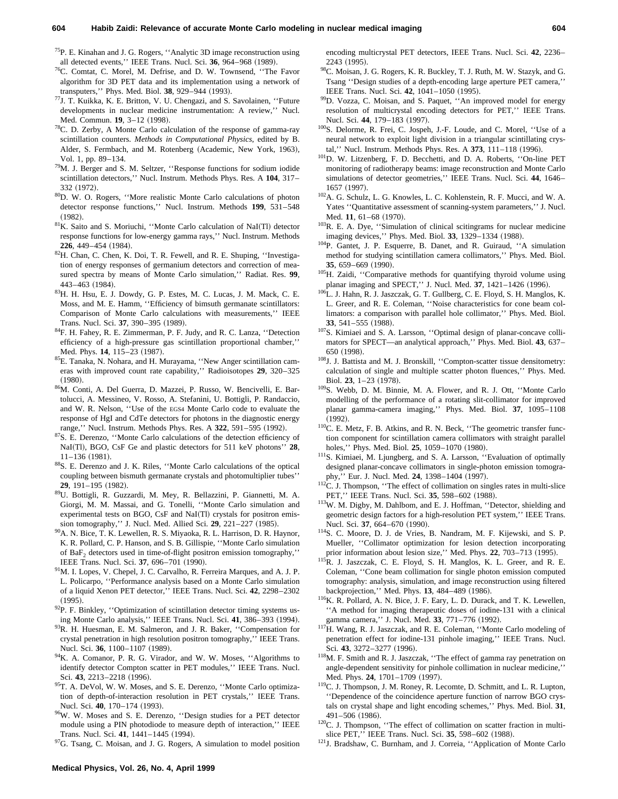- $75P$ . E. Kinahan and J. G. Rogers, "Analytic 3D image reconstruction using all detected events," IEEE Trans. Nucl. Sci. 36, 964-968 (1989).
- 76C. Comtat, C. Morel, M. Defrise, and D. W. Townsend, ''The Favor algorithm for 3D PET data and its implementation using a network of transputers," Phys. Med. Biol. 38, 929-944 (1993).
- $^{77}$ J. T. Kuikka, K. E. Britton, V. U. Chengazi, and S. Savolainen, "Future developments in nuclear medicine instrumentation: A review,'' Nucl. Med. Commun. **19**, 3-12 (1998).
- 78C. D. Zerby, A Monte Carlo calculation of the response of gamma-ray scintillation counters. *Methods in Computational Physics*, edited by B. Alder, S. Fermbach, and M. Rotenberg (Academic, New York, 1963), Vol. 1, pp. 89–134.
- $79$ M. J. Berger and S. M. Seltzer, "Response functions for sodium iodide scintillation detectors,'' Nucl. Instrum. Methods Phys. Res. A **104**, 317– 332 (1972).
- 80D. W. O. Rogers, ''More realistic Monte Carlo calculations of photon detector response functions,'' Nucl. Instrum. Methods **199**, 531–548  $(1982).$
- $81K$ . Saito and S. Moriuchi, "Monte Carlo calculation of NaI(Tl) detector response functions for low-energy gamma rays,'' Nucl. Instrum. Methods **226**, 449-454 (1984).
- <sup>82</sup>H. Chan, C. Chen, K. Doi, T. R. Fewell, and R. E. Shuping, "Investigation of energy responses of germanium detectors and correction of measured spectra by means of Monte Carlo simulation,'' Radiat. Res. **99**, 443-463 (1984).
- 83H. H. Hsu, E. J. Dowdy, G. P. Estes, M. C. Lucas, J. M. Mack, C. E. Moss, and M. E. Hamm, ''Efficiency of bimsuth germanate scintillators: Comparison of Monte Carlo calculations with measurements,'' IEEE Trans. Nucl. Sci. 37, 390-395 (1989).
- 84F. H. Fahey, R. E. Zimmerman, P. F. Judy, and R. C. Lanza, ''Detection efficiency of a high-pressure gas scintillation proportional chamber,'' Med. Phys. 14, 115-23 (1987).
- 85E. Tanaka, N. Nohara, and H. Murayama, ''New Anger scintillation cameras with improved count rate capability,'' Radioisotopes **29**, 320–325  $(1980).$
- 86M. Conti, A. Del Guerra, D. Mazzei, P. Russo, W. Bencivelli, E. Bartolucci, A. Messineo, V. Rosso, A. Stefanini, U. Bottigli, P. Randaccio, and W. R. Nelson, ''Use of the EGS4 Monte Carlo code to evaluate the response of HgI and CdTe detectors for photons in the diagnostic energy range," Nucl. Instrum. Methods Phys. Res. A 322, 591-595 (1992).
- 87S. E. Derenzo, ''Monte Carlo calculations of the detection efficiency of NaI(Tl), BGO, CsF Ge and plastic detectors for 511 keV photons" 28,  $11-136$  (1981).
- 88S. E. Derenzo and J. K. Riles, ''Monte Carlo calculations of the optical coupling between bismuth germanate crystals and photomultiplier tubes'' **29**, 191–195 (1982).
- 89U. Bottigli, R. Guzzardi, M. Mey, R. Bellazzini, P. Giannetti, M. A. Giorgi, M. M. Massai, and G. Tonelli, ''Monte Carlo simulation and experimental tests on BGO, CsF and NaI $(Tl)$  crystals for positron emission tomography," J. Nucl. Med. Allied Sci. 29, 221–227 (1985).
- <sup>90</sup>A. N. Bice, T. K. Lewellen, R. S. Miyaoka, R. L. Harrison, D. R. Haynor, K. R. Pollard, C. P. Hanson, and S. B. Gillispie, ''Monte Carlo simulation of  $BaF<sub>2</sub>$  detectors used in time-of-flight positron emission tomography," IEEE Trans. Nucl. Sci. 37, 696–701 (1990).
- <sup>91</sup>M. I. Lopes, V. Chepel, J. C. Carvalho, R. Ferreira Marques, and A. J. P. L. Policarpo, ''Performance analysis based on a Monte Carlo simulation of a liquid Xenon PET detector,'' IEEE Trans. Nucl. Sci. **42**, 2298–2302  $(1995).$
- $92P$ . F. Binkley, "Optimization of scintillation detector timing systems using Monte Carlo analysis," IEEE Trans. Nucl. Sci. 41, 386-393 (1994).
- <sup>93</sup>R. H. Huesman, E. M. Salmeron, and J. R. Baker, "Compensation for crystal penetration in high resolution positron tomography,'' IEEE Trans. Nucl. Sci. 36, 1100-1107 (1989).
- 94K. A. Comanor, P. R. G. Virador, and W. W. Moses, ''Algorithms to identify detector Compton scatter in PET modules,'' IEEE Trans. Nucl. Sci. 43, 2213–2218 (1996).
- <sup>95</sup>T. A. DeVol, W. W. Moses, and S. E. Derenzo, "Monte Carlo optimization of depth-of-interaction resolution in PET crystals,'' IEEE Trans. Nucl. Sci. 40, 170-174 (1993).
- 96W. W. Moses and S. E. Derenzo, ''Design studies for a PET detector module using a PIN photodiode to measure depth of interaction,'' IEEE Trans. Nucl. Sci. 41, 1441-1445 (1994).
- <sup>97</sup>G. Tsang, C. Moisan, and J. G. Rogers, A simulation to model position

encoding multicrystal PET detectors, IEEE Trans. Nucl. Sci. **42**, 2236– 2243 (1995).

- 98C. Moisan, J. G. Rogers, K. R. Buckley, T. J. Ruth, M. W. Stazyk, and G. Tsang ''Design studies of a depth-encoding large aperture PET camera,'' IEEE Trans. Nucl. Sci. 42, 1041-1050 (1995).
- <sup>99</sup>D. Vozza, C. Moisan, and S. Paquet, "An improved model for energy resolution of multicrystal encoding detectors for PET,'' IEEE Trans. Nucl. Sci. 44, 179-183 (1997).
- 100S. Delorme, R. Frei, C. Jospeh, J.-F. Loude, and C. Morel, ''Use of a neural network to exploit light division in a triangular scintillating crystal," Nucl. Instrum. Methods Phys. Res. A 373, 111-118 (1996).
- 101D. W. Litzenberg, F. D. Becchetti, and D. A. Roberts, ''On-line PET monitoring of radiotherapy beams: image reconstruction and Monte Carlo simulations of detector geometries,'' IEEE Trans. Nucl. Sci. **44**, 1646– 1657 (1997).
- 102A. G. Schulz, L. G. Knowles, L. C. Kohlenstein, R. F. Mucci, and W. A. Yates ''Quantitative assessment of scanning-system parameters,'' J. Nucl. Med. 11, 61–68 (1970).
- <sup>103</sup>R. E. A. Dye, "Simulation of clinical scitingrams for nuclear medicine imaging devices," Phys. Med. Biol. 33, 1329-1334 (1988).
- 104P. Gantet, J. P. Esquerre, B. Danet, and R. Guiraud, ''A simulation method for studying scintillation camera collimators,'' Phys. Med. Biol. 35, 659-669 (1990).
- 105H. Zaidi, ''Comparative methods for quantifying thyroid volume using planar imaging and SPECT," J. Nucl. Med. 37, 1421-1426 (1996).
- 106L. J. Hahn, R. J. Jaszczak, G. T. Gullberg, C. E. Floyd, S. H. Manglos, K. L. Greer, and R. E. Coleman, ''Noise characteristics for cone beam collimators: a comparison with parallel hole collimator,'' Phys. Med. Biol. **33**, 541–555 (1988).
- 107S. Kimiaei and S. A. Larsson, ''Optimal design of planar-concave collimators for SPECT—an analytical approach,'' Phys. Med. Biol. **43**, 637– 650 (1998).
- 108J. J. Battista and M. J. Bronskill, ''Compton-scatter tissue densitometry: calculation of single and multiple scatter photon fluences,'' Phys. Med. Biol. 23, 1-23 (1978).
- 109S. Webb, D. M. Binnie, M. A. Flower, and R. J. Ott, ''Monte Carlo modelling of the performance of a rotating slit-collimator for improved planar gamma-camera imaging,'' Phys. Med. Biol. **37**, 1095–1108  $(1992).$
- $110C$ . E. Metz, F. B. Atkins, and R. N. Beck, "The geometric transfer function component for scintillation camera collimators with straight parallel holes," Phys. Med. Biol. 25, 1059-1070 (1980).
- <sup>111</sup>S. Kimiaei, M. Ljungberg, and S. A. Larsson, "Evaluation of optimally designed planar-concave collimators in single-photon emission tomography," Eur. J. Nucl. Med. 24, 1398-1404 (1997).
- <sup>112</sup>C. J. Thompson, "The effect of collimation on singles rates in multi-slice PET," IEEE Trans. Nucl. Sci. 35, 598-602 (1988).
- 113W. M. Digby, M. Dahlbom, and E. J. Hoffman, ''Detector, shielding and geometric design factors for a high-resolution PET system,'' IEEE Trans. Nucl. Sci. 37, 664–670 (1990).
- 114S. C. Moore, D. J. de Vries, B. Nandram, M. F. Kijewski, and S. P. Mueller, ''Collimator optimization for lesion detection incorporating prior information about lesion size," Med. Phys. 22, 703-713 (1995).
- 115R. J. Jaszczak, C. E. Floyd, S. H. Manglos, K. L. Greer, and R. E. Coleman, ''Cone beam collimation for single photon emission computed tomography: analysis, simulation, and image reconstruction using filtered backprojection," Med. Phys. **13**, 484-489 (1986).
- 116K. R. Pollard, A. N. Bice, J. F. Eary, L. D. Durack, and T. K. Lewellen, ''A method for imaging therapeutic doses of iodine-131 with a clinical gamma camera," J. Nucl. Med. 33, 771-776 (1992).
- 117H. Wang, R. J. Jaszczak, and R. E. Coleman, ''Monte Carlo modeling of penetration effect for iodine-131 pinhole imaging,'' IEEE Trans. Nucl. Sci. 43, 3272-3277 (1996).
- <sup>118</sup>M. F. Smith and R. J. Jaszczak, "The effect of gamma ray penetration on angle-dependent sensitivity for pinhole collimation in nuclear medicine,'' Med. Phys. 24, 1701-1709 (1997).
- 119C. J. Thompson, J. M. Roney, R. Lecomte, D. Schmitt, and L. R. Lupton, ''Dependence of the coincidence aperture function of narrow BGO crystals on crystal shape and light encoding schemes,'' Phys. Med. Biol. **31**, 491-506 (1986).
- 120C. J. Thompson, ''The effect of collimation on scatter fraction in multislice PET," IEEE Trans. Nucl. Sci. 35, 598-602 (1988).
- 121J. Bradshaw, C. Burnham, and J. Correia, ''Application of Monte Carlo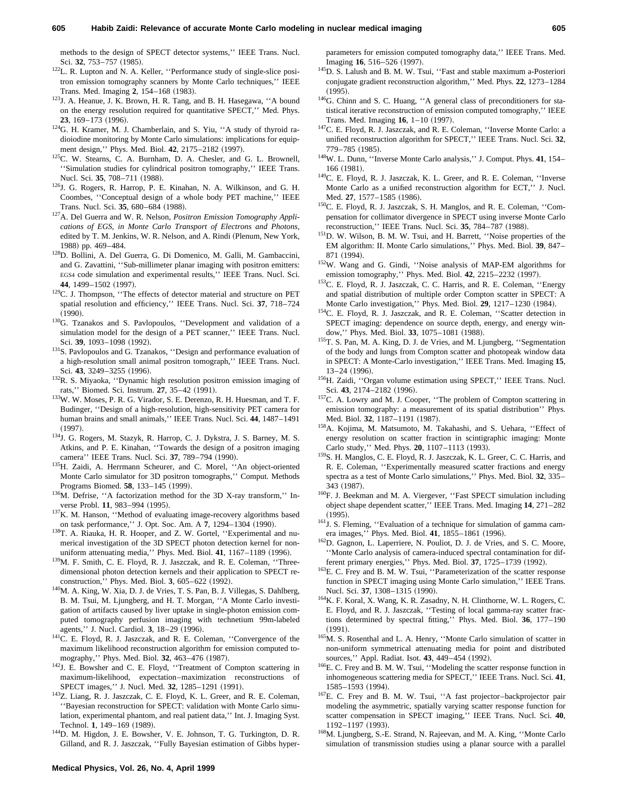methods to the design of SPECT detector systems,'' IEEE Trans. Nucl. Sci. 32, 753–757 (1985).

- <sup>122</sup>L. R. Lupton and N. A. Keller, "Performance study of single-slice positron emission tomography scanners by Monte Carlo techniques,'' IEEE Trans. Med. Imaging 2, 154-168 (1983).
- 123J. A. Heanue, J. K. Brown, H. R. Tang, and B. H. Hasegawa, ''A bound on the energy resolution required for quantitative SPECT,'' Med. Phys. **23**, 169-173 (1996).
- 124G. H. Kramer, M. J. Chamberlain, and S. Yiu, ''A study of thyroid radioiodine monitoring by Monte Carlo simulations: implications for equipment design," Phys. Med. Biol. 42, 2175–2182 (1997).
- 125C. W. Stearns, C. A. Burnham, D. A. Chesler, and G. L. Brownell, ''Simulation studies for cylindrical positron tomography,'' IEEE Trans. Nucl. Sci. 35, 708-711 (1988).
- 126J. G. Rogers, R. Harrop, P. E. Kinahan, N. A. Wilkinson, and G. H. Coombes, ''Conceptual design of a whole body PET machine,'' IEEE Trans. Nucl. Sci. 35, 680-684 (1988).
- 127A. Del Guerra and W. R. Nelson, *Positron Emission Tomography Applications of EGS, in Monte Carlo Transport of Electrons and Photons*, edited by T. M. Jenkins, W. R. Nelson, and A. Rindi (Plenum, New York, 1988) pp. 469–484.
- 128D. Bollini, A. Del Guerra, G. Di Domenico, M. Galli, M. Gambaccini, and G. Zavattini, ''Sub-millimeter planar imaging with positron emitters: EGS4 code simulation and experimental results,'' IEEE Trans. Nucl. Sci. **44**, 1499-1502 (1997).
- <sup>129</sup>C. J. Thompson, "The effects of detector material and structure on PET spatial resolution and efficiency,'' IEEE Trans. Nucl. Sci. **37**, 718–724  $(1990).$
- 130G. Tzanakos and S. Pavlopoulos, ''Development and validation of a simulation model for the design of a PET scanner,'' IEEE Trans. Nucl. Sci. 39, 1093-1098 (1992).
- 131S. Pavlopoulos and G. Tzanakos, ''Design and performance evaluation of a high-resolution small animal positron tomograph,'' IEEE Trans. Nucl. Sci. 43, 3249–3255 (1996).
- 132R. S. Miyaoka, ''Dynamic high resolution positron emission imaging of rats," Biomed. Sci. Instrum. 27, 35-42 (1991).
- 133W. W. Moses, P. R. G. Virador, S. E. Derenzo, R. H. Huesman, and T. F. Budinger, ''Design of a high-resolution, high-sensitivity PET camera for human brains and small animals,'' IEEE Trans. Nucl. Sci. **44**, 1487–1491  $(1997).$
- 134J. G. Rogers, M. Stazyk, R. Harrop, C. J. Dykstra, J. S. Barney, M. S. Atkins, and P. E. Kinahan, ''Towards the design of a positron imaging camera'' IEEE Trans. Nucl. Sci. 37, 789-794 (1990).
- <sup>135</sup>H. Zaidi, A. Herrmann Scheurer, and C. Morel, "An object-oriented Monte Carlo simulator for 3D positron tomographs,'' Comput. Methods Programs Biomed. **58**, 133-145 (1999).
- <sup>136</sup>M. Defrise, "A factorization method for the 3D X-ray transform," Inverse Probl. 11, 983-994 (1995).
- 137K. M. Hanson, ''Method of evaluating image-recovery algorithms based on task performance," J. Opt. Soc. Am. A 7, 1294–1304 (1990).
- 138T. A. Riauka, H. R. Hooper, and Z. W. Gortel, ''Experimental and numerical investigation of the 3D SPECT photon detection kernel for nonuniform attenuating media," Phys. Med. Biol. 41, 1167-1189 (1996).
- <sup>139</sup>M. F. Smith, C. E. Floyd, R. J. Jaszczak, and R. E. Coleman, "Threedimensional photon detection kernels and their application to SPECT reconstruction," Phys. Med. Biol. 3, 605-622 (1992).
- 140M. A. King, W. Xia, D. J. de Vries, T. S. Pan, B. J. Villegas, S. Dahlberg, B. M. Tsui, M. Ljungberg, and H. T. Morgan, ''A Monte Carlo investigation of artifacts caused by liver uptake in single-photon emission computed tomography perfusion imaging with technetium 99m-labeled agents," J. Nucl. Cardiol. 3, 18–29 (1996).
- 141C. E. Floyd, R. J. Jaszczak, and R. E. Coleman, ''Convergence of the maximum likelihood reconstruction algorithm for emission computed tomography," Phys. Med. Biol. 32, 463-476 (1987).
- <sup>142</sup>J. E. Bowsher and C. E. Floyd, "Treatment of Compton scattering in maximum-likelihood, expectation–maximization reconstructions of SPECT images," J. Nucl. Med. 32, 1285-1291 (1991).
- 143Z. Liang, R. J. Jaszczak, C. E. Floyd, K. L. Greer, and R. E. Coleman, ''Bayesian reconstruction for SPECT: validation with Monte Carlo simulation, experimental phantom, and real patient data,'' Int. J. Imaging Syst. Technol. **1**, 149-169 (1989).
- 144D. M. Higdon, J. E. Bowsher, V. E. Johnson, T. G. Turkington, D. R. Gilland, and R. J. Jaszczak, ''Fully Bayesian estimation of Gibbs hyper-

parameters for emission computed tomography data,'' IEEE Trans. Med. Imaging 16, 516–526 (1997).

- 145D. S. Lalush and B. M. W. Tsui, ''Fast and stable maximum a-Posteriori conjugate gradient reconstruction algorithm,'' Med. Phys. **22**, 1273–1284  $(1995).$
- <sup>146</sup>G. Chinn and S. C. Huang, "A general class of preconditioners for statistical iterative reconstruction of emission computed tomography,'' IEEE Trans. Med. Imaging 16, 1-10 (1997).
- 147C. E. Floyd, R. J. Jaszczak, and R. E. Coleman, ''Inverse Monte Carlo: a unified reconstruction algorithm for SPECT,'' IEEE Trans. Nucl. Sci. **32**, 779-785 (1985).
- 148W. L. Dunn, ''Inverse Monte Carlo analysis,'' J. Comput. Phys. **41**, 154–  $166 (1981).$
- 149C. E. Floyd, R. J. Jaszczak, K. L. Greer, and R. E. Coleman, ''Inverse Monte Carlo as a unified reconstruction algorithm for ECT,'' J. Nucl. Med. 27, 1577-1585 (1986).
- 150C. E. Floyd, R. J. Jaszczak, S. H. Manglos, and R. E. Coleman, ''Compensation for collimator divergence in SPECT using inverse Monte Carlo reconstruction," IEEE Trans. Nucl. Sci. 35, 784–787 (1988).
- 151D. W. Wilson, B. M. W. Tsui, and H. Barrett, ''Noise properties of the EM algorithm: II. Monte Carlo simulations,'' Phys. Med. Biol. **39**, 847– 871 (1994).
- 152W. Wang and G. Gindi, ''Noise analysis of MAP-EM algorithms for emission tomography," Phys. Med. Biol. 42, 2215–2232 (1997).
- 153C. E. Floyd, R. J. Jaszczak, C. C. Harris, and R. E. Coleman, ''Energy and spatial distribution of multiple order Compton scatter in SPECT: A Monte Carlo investigation," Phys. Med. Biol. **29**, 1217-1230 (1984).
- 154C. E. Floyd, R. J. Jaszczak, and R. E. Coleman, ''Scatter detection in SPECT imaging: dependence on source depth, energy, and energy window," Phys. Med. Biol. 33, 1075-1081 (1988).
- 155T. S. Pan, M. A. King, D. J. de Vries, and M. Ljungberg, ''Segmentation of the body and lungs from Compton scatter and photopeak window data in SPECT: A Monte-Carlo investigation,'' IEEE Trans. Med. Imaging **15**,  $13-24$   $(1996)$ .
- 156H. Zaidi, ''Organ volume estimation using SPECT,'' IEEE Trans. Nucl. Sci. 43, 2174–2182 (1996).
- <sup>157</sup>C. A. Lowry and M. J. Cooper, "The problem of Compton scattering in emission tomography: a measurement of its spatial distribution'' Phys. Med. Biol. 32, 1187-1191 (1987).
- 158A. Kojima, M. Matsumoto, M. Takahashi, and S. Uehara, ''Effect of energy resolution on scatter fraction in scintigraphic imaging: Monte Carlo study," Med. Phys. 20, 1107-1113 (1993).
- 159S. H. Manglos, C. E. Floyd, R. J. Jaszczak, K. L. Greer, C. C. Harris, and R. E. Coleman, ''Experimentally measured scatter fractions and energy spectra as a test of Monte Carlo simulations,'' Phys. Med. Biol. **32**, 335– 343 (1987).
- <sup>160</sup>F. J. Beekman and M. A. Viergever, "Fast SPECT simulation including object shape dependent scatter,'' IEEE Trans. Med. Imaging **14**, 271–282  $(1995).$
- <sup>161</sup>J. S. Fleming, "Evaluation of a technique for simulation of gamma camera images," Phys. Med. Biol. 41, 1855-1861 (1996).
- <sup>162</sup>D. Gagnon, L. Laperriere, N. Pouliot, D. J. de Vries, and S. C. Moore, ''Monte Carlo analysis of camera-induced spectral contamination for different primary energies," Phys. Med. Biol. 37, 1725–1739 (1992).
- <sup>163</sup>E. C. Frey and B. M. W. Tsui, "Parameterization of the scatter response function in SPECT imaging using Monte Carlo simulation,'' IEEE Trans. Nucl. Sci. 37, 1308-1315 (1990).
- 164K. F. Koral, X. Wang, K. R. Zasadny, N. H. Clinthorne, W. L. Rogers, C. E. Floyd, and R. J. Jaszczak, ''Testing of local gamma-ray scatter fractions determined by spectral fitting,'' Phys. Med. Biol. **36**, 177–190  $(1991).$
- <sup>165</sup>M. S. Rosenthal and L. A. Henry, "Monte Carlo simulation of scatter in non-uniform symmetrical attenuating media for point and distributed sources," Appl. Radiat. Isot. **43**, 449–454 (1992).
- <sup>166</sup>E. C. Frey and B. M. W. Tsui, "Modeling the scatter response function in inhomogeneous scattering media for SPECT,'' IEEE Trans. Nucl. Sci. **41**, 1585–1593 (1994).
- 167E. C. Frey and B. M. W. Tsui, ''A fast projector–backprojector pair modeling the asymmetric, spatially varying scatter response function for scatter compensation in SPECT imaging,'' IEEE Trans. Nucl. Sci. **40**,  $1192 - 1197$   $(1993)$ .
- 168M. Ljungberg, S.-E. Strand, N. Rajeevan, and M. A. King, ''Monte Carlo simulation of transmission studies using a planar source with a parallel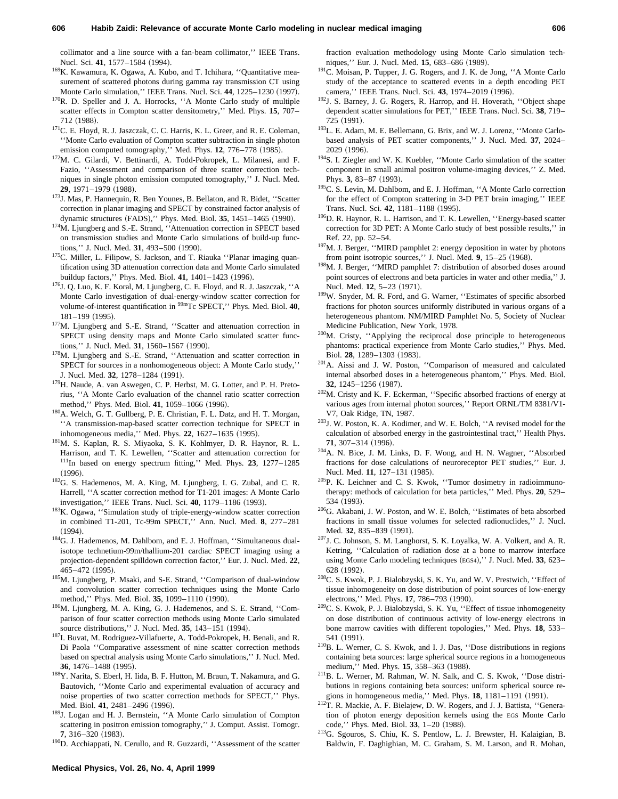collimator and a line source with a fan-beam collimator,'' IEEE Trans. Nucl. Sci. 41, 1577-1584 (1994).

- 169K. Kawamura, K. Ogawa, A. Kubo, and T. Ichihara, ''Quantitative measurement of scattered photons during gamma ray transmission CT using Monte Carlo simulation," IEEE Trans. Nucl. Sci. 44, 1225-1230 (1997).
- <sup>170</sup>R. D. Speller and J. A. Horrocks, "A Monte Carlo study of multiple scatter effects in Compton scatter densitometry,'' Med. Phys. **15**, 707– 712 (1988).
- <sup>171</sup>C. E. Floyd, R. J. Jaszczak, C. C. Harris, K. L. Greer, and R. E. Coleman, ''Monte Carlo evaluation of Compton scatter subtraction in single photon emission computed tomography," Med. Phys. 12, 776-778 (1985).
- 172M. C. Gilardi, V. Bettinardi, A. Todd-Pokropek, L. Milanesi, and F. Fazio, "Assessment and comparison of three scatter correction techniques in single photon emission computed tomography,'' J. Nucl. Med. **29**, 1971-1979 (1988).
- 173J. Mas, P. Hannequin, R. Ben Younes, B. Bellaton, and R. Bidet, ''Scatter correction in planar imaging and SPECT by constrained factor analysis of dynamic structures (FADS)," Phys. Med. Biol. 35, 1451–1465 (1990).
- <sup>174</sup>M. Ljungberg and S.-E. Strand, "Attenuation correction in SPECT based on transmission studies and Monte Carlo simulations of build-up functions," J. Nucl. Med. 31, 493-500 (1990).
- <sup>175</sup>C. Miller, L. Filipow, S. Jackson, and T. Riauka "Planar imaging quantification using 3D attenuation correction data and Monte Carlo simulated buildup factors," Phys. Med. Biol. 41, 1401-1423 (1996).
- 176J. Q. Luo, K. F. Koral, M. Ljungberg, C. E. Floyd, and R. J. Jaszczak, ''A Monte Carlo investigation of dual-energy-window scatter correction for volume-of-interest quantification in 99mTc SPECT,'' Phys. Med. Biol. **40**,  $181-199$   $(1995)$ .
- 177M. Ljungberg and S.-E. Strand, ''Scatter and attenuation correction in SPECT using density maps and Monte Carlo simulated scatter functions," J. Nucl. Med. 31, 1560–1567 (1990).
- <sup>178</sup>M. Ljungberg and S.-E. Strand, "Attenuation and scatter correction in SPECT for sources in a nonhomogeneous object: A Monte Carlo study,'' J. Nucl. Med. 32, 1278-1284 (1991).
- 179H. Naude, A. van Aswegen, C. P. Herbst, M. G. Lotter, and P. H. Pretorius, ''A Monte Carlo evaluation of the channel ratio scatter correction method," Phys. Med. Biol. 41, 1059-1066 (1996).
- 180A. Welch, G. T. Gullberg, P. E. Christian, F. L. Datz, and H. T. Morgan, ''A transmission-map-based scatter correction technique for SPECT in inhomogeneous media," Med. Phys. 22, 1627-1635 (1995).
- 181M. S. Kaplan, R. S. Miyaoka, S. K. Kohlmyer, D. R. Haynor, R. L. Harrison, and T. K. Lewellen, ''Scatter and attenuation correction for 111In based on energy spectrum fitting,'' Med. Phys. **23**, 1277–1285  $(1996).$
- 182G. S. Hademenos, M. A. King, M. Ljungberg, I. G. Zubal, and C. R. Harrell, ''A scatter correction method for T1-201 images: A Monte Carlo investigation," IEEE Trans. Nucl. Sci. 40, 1179-1186 (1993).
- 183K. Ogawa, ''Simulation study of triple-energy-window scatter correction in combined T1-201, Tc-99m SPECT,'' Ann. Nucl. Med. **8**, 277–281  $(1994)$ .
- 184G. J. Hademenos, M. Dahlbom, and E. J. Hoffman, ''Simultaneous dualisotope technetium-99m/thallium-201 cardiac SPECT imaging using a projection-dependent spilldown correction factor,'' Eur. J. Nucl. Med. **22**, 465–472 (1995).
- 185M. Ljungberg, P. Msaki, and S-E. Strand, ''Comparison of dual-window and convolution scatter correction techniques using the Monte Carlo method," Phys. Med. Biol. 35, 1099-1110 (1990).
- 186M. Ljungberg, M. A. King, G. J. Hademenos, and S. E. Strand, ''Comparison of four scatter correction methods using Monte Carlo simulated source distributions," J. Nucl. Med. 35, 143-151 (1994).
- 187I. Buvat, M. Rodriguez-Villafuerte, A. Todd-Pokropek, H. Benali, and R. Di Paola ''Comparative assessment of nine scatter correction methods based on spectral analysis using Monte Carlo simulations,'' J. Nucl. Med. **36**, 1476–1488 (1995).
- 188Y. Narita, S. Eberl, H. Iida, B. F. Hutton, M. Braun, T. Nakamura, and G. Bautovich, ''Monte Carlo and experimental evaluation of accuracy and noise properties of two scatter correction methods for SPECT,'' Phys. Med. Biol. 41, 2481-2496 (1996).
- 189J. Logan and H. J. Bernstein, ''A Monte Carlo simulation of Compton scattering in positron emission tomography,'' J. Comput. Assist. Tomogr. **7**, 316–320 (1983).
- <sup>190</sup>D. Acchiappati, N. Cerullo, and R. Guzzardi, "Assessment of the scatter

fraction evaluation methodology using Monte Carlo simulation techniques," Eur. J. Nucl. Med. **15**, 683–686 (1989).

- 191C. Moisan, P. Tupper, J. G. Rogers, and J. K. de Jong, ''A Monte Carlo study of the acceptance to scattered events in a depth encoding PET camera," IEEE Trans. Nucl. Sci. 43, 1974–2019 (1996).
- <sup>192</sup>J. S. Barney, J. G. Rogers, R. Harrop, and H. Hoverath, "Object shape dependent scatter simulations for PET,'' IEEE Trans. Nucl. Sci. **38**, 719–  $725 (1991).$
- 193L. E. Adam, M. E. Bellemann, G. Brix, and W. J. Lorenz, ''Monte Carlobased analysis of PET scatter components,'' J. Nucl. Med. **37**, 2024– 2029 (1996).
- <sup>194</sup>S. I. Ziegler and W. K. Kuebler, "Monte Carlo simulation of the scatter component in small animal positron volume-imaging devices,'' Z. Med. Phys. **3**, 83–87 (1993).
- 195C. S. Levin, M. Dahlbom, and E. J. Hoffman, ''A Monte Carlo correction for the effect of Compton scattering in 3-D PET brain imaging,'' IEEE Trans. Nucl. Sci. 42, 1181-1188 (1995).
- <sup>196</sup>D. R. Haynor, R. L. Harrison, and T. K. Lewellen, "Energy-based scatter correction for 3D PET: A Monte Carlo study of best possible results,'' in Ref. 22, pp. 52–54.
- <sup>197</sup>M. J. Berger, "MIRD pamphlet 2: energy deposition in water by photons from point isotropic sources," J. Nucl. Med. 9, 15–25 (1968).
- <sup>198</sup>M. J. Berger, "MIRD pamphlet 7: distribution of absorbed doses around point sources of electrons and beta particles in water and other media,'' J. Nucl. Med. 12, 5-23 (1971).
- 199W. Snyder, M. R. Ford, and G. Warner, ''Estimates of specific absorbed fractions for photon sources uniformly distributed in various organs of a heterogeneous phantom. NM/MIRD Pamphlet No. 5, Society of Nuclear Medicine Publication, New York, 1978.
- <sup>200</sup>M. Cristy, "Applying the reciprocal dose principle to heterogeneous phantoms: practical experience from Monte Carlo studies,'' Phys. Med. Biol. **28**, 1289–1303 (1983).
- 201A. Aissi and J. W. Poston, ''Comparison of measured and calculated internal absorbed doses in a heterogeneous phantom,'' Phys. Med. Biol. **32**, 1245–1256 (1987).
- 202M. Cristy and K. F. Eckerman, ''Specific absorbed fractions of energy at various ages from internal photon sources,'' Report ORNL/TM 8381/V1- V7, Oak Ridge, TN, 1987.
- $203$ J. W. Poston, K. A. Kodimer, and W. E. Bolch, "A revised model for the calculation of absorbed energy in the gastrointestinal tract,'' Health Phys. **71.** 307–314 (1996).
- $204$ A. N. Bice, J. M. Links, D. F. Wong, and H. N. Wagner, "Absorbed fractions for dose calculations of neuroreceptor PET studies,'' Eur. J. Nucl. Med. 11, 127–131 (1985).
- 205P. K. Leichner and C. S. Kwok, ''Tumor dosimetry in radioimmunotherapy: methods of calculation for beta particles,'' Med. Phys. **20**, 529– 534 (1993).
- 206G. Akabani, J. W. Poston, and W. E. Bolch, ''Estimates of beta absorbed fractions in small tissue volumes for selected radionuclides,'' J. Nucl. Med. **32**, 835–839 (1991).
- <sup>207</sup>J. C. Johnson, S. M. Langhorst, S. K. Loyalka, W. A. Volkert, and A. R. Ketring, ''Calculation of radiation dose at a bone to marrow interface using Monte Carlo modeling techniques (EGS4)," J. Nucl. Med. 33, 623– 628 (1992).
- 208C. S. Kwok, P. J. Bialobzyski, S. K. Yu, and W. V. Prestwich, ''Effect of tissue inhomogeneity on dose distribution of point sources of low-energy electrons," Med. Phys. 17, 786-793 (1990).
- 209C. S. Kwok, P. J. Bialobzyski, S. K. Yu, ''Effect of tissue inhomogeneity on dose distribution of continuous activity of low-energy electrons in bone marrow cavities with different topologies,'' Med. Phys. **18**, 533– 541 (1991).
- 210B. L. Werner, C. S. Kwok, and I. J. Das, ''Dose distributions in regions containing beta sources: large spherical source regions in a homogeneous medium," Med. Phys. **15**, 358-363 (1988).
- 211B. L. Werner, M. Rahman, W. N. Salk, and C. S. Kwok, ''Dose distributions in regions containing beta sources: uniform spherical source regions in homogeneous media," Med. Phys. **18**, 1181–1191 (1991).
- <sup>212</sup>T. R. Mackie, A. F. Bielajew, D. W. Rogers, and J. J. Battista, "Generation of photon energy deposition kernels using the EGS Monte Carlo code," Phys. Med. Biol. 33, 1-20 (1988).
- 213G. Sgouros, S. Chiu, K. S. Pentlow, L. J. Brewster, H. Kalaigian, B. Baldwin, F. Daghighian, M. C. Graham, S. M. Larson, and R. Mohan,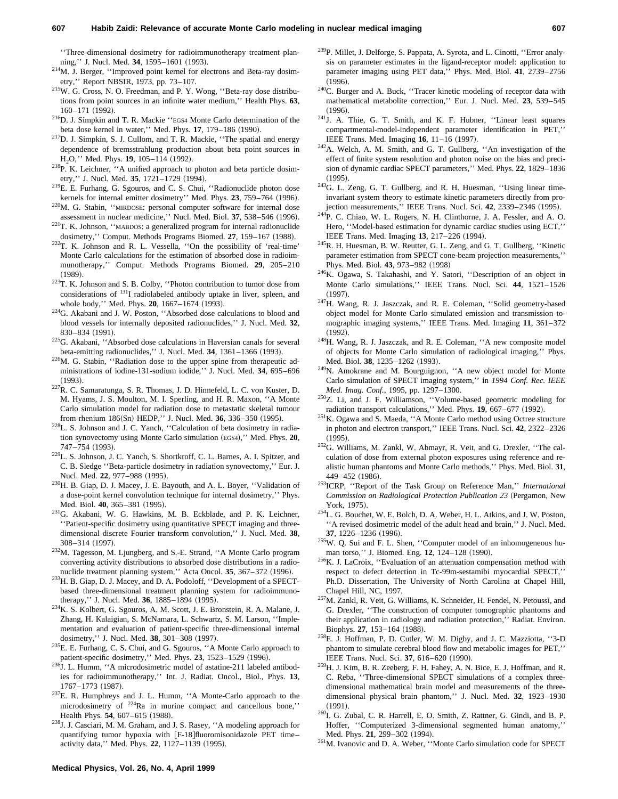''Three-dimensional dosimetry for radioimmunotherapy treatment planning," J. Nucl. Med. 34, 1595-1601 (1993).

- 214M. J. Berger, ''Improved point kernel for electrons and Beta-ray dosimetry,'' Report NBSIR, 1973, pp. 73–107.
- 215W. G. Cross, N. O. Freedman, and P. Y. Wong, ''Beta-ray dose distributions from point sources in an infinite water medium,'' Health Phys. **63**, 160–171 (1992).
- 216D. J. Simpkin and T. R. Mackie ''EGS4 Monte Carlo determination of the beta dose kernel in water," Med. Phys. 17, 179-186 (1990).
- 217D. J. Simpkin, S. J. Cullom, and T. R. Mackie, ''The spatial and energy dependence of bremsstrahlung production about beta point sources in
- $H<sub>2</sub>$ O,'' Med. Phys. **19**, 105–114 (1992). <sup>218</sup>P. K. Leichner, ''A unified approach to photon and beta particle dosimetry," J. Nucl. Med. 35, 1721-1729 (1994).
- 219E. E. Furhang, G. Sgouros, and C. S. Chui, ''Radionuclide photon dose kernels for internal emitter dosimetry" Med. Phys. 23, 759-764 (1996).
- <sup>220</sup>M. G. Stabin, "MIRDOSE: personal computer software for internal dose assessment in nuclear medicine," Nucl. Med. Biol. 37, 538-546 (1996).
- 221T. K. Johnson, ''MABDOS: a generalized program for internal radionuclide dosimetry," Comput. Methods Programs Biomed. 27, 159-167 (1988).
- 222T. K. Johnson and R. L. Vessella, ''On the possibility of 'real-time' Monte Carlo calculations for the estimation of absorbed dose in radioimmunotherapy,'' Comput. Methods Programs Biomed. **29**, 205–210  $(1989).$
- <sup>223</sup>T. K. Johnson and S. B. Colby, "Photon contribution to tumor dose from considerations of <sup>131</sup>I radiolabeled antibody uptake in liver, spleen, and whole body," Med. Phys. **20**, 1667-1674 (1993).
- 224G. Akabani and J. W. Poston, ''Absorbed dose calculations to blood and blood vessels for internally deposited radionuclides,'' J. Nucl. Med. **32**, 830–834 (1991).
- 225G. Akabani, ''Absorbed dose calculations in Haversian canals for several beta-emitting radionuclides," J. Nucl. Med. 34, 1361–1366 (1993).
- 226M. G. Stabin, ''Radiation dose to the upper spine from therapeutic administrations of iodine-131-sodium iodide,'' J. Nucl. Med. **34**, 695–696  $(1993).$
- 227R. C. Samaratunga, S. R. Thomas, J. D. Hinnefeld, L. C. von Kuster, D. M. Hyams, J. S. Moulton, M. I. Sperling, and H. R. Maxon, ''A Monte Carlo simulation model for radiation dose to metastatic skeletal tumour from rhenium 186(Sn) HEDP," J. Nucl. Med. 36, 336-350 (1995).
- 228L. S. Johnson and J. C. Yanch, ''Calculation of beta dosimetry in radiation synovectomy using Monte Carlo simulation (EGS4)," Med. Phys. 20, 747-754 (1993).
- 229L. S. Johnson, J. C. Yanch, S. Shortkroff, C. L. Barnes, A. I. Spitzer, and C. B. Sledge ''Beta-particle dosimetry in radiation synovectomy,'' Eur. J. Nucl. Med. 22, 977-988 (1995).
- 230H. B. Giap, D. J. Macey, J. E. Bayouth, and A. L. Boyer, ''Validation of a dose-point kernel convolution technique for internal dosimetry,'' Phys. Med. Biol. **40**, 365-381 (1995).
- 231G. Akabani, W. G. Hawkins, M. B. Eckblade, and P. K. Leichner, ''Patient-specific dosimetry using quantitative SPECT imaging and threedimensional discrete Fourier transform convolution,'' J. Nucl. Med. **38**, 308–314 (1997).
- <sup>232</sup>M. Tagesson, M. Ljungberg, and S.-E. Strand, "A Monte Carlo program converting activity distributions to absorbed dose distributions in a radionuclide treatment planning system," Acta Oncol. 35, 367-372 (1996).
- 233H. B. Giap, D. J. Macey, and D. A. Podoloff, ''Development of a SPECTbased three-dimensional treatment planning system for radioimmunotherapy," J. Nucl. Med. 36, 1885-1894 (1995).
- 234K. S. Kolbert, G. Sgouros, A. M. Scott, J. E. Bronstein, R. A. Malane, J. Zhang, H. Kalaigian, S. McNamara, L. Schwartz, S. M. Larson, ''Implementation and evaluation of patient-specific three-dimensional internal dosimetry," J. Nucl. Med. 38, 301-308 (1997).
- 235E. E. Furhang, C. S. Chui, and G. Sgouros, ''A Monte Carlo approach to patient-specific dosimetry," Med. Phys. 23, 1523-1529 (1996).
- <sup>236</sup>J. L. Humm, "A microdosimetric model of astatine-211 labeled antibodies for radioimmunotherapy,'' Int. J. Radiat. Oncol., Biol., Phys. **13**, 1767–1773 (1987).
- 237E. R. Humphreys and J. L. Humm, ''A Monte-Carlo approach to the microdosimetry of <sup>224</sup>Ra in murine compact and cancellous bone," Health Phys. 54, 607-615 (1988).
- 238J. J. Casciari, M. M. Graham, and J. S. Rasey, ''A modeling approach for quantifying tumor hypoxia with [F-18] fluoromisonidazole PET time– activity data," Med. Phys. 22, 1127-1139 (1995).
- <sup>239</sup>P. Millet, J. Delforge, S. Pappata, A. Syrota, and L. Cinotti, "Error analysis on parameter estimates in the ligand-receptor model: application to parameter imaging using PET data,'' Phys. Med. Biol. **41**, 2739–2756  $(1996)$ .
- 240C. Burger and A. Buck, ''Tracer kinetic modeling of receptor data with mathematical metabolite correction,'' Eur. J. Nucl. Med. **23**, 539–545  $(1996).$
- 241J. A. Thie, G. T. Smith, and K. F. Hubner, ''Linear least squares compartmental-model-independent parameter identification in PET,'' IEEE Trans. Med. Imaging 16, 11-16 (1997).
- 242A. Welch, A. M. Smith, and G. T. Gullberg, ''An investigation of the effect of finite system resolution and photon noise on the bias and precision of dynamic cardiac SPECT parameters,'' Med. Phys. **22**, 1829–1836  $(1995).$
- <sup>243</sup>G. L. Zeng, G. T. Gullberg, and R. H. Huesman, "Using linear timeinvariant system theory to estimate kinetic parameters directly from projection measurements," IEEE Trans. Nucl. Sci. 42, 2339-2346 (1995).
- 244P. C. Chiao, W. L. Rogers, N. H. Clinthorne, J. A. Fessler, and A. O. Hero, ''Model-based estimation for dynamic cardiac studies using ECT,'' IEEE Trans. Med. Imaging 13, 217-226 (1994).
- 245R. H. Huesman, B. W. Reutter, G. L. Zeng, and G. T. Gullberg, ''Kinetic parameter estimation from SPECT cone-beam projection measurements,'' Phys. Med. Biol. 43, 973-982 (1998)
- 246K. Ogawa, S. Takahashi, and Y. Satori, ''Description of an object in Monte Carlo simulations,'' IEEE Trans. Nucl. Sci. **44**, 1521–1526  $(1997).$
- 247H. Wang, R. J. Jaszczak, and R. E. Coleman, ''Solid geometry-based object model for Monte Carlo simulated emission and transmission tomographic imaging systems,'' IEEE Trans. Med. Imaging **11**, 361–372  $(1992).$
- 248H. Wang, R. J. Jaszczak, and R. E. Coleman, ''A new composite model of objects for Monte Carlo simulation of radiological imaging,'' Phys. Med. Biol. 38, 1235-1262 (1993).
- 249N. Amokrane and M. Bourguignon, ''A new object model for Monte Carlo simulation of SPECT imaging system,'' in *1994 Conf. Rec. IEEE Med. Imag. Conf.*, 1995, pp. 1297–1300.
- 250Z. Li, and J. F. Williamson, ''Volume-based geometric modeling for radiation transport calculations," Med. Phys. 19, 667-677 (1992).
- 251K. Ogawa and S. Maeda, ''A Monte Carlo method using Octree structure in photon and electron transport,'' IEEE Trans. Nucl. Sci. **42**, 2322–2326  $(1995).$
- 252G. Williams, M. Zankl, W. Abmayr, R. Veit, and G. Drexler, ''The calculation of dose from external photon exposures using reference and realistic human phantoms and Monte Carlo methods,'' Phys. Med. Biol. **31**, 449–452 (1986).
- 253ICRP, ''Report of the Task Group on Reference Man,'' *International Commission on Radiological Protection Publication 23* (Pergamon, New York, 1975).
- 254L. G. Bouchet, W. E. Bolch, D. A. Weber, H. L. Atkins, and J. W. Poston, ''A revised dosimetric model of the adult head and brain,'' J. Nucl. Med. **37**, 1226–1236 (1996).
- 255W. Q. Sui and F. L. Shen, ''Computer model of an inhomogeneous human torso," J. Biomed. Eng. 12, 124-128 (1990).
- 256K. J. LaCroix, ''Evaluation of an attenuation compensation method with respect to defect detection in Tc-99m-sestamibi myocardial SPECT,'' Ph.D. Dissertation, The University of North Carolina at Chapel Hill, Chapel Hill, NC, 1997.
- 257M. Zankl, R. Veit, G. Williams, K. Schneider, H. Fendel, N. Petoussi, and G. Drexler, ''The construction of computer tomographic phantoms and their application in radiology and radiation protection,'' Radiat. Environ. Biophys. 27, 153-164 (1988).
- 258E. J. Hoffman, P. D. Cutler, W. M. Digby, and J. C. Mazziotta, ''3-D phantom to simulate cerebral blood flow and metabolic images for PET,'' IEEE Trans. Nucl. Sci. 37, 616–620 (1990).
- <sup>259</sup>H. J. Kim, B. R. Zeeberg, F. H. Fahey, A. N. Bice, E. J. Hoffman, and R. C. Reba, ''Three-dimensional SPECT simulations of a complex threedimensional mathematical brain model and measurements of the threedimensional physical brain phantom,'' J. Nucl. Med. **32**, 1923–1930  $(1991).$
- <sup>260</sup>I. G. Zubal, C. R. Harrell, E. O. Smith, Z. Rattner, G. Gindi, and B. P. Hoffer, ''Computerized 3-dimensional segmented human anatomy,'' Med. Phys. 21, 299-302 (1994).
- 261M. Ivanovic and D. A. Weber, ''Monte Carlo simulation code for SPECT